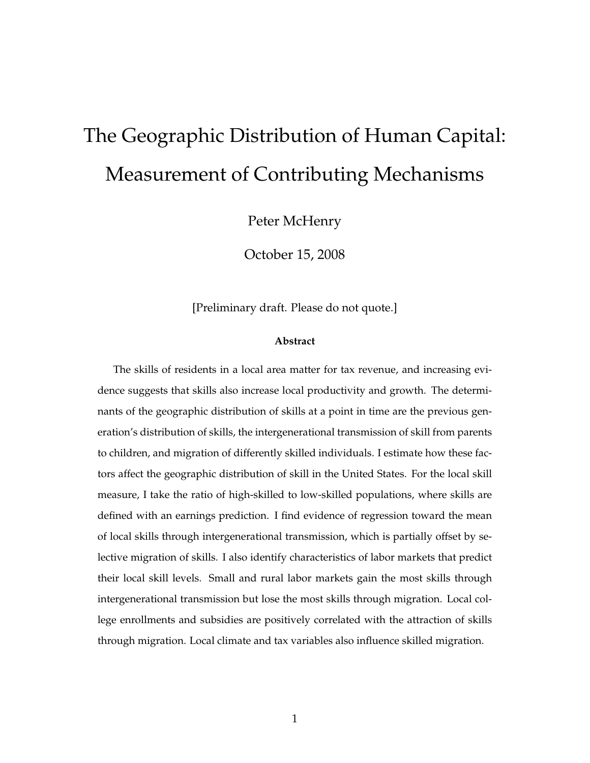# The Geographic Distribution of Human Capital: Measurement of Contributing Mechanisms

Peter McHenry

October 15, 2008

[Preliminary draft. Please do not quote.]

#### **Abstract**

The skills of residents in a local area matter for tax revenue, and increasing evidence suggests that skills also increase local productivity and growth. The determinants of the geographic distribution of skills at a point in time are the previous generation's distribution of skills, the intergenerational transmission of skill from parents to children, and migration of differently skilled individuals. I estimate how these factors affect the geographic distribution of skill in the United States. For the local skill measure, I take the ratio of high-skilled to low-skilled populations, where skills are defined with an earnings prediction. I find evidence of regression toward the mean of local skills through intergenerational transmission, which is partially offset by selective migration of skills. I also identify characteristics of labor markets that predict their local skill levels. Small and rural labor markets gain the most skills through intergenerational transmission but lose the most skills through migration. Local college enrollments and subsidies are positively correlated with the attraction of skills through migration. Local climate and tax variables also influence skilled migration.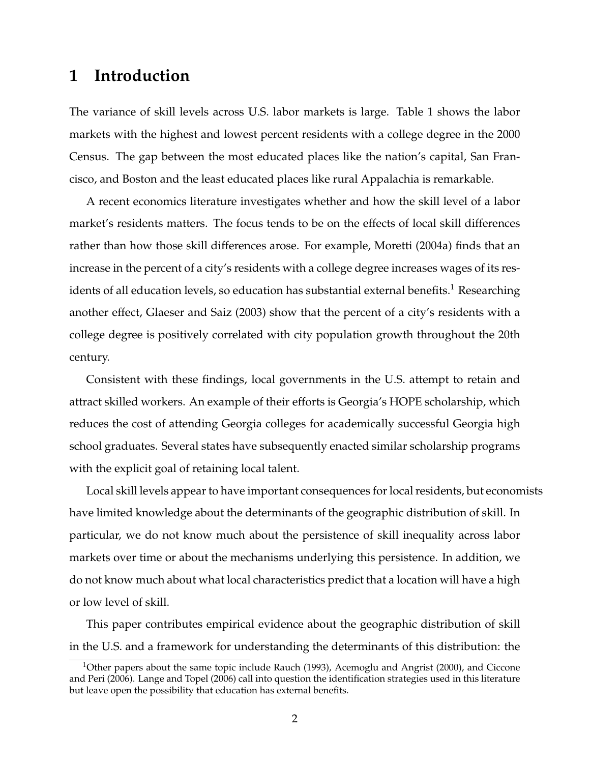## **1 Introduction**

The variance of skill levels across U.S. labor markets is large. Table 1 shows the labor markets with the highest and lowest percent residents with a college degree in the 2000 Census. The gap between the most educated places like the nation's capital, San Francisco, and Boston and the least educated places like rural Appalachia is remarkable.

A recent economics literature investigates whether and how the skill level of a labor market's residents matters. The focus tends to be on the effects of local skill differences rather than how those skill differences arose. For example, Moretti (2004a) finds that an increase in the percent of a city's residents with a college degree increases wages of its residents of all education levels, so education has substantial external benefits.<sup>1</sup> Researching another effect, Glaeser and Saiz (2003) show that the percent of a city's residents with a college degree is positively correlated with city population growth throughout the 20th century.

Consistent with these findings, local governments in the U.S. attempt to retain and attract skilled workers. An example of their efforts is Georgia's HOPE scholarship, which reduces the cost of attending Georgia colleges for academically successful Georgia high school graduates. Several states have subsequently enacted similar scholarship programs with the explicit goal of retaining local talent.

Local skill levels appear to have important consequences for local residents, but economists have limited knowledge about the determinants of the geographic distribution of skill. In particular, we do not know much about the persistence of skill inequality across labor markets over time or about the mechanisms underlying this persistence. In addition, we do not know much about what local characteristics predict that a location will have a high or low level of skill.

This paper contributes empirical evidence about the geographic distribution of skill in the U.S. and a framework for understanding the determinants of this distribution: the

<sup>&</sup>lt;sup>1</sup>Other papers about the same topic include Rauch (1993), Acemoglu and Angrist (2000), and Ciccone and Peri (2006). Lange and Topel (2006) call into question the identification strategies used in this literature but leave open the possibility that education has external benefits.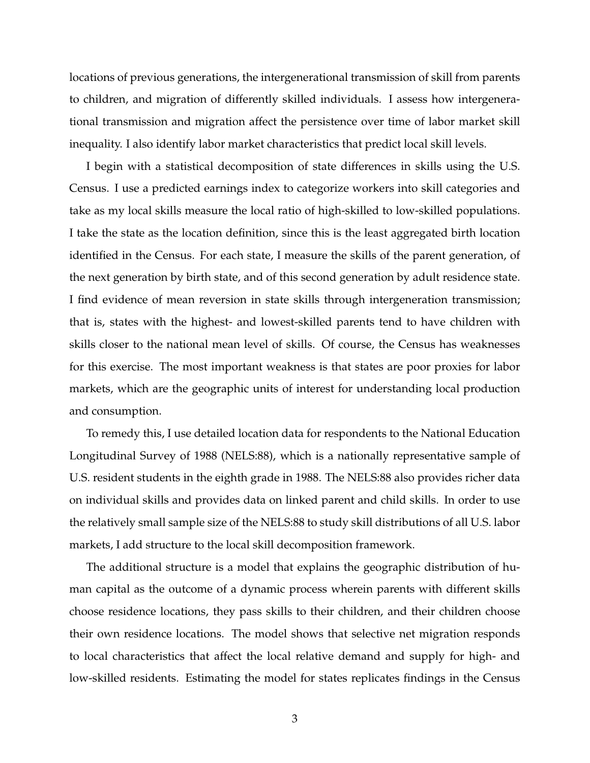locations of previous generations, the intergenerational transmission of skill from parents to children, and migration of differently skilled individuals. I assess how intergenerational transmission and migration affect the persistence over time of labor market skill inequality. I also identify labor market characteristics that predict local skill levels.

I begin with a statistical decomposition of state differences in skills using the U.S. Census. I use a predicted earnings index to categorize workers into skill categories and take as my local skills measure the local ratio of high-skilled to low-skilled populations. I take the state as the location definition, since this is the least aggregated birth location identified in the Census. For each state, I measure the skills of the parent generation, of the next generation by birth state, and of this second generation by adult residence state. I find evidence of mean reversion in state skills through intergeneration transmission; that is, states with the highest- and lowest-skilled parents tend to have children with skills closer to the national mean level of skills. Of course, the Census has weaknesses for this exercise. The most important weakness is that states are poor proxies for labor markets, which are the geographic units of interest for understanding local production and consumption.

To remedy this, I use detailed location data for respondents to the National Education Longitudinal Survey of 1988 (NELS:88), which is a nationally representative sample of U.S. resident students in the eighth grade in 1988. The NELS:88 also provides richer data on individual skills and provides data on linked parent and child skills. In order to use the relatively small sample size of the NELS:88 to study skill distributions of all U.S. labor markets, I add structure to the local skill decomposition framework.

The additional structure is a model that explains the geographic distribution of human capital as the outcome of a dynamic process wherein parents with different skills choose residence locations, they pass skills to their children, and their children choose their own residence locations. The model shows that selective net migration responds to local characteristics that affect the local relative demand and supply for high- and low-skilled residents. Estimating the model for states replicates findings in the Census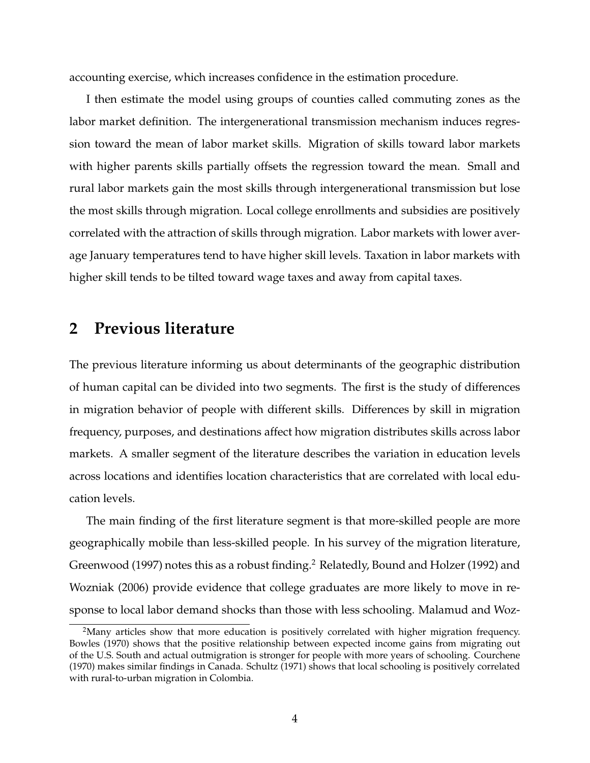accounting exercise, which increases confidence in the estimation procedure.

I then estimate the model using groups of counties called commuting zones as the labor market definition. The intergenerational transmission mechanism induces regression toward the mean of labor market skills. Migration of skills toward labor markets with higher parents skills partially offsets the regression toward the mean. Small and rural labor markets gain the most skills through intergenerational transmission but lose the most skills through migration. Local college enrollments and subsidies are positively correlated with the attraction of skills through migration. Labor markets with lower average January temperatures tend to have higher skill levels. Taxation in labor markets with higher skill tends to be tilted toward wage taxes and away from capital taxes.

### **2 Previous literature**

The previous literature informing us about determinants of the geographic distribution of human capital can be divided into two segments. The first is the study of differences in migration behavior of people with different skills. Differences by skill in migration frequency, purposes, and destinations affect how migration distributes skills across labor markets. A smaller segment of the literature describes the variation in education levels across locations and identifies location characteristics that are correlated with local education levels.

The main finding of the first literature segment is that more-skilled people are more geographically mobile than less-skilled people. In his survey of the migration literature, Greenwood (1997) notes this as a robust finding.<sup>2</sup> Relatedly, Bound and Holzer (1992) and Wozniak (2006) provide evidence that college graduates are more likely to move in response to local labor demand shocks than those with less schooling. Malamud and Woz-

<sup>&</sup>lt;sup>2</sup>Many articles show that more education is positively correlated with higher migration frequency. Bowles (1970) shows that the positive relationship between expected income gains from migrating out of the U.S. South and actual outmigration is stronger for people with more years of schooling. Courchene (1970) makes similar findings in Canada. Schultz (1971) shows that local schooling is positively correlated with rural-to-urban migration in Colombia.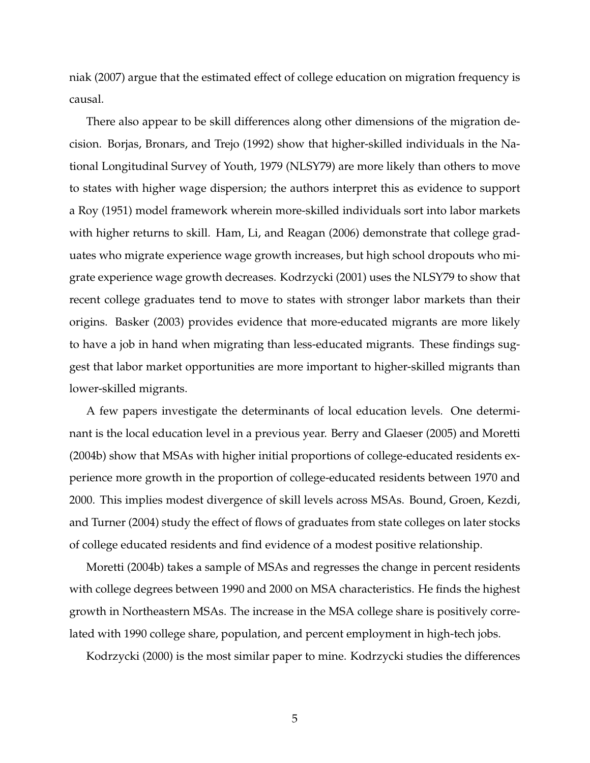niak (2007) argue that the estimated effect of college education on migration frequency is causal.

There also appear to be skill differences along other dimensions of the migration decision. Borjas, Bronars, and Trejo (1992) show that higher-skilled individuals in the National Longitudinal Survey of Youth, 1979 (NLSY79) are more likely than others to move to states with higher wage dispersion; the authors interpret this as evidence to support a Roy (1951) model framework wherein more-skilled individuals sort into labor markets with higher returns to skill. Ham, Li, and Reagan (2006) demonstrate that college graduates who migrate experience wage growth increases, but high school dropouts who migrate experience wage growth decreases. Kodrzycki (2001) uses the NLSY79 to show that recent college graduates tend to move to states with stronger labor markets than their origins. Basker (2003) provides evidence that more-educated migrants are more likely to have a job in hand when migrating than less-educated migrants. These findings suggest that labor market opportunities are more important to higher-skilled migrants than lower-skilled migrants.

A few papers investigate the determinants of local education levels. One determinant is the local education level in a previous year. Berry and Glaeser (2005) and Moretti (2004b) show that MSAs with higher initial proportions of college-educated residents experience more growth in the proportion of college-educated residents between 1970 and 2000. This implies modest divergence of skill levels across MSAs. Bound, Groen, Kezdi, and Turner (2004) study the effect of flows of graduates from state colleges on later stocks of college educated residents and find evidence of a modest positive relationship.

Moretti (2004b) takes a sample of MSAs and regresses the change in percent residents with college degrees between 1990 and 2000 on MSA characteristics. He finds the highest growth in Northeastern MSAs. The increase in the MSA college share is positively correlated with 1990 college share, population, and percent employment in high-tech jobs.

Kodrzycki (2000) is the most similar paper to mine. Kodrzycki studies the differences

5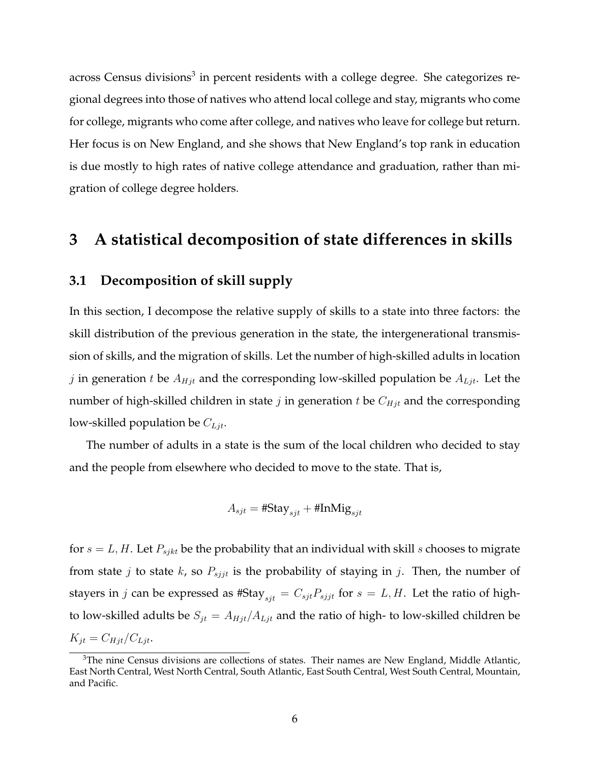across Census divisions<sup>3</sup> in percent residents with a college degree. She categorizes regional degrees into those of natives who attend local college and stay, migrants who come for college, migrants who come after college, and natives who leave for college but return. Her focus is on New England, and she shows that New England's top rank in education is due mostly to high rates of native college attendance and graduation, rather than migration of college degree holders.

## **3 A statistical decomposition of state differences in skills**

#### **3.1 Decomposition of skill supply**

In this section, I decompose the relative supply of skills to a state into three factors: the skill distribution of the previous generation in the state, the intergenerational transmission of skills, and the migration of skills. Let the number of high-skilled adults in location j in generation t be  $A_{Hjt}$  and the corresponding low-skilled population be  $A_{Ljt}$ . Let the number of high-skilled children in state  $j$  in generation  $t$  be  $C_{Hjt}$  and the corresponding low-skilled population be  $C_{Ljt}$ .

The number of adults in a state is the sum of the local children who decided to stay and the people from elsewhere who decided to move to the state. That is,

$$
A_{sjt} = #Stay_{sjt} + #InMig_{sjt}
$$

for  $s = L, H$ . Let  $P_{sjkt}$  be the probability that an individual with skill s chooses to migrate from state *j* to state *k*, so  $P_{sijt}$  is the probability of staying in *j*. Then, the number of stayers in j can be expressed as #Stay<sub>sjt</sub> =  $C_{sjt}P_{sjjt}$  for  $s = L, H$ . Let the ratio of highto low-skilled adults be  $S_{jt} = A_{Hjt}/A_{Ljt}$  and the ratio of high- to low-skilled children be  $K_{jt} = C_{Hjt}/C_{Ljt}.$ 

 $3$ The nine Census divisions are collections of states. Their names are New England, Middle Atlantic, East North Central, West North Central, South Atlantic, East South Central, West South Central, Mountain, and Pacific.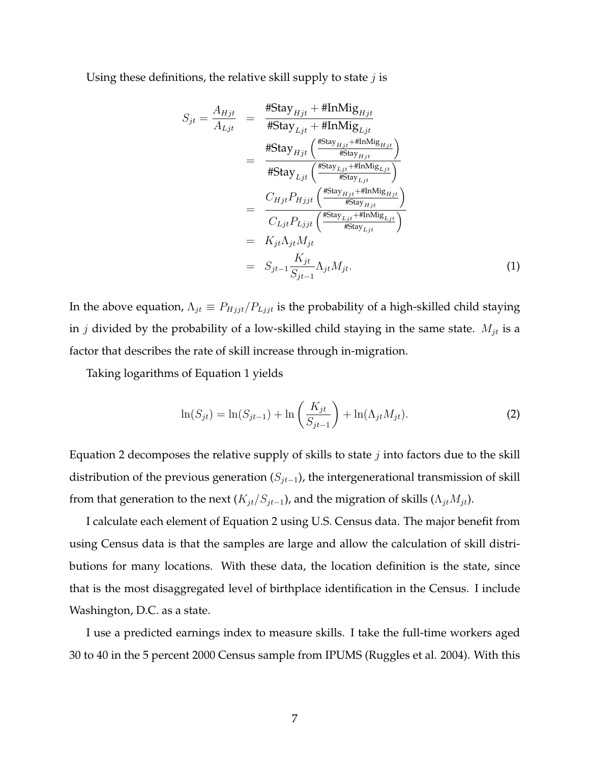Using these definitions, the relative skill supply to state  $j$  is

$$
S_{jt} = \frac{A_{Hjt}}{A_{Ljt}} = \frac{\# \text{Stay}_{Hjt} + \# \text{InMig}_{Hjt}}{\# \text{Stay}_{Ljt} + \# \text{InMig}_{Ljt}} \n= \frac{\# \text{Stay}_{Hjt} \left( \frac{\# \text{Stay}_{Hjt} + \# \text{InMig}_{Hjt}}{\# \text{Stay}_{Hjt}} \right)}{\# \text{Stay}_{Ljt} \left( \frac{\# \text{Stay}_{Hjt} + \# \text{InMig}_{Ljt}}{\# \text{Stay}_{Hjt}} \right)} \n= \frac{C_{Hjt} P_{Hjjt} \left( \frac{\# \text{Stay}_{Hjt} + \# \text{InMig}_{Hjt}}{\# \text{Stay}_{Hjt}} \right)}{C_{Ljt} P_{Ljjt} \left( \frac{\# \text{stay}_{Ljt} + \# \text{InMig}_{Ljt}}{\# \text{Stay}_{Ljt}} \right)} \n= K_{jt} \Lambda_{jt} M_{jt} \n= S_{jt-1} \frac{K_{jt}}{S_{jt-1}} \Lambda_{jt} M_{jt}.
$$
\n(1)

In the above equation,  $\Lambda_{jt} \equiv P_{Hjjt}/P_{Ljjt}$  is the probability of a high-skilled child staying in  $j$  divided by the probability of a low-skilled child staying in the same state.  $M_{jt}$  is a factor that describes the rate of skill increase through in-migration.

Taking logarithms of Equation 1 yields

$$
\ln(S_{jt}) = \ln(S_{jt-1}) + \ln\left(\frac{K_{jt}}{S_{jt-1}}\right) + \ln(\Lambda_{jt}M_{jt}).
$$
\n(2)

Equation 2 decomposes the relative supply of skills to state  $j$  into factors due to the skill distribution of the previous generation  $(S_{jt-1})$ , the intergenerational transmission of skill from that generation to the next  $(K_{jt}/S_{jt-1})$ , and the migration of skills  $(\Lambda_{jt}M_{jt})$ .

I calculate each element of Equation 2 using U.S. Census data. The major benefit from using Census data is that the samples are large and allow the calculation of skill distributions for many locations. With these data, the location definition is the state, since that is the most disaggregated level of birthplace identification in the Census. I include Washington, D.C. as a state.

I use a predicted earnings index to measure skills. I take the full-time workers aged 30 to 40 in the 5 percent 2000 Census sample from IPUMS (Ruggles et al. 2004). With this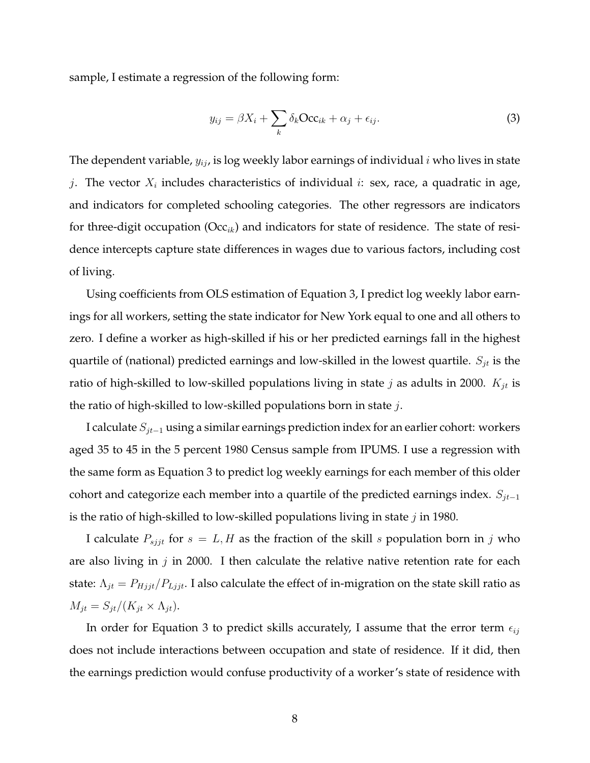sample, I estimate a regression of the following form:

$$
y_{ij} = \beta X_i + \sum_k \delta_k \mathbf{Occ}_{ik} + \alpha_j + \epsilon_{ij}.
$$
 (3)

The dependent variable,  $y_{ij}$ , is log weekly labor earnings of individual  $i$  who lives in state j. The vector  $X_i$  includes characteristics of individual i: sex, race, a quadratic in age, and indicators for completed schooling categories. The other regressors are indicators for three-digit occupation ( $Occ_{ik}$ ) and indicators for state of residence. The state of residence intercepts capture state differences in wages due to various factors, including cost of living.

Using coefficients from OLS estimation of Equation 3, I predict log weekly labor earnings for all workers, setting the state indicator for New York equal to one and all others to zero. I define a worker as high-skilled if his or her predicted earnings fall in the highest quartile of (national) predicted earnings and low-skilled in the lowest quartile.  $S_{jt}$  is the ratio of high-skilled to low-skilled populations living in state  $j$  as adults in 2000.  $K_{jt}$  is the ratio of high-skilled to low-skilled populations born in state  $j$ .

I calculate  $S_{jt-1}$  using a similar earnings prediction index for an earlier cohort: workers aged 35 to 45 in the 5 percent 1980 Census sample from IPUMS. I use a regression with the same form as Equation 3 to predict log weekly earnings for each member of this older cohort and categorize each member into a quartile of the predicted earnings index.  $S_{jt-1}$ is the ratio of high-skilled to low-skilled populations living in state  $j$  in 1980.

I calculate  $P_{sijt}$  for  $s = L, H$  as the fraction of the skill s population born in j who are also living in  $j$  in 2000. I then calculate the relative native retention rate for each state:  $\Lambda_{jt} = P_{Hjjt}/P_{Ljjt}$ . I also calculate the effect of in-migration on the state skill ratio as  $M_{jt} = S_{jt}/(K_{jt} \times \Lambda_{jt}).$ 

In order for Equation 3 to predict skills accurately, I assume that the error term  $\epsilon_{ij}$ does not include interactions between occupation and state of residence. If it did, then the earnings prediction would confuse productivity of a worker's state of residence with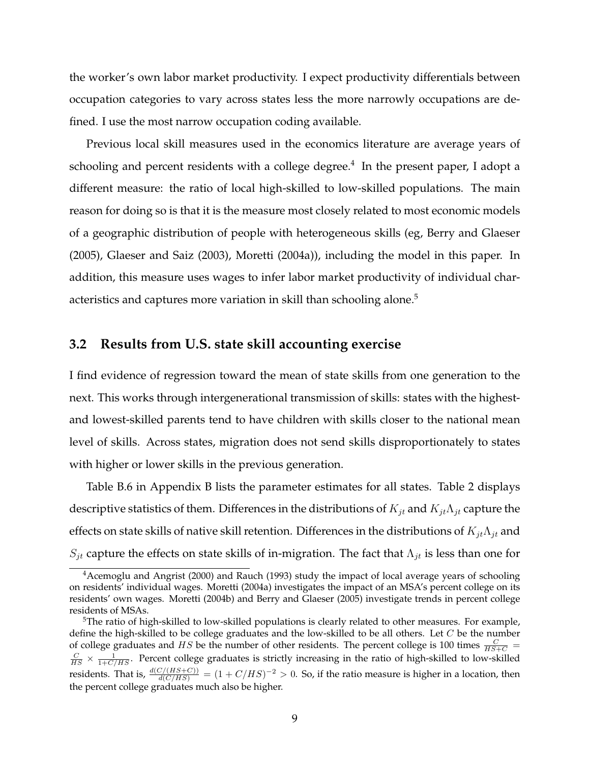the worker's own labor market productivity. I expect productivity differentials between occupation categories to vary across states less the more narrowly occupations are defined. I use the most narrow occupation coding available.

Previous local skill measures used in the economics literature are average years of schooling and percent residents with a college degree. $^4\,$  In the present paper, I adopt a different measure: the ratio of local high-skilled to low-skilled populations. The main reason for doing so is that it is the measure most closely related to most economic models of a geographic distribution of people with heterogeneous skills (eg, Berry and Glaeser (2005), Glaeser and Saiz (2003), Moretti (2004a)), including the model in this paper. In addition, this measure uses wages to infer labor market productivity of individual characteristics and captures more variation in skill than schooling alone.<sup>5</sup>

#### **3.2 Results from U.S. state skill accounting exercise**

I find evidence of regression toward the mean of state skills from one generation to the next. This works through intergenerational transmission of skills: states with the highestand lowest-skilled parents tend to have children with skills closer to the national mean level of skills. Across states, migration does not send skills disproportionately to states with higher or lower skills in the previous generation.

Table B.6 in Appendix B lists the parameter estimates for all states. Table 2 displays descriptive statistics of them. Differences in the distributions of  $K_{jt}$  and  $K_{jt}\Lambda_{jt}$  capture the effects on state skills of native skill retention. Differences in the distributions of  $K_{jt}\Lambda_{jt}$  and  $S_{jt}$  capture the effects on state skills of in-migration. The fact that  $\Lambda_{jt}$  is less than one for

<sup>&</sup>lt;sup>4</sup> Acemoglu and Angrist (2000) and Rauch (1993) study the impact of local average years of schooling on residents' individual wages. Moretti (2004a) investigates the impact of an MSA's percent college on its residents' own wages. Moretti (2004b) and Berry and Glaeser (2005) investigate trends in percent college residents of MSAs.

<sup>&</sup>lt;sup>5</sup>The ratio of high-skilled to low-skilled populations is clearly related to other measures. For example, define the high-skilled to be college graduates and the low-skilled to be all others. Let  $C$  be the number of college graduates and *HS* be the number of other residents. The percent college is 100 times  $\frac{C}{HS+C}$  =  $\frac{C}{HS} \times \frac{1}{1+C/HS}$ . Percent college graduates is strictly increasing in the ratio of high-skilled to low-skilled residents. That is,  $\frac{d(C/(HS+C))}{d(C/HS)} = (1+C/HS)^{-2} > 0$ . So, if the ratio measure is higher in a location, then the percent college graduates much also be higher.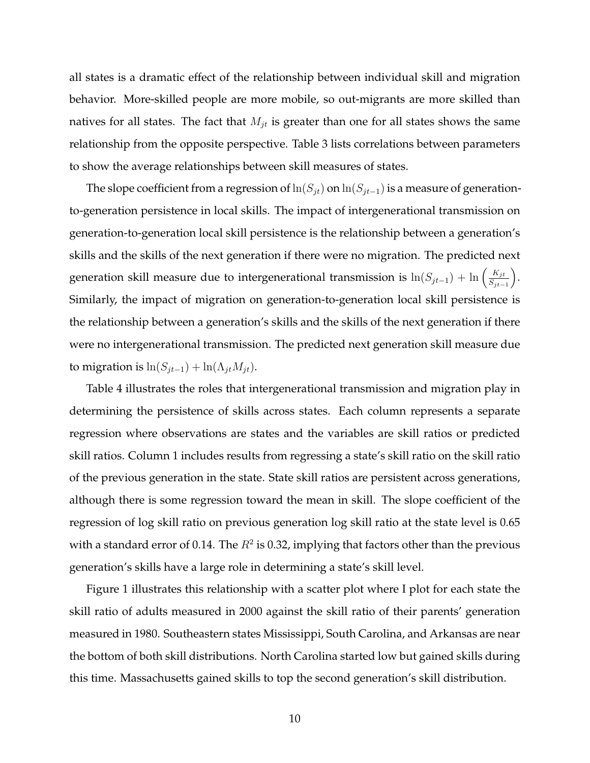all states is a dramatic effect of the relationship between individual skill and migration behavior. More-skilled people are more mobile, so out-migrants are more skilled than natives for all states. The fact that  $M_{it}$  is greater than one for all states shows the same relationship from the opposite perspective. Table 3 lists correlations between parameters to show the average relationships between skill measures of states.

The slope coefficient from a regression of ln $(S_{jt})$  on ln $(S_{jt-1})$  is a measure of generationto-generation persistence in local skills. The impact of intergenerational transmission on generation-to-generation local skill persistence is the relationship between a generation's skills and the skills of the next generation if there were no migration. The predicted next generation skill measure due to intergenerational transmission is  $\ln(S_{jt-1}) + \ln\left(\frac{K_{jt}}{S_{jt}}\right)$  $S_{jt-1}$  . Similarly, the impact of migration on generation-to-generation local skill persistence is the relationship between a generation's skills and the skills of the next generation if there were no intergenerational transmission. The predicted next generation skill measure due to migration is  $ln(S_{jt-1}) + ln(\Lambda_{jt}M_{jt}).$ 

Table 4 illustrates the roles that intergenerational transmission and migration play in determining the persistence of skills across states. Each column represents a separate regression where observations are states and the variables are skill ratios or predicted skill ratios. Column 1 includes results from regressing a state's skill ratio on the skill ratio of the previous generation in the state. State skill ratios are persistent across generations, although there is some regression toward the mean in skill. The slope coefficient of the regression of log skill ratio on previous generation log skill ratio at the state level is 0.65 with a standard error of 0.14. The  $R^2$  is 0.32, implying that factors other than the previous generation's skills have a large role in determining a state's skill level.

Figure 1 illustrates this relationship with a scatter plot where I plot for each state the skill ratio of adults measured in 2000 against the skill ratio of their parents' generation measured in 1980. Southeastern states Mississippi, South Carolina, and Arkansas are near the bottom of both skill distributions. North Carolina started low but gained skills during this time. Massachusetts gained skills to top the second generation's skill distribution.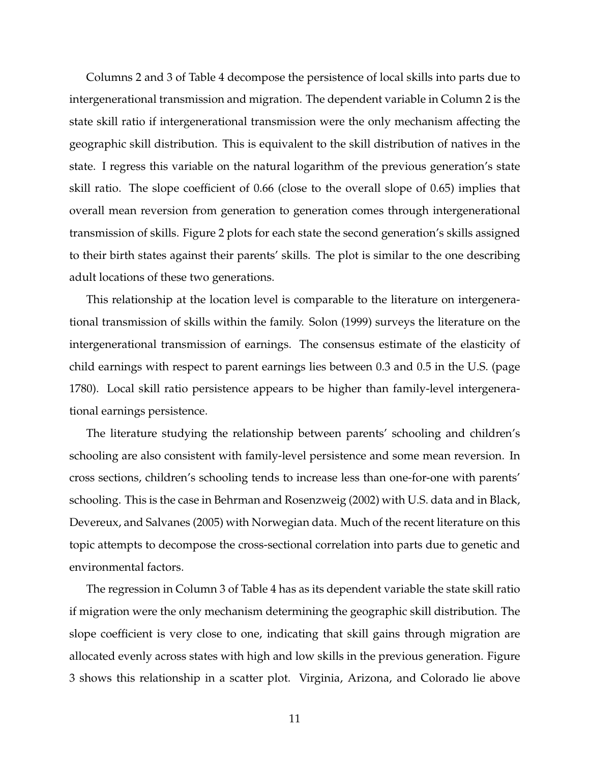Columns 2 and 3 of Table 4 decompose the persistence of local skills into parts due to intergenerational transmission and migration. The dependent variable in Column 2 is the state skill ratio if intergenerational transmission were the only mechanism affecting the geographic skill distribution. This is equivalent to the skill distribution of natives in the state. I regress this variable on the natural logarithm of the previous generation's state skill ratio. The slope coefficient of 0.66 (close to the overall slope of 0.65) implies that overall mean reversion from generation to generation comes through intergenerational transmission of skills. Figure 2 plots for each state the second generation's skills assigned to their birth states against their parents' skills. The plot is similar to the one describing adult locations of these two generations.

This relationship at the location level is comparable to the literature on intergenerational transmission of skills within the family. Solon (1999) surveys the literature on the intergenerational transmission of earnings. The consensus estimate of the elasticity of child earnings with respect to parent earnings lies between 0.3 and 0.5 in the U.S. (page 1780). Local skill ratio persistence appears to be higher than family-level intergenerational earnings persistence.

The literature studying the relationship between parents' schooling and children's schooling are also consistent with family-level persistence and some mean reversion. In cross sections, children's schooling tends to increase less than one-for-one with parents' schooling. This is the case in Behrman and Rosenzweig (2002) with U.S. data and in Black, Devereux, and Salvanes (2005) with Norwegian data. Much of the recent literature on this topic attempts to decompose the cross-sectional correlation into parts due to genetic and environmental factors.

The regression in Column 3 of Table 4 has as its dependent variable the state skill ratio if migration were the only mechanism determining the geographic skill distribution. The slope coefficient is very close to one, indicating that skill gains through migration are allocated evenly across states with high and low skills in the previous generation. Figure 3 shows this relationship in a scatter plot. Virginia, Arizona, and Colorado lie above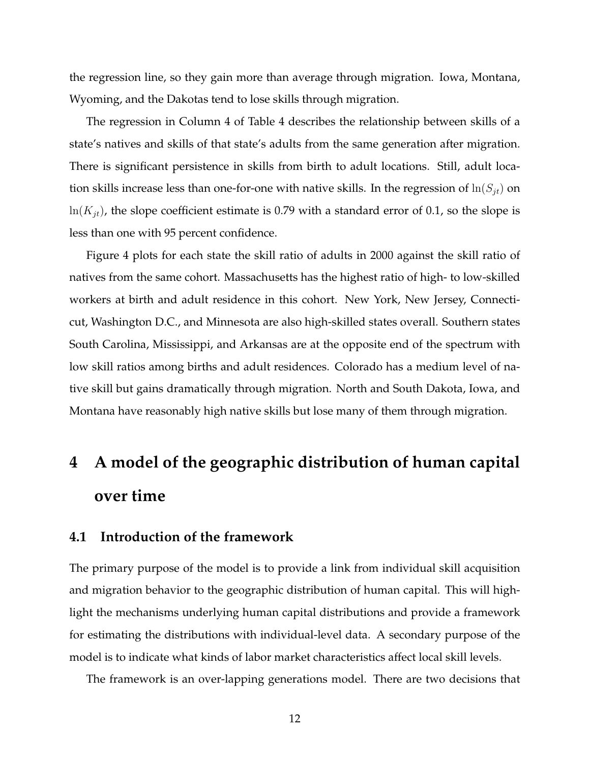the regression line, so they gain more than average through migration. Iowa, Montana, Wyoming, and the Dakotas tend to lose skills through migration.

The regression in Column 4 of Table 4 describes the relationship between skills of a state's natives and skills of that state's adults from the same generation after migration. There is significant persistence in skills from birth to adult locations. Still, adult location skills increase less than one-for-one with native skills. In the regression of  $\ln(S_{it})$  on  $ln(K_{it})$ , the slope coefficient estimate is 0.79 with a standard error of 0.1, so the slope is less than one with 95 percent confidence.

Figure 4 plots for each state the skill ratio of adults in 2000 against the skill ratio of natives from the same cohort. Massachusetts has the highest ratio of high- to low-skilled workers at birth and adult residence in this cohort. New York, New Jersey, Connecticut, Washington D.C., and Minnesota are also high-skilled states overall. Southern states South Carolina, Mississippi, and Arkansas are at the opposite end of the spectrum with low skill ratios among births and adult residences. Colorado has a medium level of native skill but gains dramatically through migration. North and South Dakota, Iowa, and Montana have reasonably high native skills but lose many of them through migration.

# **4 A model of the geographic distribution of human capital over time**

#### **4.1 Introduction of the framework**

The primary purpose of the model is to provide a link from individual skill acquisition and migration behavior to the geographic distribution of human capital. This will highlight the mechanisms underlying human capital distributions and provide a framework for estimating the distributions with individual-level data. A secondary purpose of the model is to indicate what kinds of labor market characteristics affect local skill levels.

The framework is an over-lapping generations model. There are two decisions that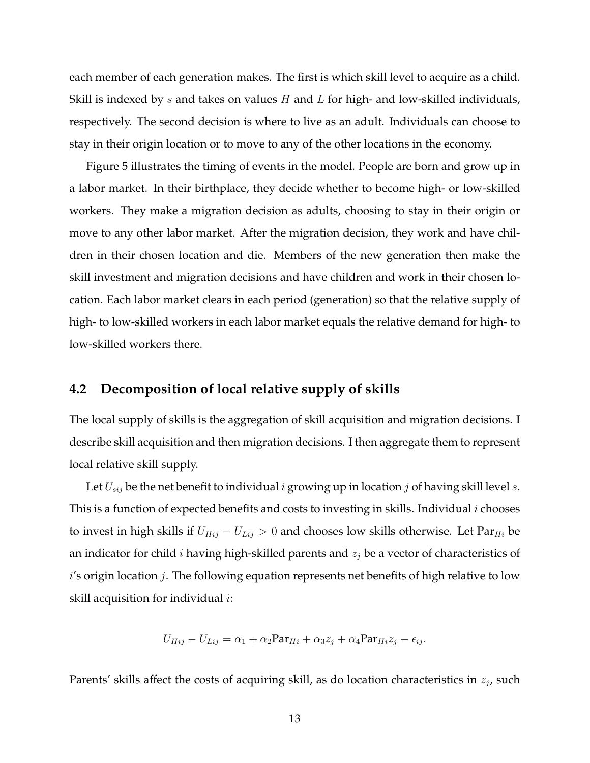each member of each generation makes. The first is which skill level to acquire as a child. Skill is indexed by  $s$  and takes on values  $H$  and  $L$  for high- and low-skilled individuals, respectively. The second decision is where to live as an adult. Individuals can choose to stay in their origin location or to move to any of the other locations in the economy.

Figure 5 illustrates the timing of events in the model. People are born and grow up in a labor market. In their birthplace, they decide whether to become high- or low-skilled workers. They make a migration decision as adults, choosing to stay in their origin or move to any other labor market. After the migration decision, they work and have children in their chosen location and die. Members of the new generation then make the skill investment and migration decisions and have children and work in their chosen location. Each labor market clears in each period (generation) so that the relative supply of high- to low-skilled workers in each labor market equals the relative demand for high- to low-skilled workers there.

### **4.2 Decomposition of local relative supply of skills**

The local supply of skills is the aggregation of skill acquisition and migration decisions. I describe skill acquisition and then migration decisions. I then aggregate them to represent local relative skill supply.

Let  $U_{sij}$  be the net benefit to individual  $i$  growing up in location  $j$  of having skill level  $s$ . This is a function of expected benefits and costs to investing in skills. Individual  $i$  chooses to invest in high skills if  $U_{Hij} - U_{Lij} > 0$  and chooses low skills otherwise. Let Par<sub>Hi</sub> be an indicator for child *i* having high-skilled parents and  $z_j$  be a vector of characteristics of  $i'$ s origin location  $j$ . The following equation represents net benefits of high relative to low skill acquisition for individual  $i$ :

$$
U_{Hij} - U_{Lij} = \alpha_1 + \alpha_2 \mathbf{Par}_{Hi} + \alpha_3 z_j + \alpha_4 \mathbf{Par}_{Hi} z_j - \epsilon_{ij}.
$$

Parents' skills affect the costs of acquiring skill, as do location characteristics in  $z_j$ , such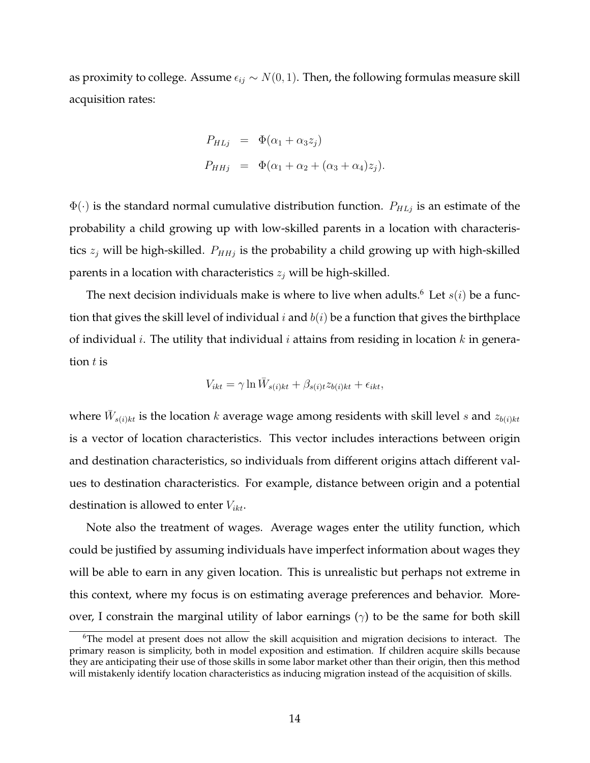as proximity to college. Assume  $\epsilon_{ij} \sim N(0, 1)$ . Then, the following formulas measure skill acquisition rates:

$$
P_{HLj} = \Phi(\alpha_1 + \alpha_3 z_j)
$$
  
\n
$$
P_{HHj} = \Phi(\alpha_1 + \alpha_2 + (\alpha_3 + \alpha_4) z_j).
$$

 $\Phi(\cdot)$  is the standard normal cumulative distribution function.  $P_{HLj}$  is an estimate of the probability a child growing up with low-skilled parents in a location with characteristics  $z_j$  will be high-skilled.  $P_{HHj}$  is the probability a child growing up with high-skilled parents in a location with characteristics  $z_j$  will be high-skilled.

The next decision individuals make is where to live when adults.<sup>6</sup> Let  $s(i)$  be a function that gives the skill level of individual  $i$  and  $b(i)$  be a function that gives the birthplace of individual *i*. The utility that individual *i* attains from residing in location *k* in generation  $t$  is

$$
V_{ikt} = \gamma \ln \bar{W}_{s(i)kt} + \beta_{s(i)t} z_{b(i)kt} + \epsilon_{ikt},
$$

where  $\bar{W}_{s(i)kt}$  is the location  $k$  average wage among residents with skill level  $s$  and  $z_{b(i)kt}$ is a vector of location characteristics. This vector includes interactions between origin and destination characteristics, so individuals from different origins attach different values to destination characteristics. For example, distance between origin and a potential destination is allowed to enter  $V_{ikt}$ .

Note also the treatment of wages. Average wages enter the utility function, which could be justified by assuming individuals have imperfect information about wages they will be able to earn in any given location. This is unrealistic but perhaps not extreme in this context, where my focus is on estimating average preferences and behavior. Moreover, I constrain the marginal utility of labor earnings  $(\gamma)$  to be the same for both skill

<sup>&</sup>lt;sup>6</sup>The model at present does not allow the skill acquisition and migration decisions to interact. The primary reason is simplicity, both in model exposition and estimation. If children acquire skills because they are anticipating their use of those skills in some labor market other than their origin, then this method will mistakenly identify location characteristics as inducing migration instead of the acquisition of skills.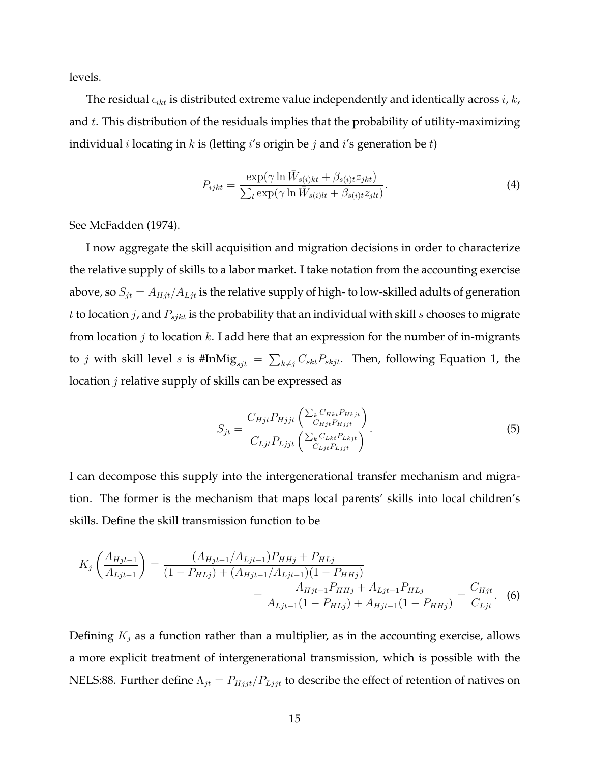levels.

The residual  $\epsilon_{ikt}$  is distributed extreme value independently and identically across i, k, and  $t$ . This distribution of the residuals implies that the probability of utility-maximizing individual *i* locating in *k* is (letting *i*'s origin be *j* and *i*'s generation be *t*)

$$
P_{ijkt} = \frac{\exp(\gamma \ln \bar{W}_{s(i)kt} + \beta_{s(i)t} z_{jkt})}{\sum_{l} \exp(\gamma \ln \bar{W}_{s(i)lt} + \beta_{s(i)t} z_{jlt})}.
$$
\n(4)

See McFadden (1974).

I now aggregate the skill acquisition and migration decisions in order to characterize the relative supply of skills to a labor market. I take notation from the accounting exercise above, so  $S_{jt} = A_{Hjt}/A_{Ljt}$  is the relative supply of high- to low-skilled adults of generation t to location  $j$ , and  $P_{sjkt}$  is the probability that an individual with skill  $s$  chooses to migrate from location  $j$  to location  $k$ . I add here that an expression for the number of in-migrants to *j* with skill level *s* is #InMi $\mathbf{g}_{sjt}$  =  $\sum_{k\neq j} C_{skt}P_{skjt}$ . Then, following Equation 1, the location *j* relative supply of skills can be expressed as

$$
S_{jt} = \frac{C_{Hjt} P_{Hjjt} \left( \frac{\sum_{k} C_{Hkt} P_{Hkjt}}{C_{Hjt} P_{Hjjt}} \right)}{C_{Ljt} P_{Ljjt} \left( \frac{\sum_{k} C_{Lkt} P_{Lkjt}}{C_{Ljt} P_{Ljjt}} \right)}.
$$
(5)

I can decompose this supply into the intergenerational transfer mechanism and migration. The former is the mechanism that maps local parents' skills into local children's skills. Define the skill transmission function to be

$$
K_j \left( \frac{A_{Hjt-1}}{A_{Ljt-1}} \right) = \frac{(A_{Hjt-1}/A_{Ljt-1})P_{HHj} + P_{HLj}}{(1 - P_{HLj}) + (A_{Hjt-1}/A_{Ljt-1})(1 - P_{HHj})} = \frac{A_{Hjt-1}P_{HHj} + A_{Ljt-1}P_{HLj}}{A_{Ljt-1}(1 - P_{HLj}) + A_{Hjt-1}(1 - P_{HHj})} = \frac{C_{Hjt}}{C_{Ljt}}.
$$
 (6)

Defining  $K_j$  as a function rather than a multiplier, as in the accounting exercise, allows a more explicit treatment of intergenerational transmission, which is possible with the NELS:88. Further define  $\Lambda_{jt} = P_{Hjjt}/P_{Ljjt}$  to describe the effect of retention of natives on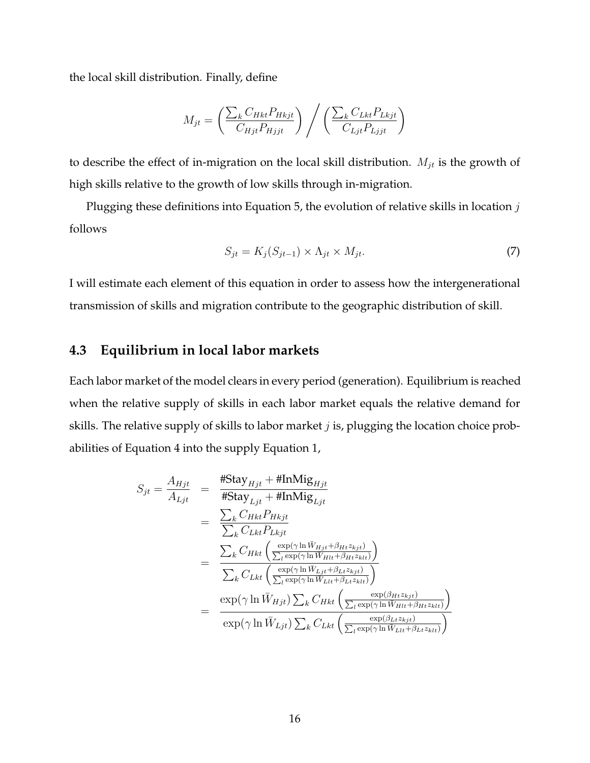the local skill distribution. Finally, define

$$
M_{jt} = \left(\frac{\sum_{k} C_{Hkt} P_{Hkjt}}{C_{Hjt} P_{Hjjt}}\right) / \left(\frac{\sum_{k} C_{Lkt} P_{Lkjt}}{C_{Ljt} P_{Ljjt}}\right)
$$

to describe the effect of in-migration on the local skill distribution.  $M_{jt}$  is the growth of high skills relative to the growth of low skills through in-migration.

Plugging these definitions into Equation 5, the evolution of relative skills in location  $j$ follows

$$
S_{jt} = K_j(S_{jt-1}) \times \Lambda_{jt} \times M_{jt}.
$$
\n<sup>(7)</sup>

I will estimate each element of this equation in order to assess how the intergenerational transmission of skills and migration contribute to the geographic distribution of skill.

#### **4.3 Equilibrium in local labor markets**

Each labor market of the model clears in every period (generation). Equilibrium is reached when the relative supply of skills in each labor market equals the relative demand for skills. The relative supply of skills to labor market  $j$  is, plugging the location choice probabilities of Equation 4 into the supply Equation 1,

$$
S_{jt} = \frac{A_{Hjt}}{A_{Ljt}} = \frac{\# \text{Stay}_{Hjt} + \# \text{InMig}_{Hjt}}{\# \text{Stay}_{Ljt} + \# \text{InMig}_{Ljt}} \n= \frac{\sum_{k} C_{Hkt} P_{Hkjt}}{\sum_{k} C_{Lkt} P_{Lkjt}} \n= \frac{\sum_{k} C_{Hkt} \left( \frac{\exp(\gamma \ln \bar{W}_{Hjt} + \beta_{Ht} z_{kjt})}{\sum_{l} \exp(\gamma \ln \bar{W}_{Hlt} + \beta_{Ht} z_{klt})} \right)}{\sum_{k} C_{Lkt} \left( \frac{\exp(\gamma \ln \bar{W}_{Ljt} + \beta_{Lt} z_{kjt})}{\sum_{l} \exp(\gamma \ln \bar{W}_{Llt} + \beta_{Lt} z_{klt})} \right)} \n= \frac{\exp(\gamma \ln \bar{W}_{Hjt}) \sum_{k} C_{Hkt} \left( \frac{\exp(\beta_{Ht} z_{kjt})}{\sum_{l} \exp(\gamma \ln \bar{W}_{Hlt} + \beta_{Ht} z_{klt})} \right)}{\exp(\gamma \ln \bar{W}_{Ljt}) \sum_{k} C_{Lkt} \left( \frac{\exp(\beta_{Lt} z_{kjt})}{\sum_{l} \exp(\gamma \ln \bar{W}_{Llt} + \beta_{Lt} z_{klt})} \right)}
$$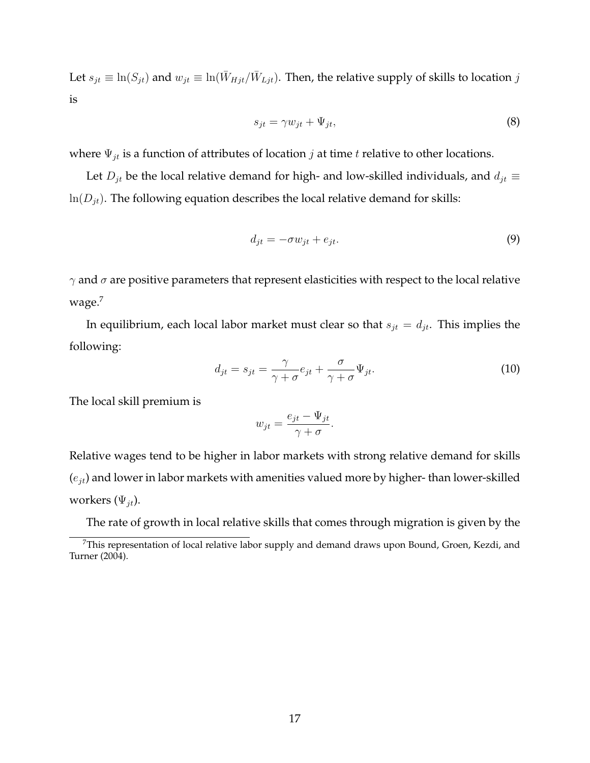Let  $s_{jt} \equiv \ln(S_{jt})$  and  $w_{jt} \equiv \ln(\bar{W}_{Hjt}/\bar{W}_{Ljt})$ . Then, the relative supply of skills to location  $j$ is

$$
s_{jt} = \gamma w_{jt} + \Psi_{jt},\tag{8}
$$

where  $\Psi_{jt}$  is a function of attributes of location *j* at time *t* relative to other locations.

Let  $D_{jt}$  be the local relative demand for high- and low-skilled individuals, and  $d_{jt} \equiv$  $ln(D_{jt})$ . The following equation describes the local relative demand for skills:

$$
d_{jt} = -\sigma w_{jt} + e_{jt}.\tag{9}
$$

 $\gamma$  and  $\sigma$  are positive parameters that represent elasticities with respect to the local relative wage.<sup>7</sup>

In equilibrium, each local labor market must clear so that  $s_{jt} = d_{jt}$ . This implies the following:

$$
d_{jt} = s_{jt} = \frac{\gamma}{\gamma + \sigma} e_{jt} + \frac{\sigma}{\gamma + \sigma} \Psi_{jt}.
$$
\n(10)

The local skill premium is

$$
w_{jt} = \frac{e_{jt} - \Psi_{jt}}{\gamma + \sigma}.
$$

Relative wages tend to be higher in labor markets with strong relative demand for skills  $(e_{it})$  and lower in labor markets with amenities valued more by higher-than lower-skilled workers  $(\Psi_{it})$ .

The rate of growth in local relative skills that comes through migration is given by the

 $7$ This representation of local relative labor supply and demand draws upon Bound, Groen, Kezdi, and Turner (2004).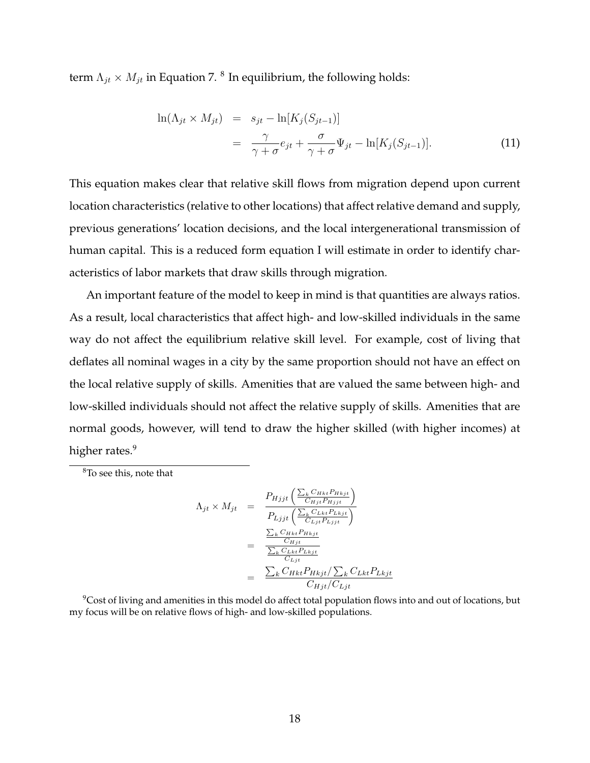term  $\Lambda_{jt}\times M_{jt}$  in Equation 7.  $^8$  In equilibrium, the following holds:

$$
\ln(\Lambda_{jt} \times M_{jt}) = s_{jt} - \ln[K_j(S_{jt-1})]
$$
  
= 
$$
\frac{\gamma}{\gamma + \sigma} e_{jt} + \frac{\sigma}{\gamma + \sigma} \Psi_{jt} - \ln[K_j(S_{jt-1})].
$$
 (11)

This equation makes clear that relative skill flows from migration depend upon current location characteristics (relative to other locations) that affect relative demand and supply, previous generations' location decisions, and the local intergenerational transmission of human capital. This is a reduced form equation I will estimate in order to identify characteristics of labor markets that draw skills through migration.

An important feature of the model to keep in mind is that quantities are always ratios. As a result, local characteristics that affect high- and low-skilled individuals in the same way do not affect the equilibrium relative skill level. For example, cost of living that deflates all nominal wages in a city by the same proportion should not have an effect on the local relative supply of skills. Amenities that are valued the same between high- and low-skilled individuals should not affect the relative supply of skills. Amenities that are normal goods, however, will tend to draw the higher skilled (with higher incomes) at higher rates.<sup>9</sup>

<sup>8</sup>To see this, note that

$$
\Lambda_{jt} \times M_{jt} = \frac{P_{Hjjt} \left( \frac{\sum_{k} C_{Hkt} P_{Hkjt}}{C_{Hjt} P_{Hjjt}} \right)}{P_{Ljjt} \left( \frac{\sum_{k} C_{Lkt} P_{Lkjt}}{C_{Ljt} P_{Ljjt}} \right)}
$$
\n
$$
= \frac{\frac{\sum_{k} C_{Hkt} P_{Hkjt}}{C_{Hjt}}}{\frac{\sum_{k} C_{Lkt} P_{Lkjt}}{C_{Ljt}}}
$$
\n
$$
= \frac{\sum_{k} C_{Hkt} P_{Hkjt} / \sum_{k} C_{Lkt} P_{Lkjt}}{C_{Hjt} / C_{Ljt}}
$$

<sup>9</sup>Cost of living and amenities in this model do affect total population flows into and out of locations, but my focus will be on relative flows of high- and low-skilled populations.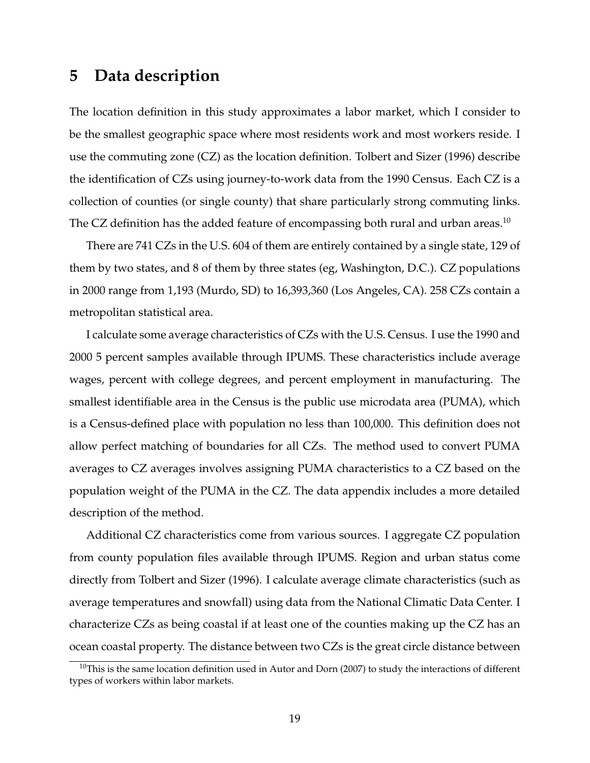## **5 Data description**

The location definition in this study approximates a labor market, which I consider to be the smallest geographic space where most residents work and most workers reside. I use the commuting zone (CZ) as the location definition. Tolbert and Sizer (1996) describe the identification of CZs using journey-to-work data from the 1990 Census. Each CZ is a collection of counties (or single county) that share particularly strong commuting links. The CZ definition has the added feature of encompassing both rural and urban areas.<sup>10</sup>

There are 741 CZs in the U.S. 604 of them are entirely contained by a single state, 129 of them by two states, and 8 of them by three states (eg, Washington, D.C.). CZ populations in 2000 range from 1,193 (Murdo, SD) to 16,393,360 (Los Angeles, CA). 258 CZs contain a metropolitan statistical area.

I calculate some average characteristics of CZs with the U.S. Census. I use the 1990 and 2000 5 percent samples available through IPUMS. These characteristics include average wages, percent with college degrees, and percent employment in manufacturing. The smallest identifiable area in the Census is the public use microdata area (PUMA), which is a Census-defined place with population no less than 100,000. This definition does not allow perfect matching of boundaries for all CZs. The method used to convert PUMA averages to CZ averages involves assigning PUMA characteristics to a CZ based on the population weight of the PUMA in the CZ. The data appendix includes a more detailed description of the method.

Additional CZ characteristics come from various sources. I aggregate CZ population from county population files available through IPUMS. Region and urban status come directly from Tolbert and Sizer (1996). I calculate average climate characteristics (such as average temperatures and snowfall) using data from the National Climatic Data Center. I characterize CZs as being coastal if at least one of the counties making up the CZ has an ocean coastal property. The distance between two CZs is the great circle distance between

 $10$ This is the same location definition used in Autor and Dorn (2007) to study the interactions of different types of workers within labor markets.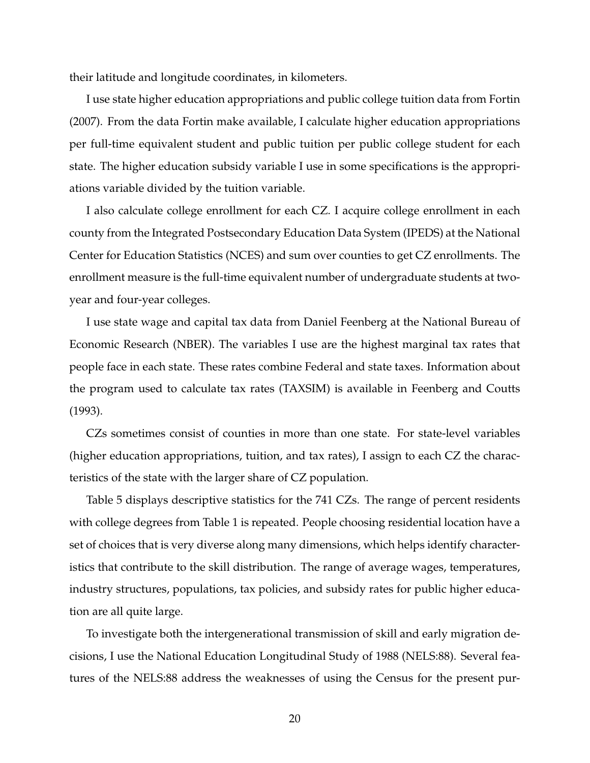their latitude and longitude coordinates, in kilometers.

I use state higher education appropriations and public college tuition data from Fortin (2007). From the data Fortin make available, I calculate higher education appropriations per full-time equivalent student and public tuition per public college student for each state. The higher education subsidy variable I use in some specifications is the appropriations variable divided by the tuition variable.

I also calculate college enrollment for each CZ. I acquire college enrollment in each county from the Integrated Postsecondary Education Data System (IPEDS) at the National Center for Education Statistics (NCES) and sum over counties to get CZ enrollments. The enrollment measure is the full-time equivalent number of undergraduate students at twoyear and four-year colleges.

I use state wage and capital tax data from Daniel Feenberg at the National Bureau of Economic Research (NBER). The variables I use are the highest marginal tax rates that people face in each state. These rates combine Federal and state taxes. Information about the program used to calculate tax rates (TAXSIM) is available in Feenberg and Coutts (1993).

CZs sometimes consist of counties in more than one state. For state-level variables (higher education appropriations, tuition, and tax rates), I assign to each CZ the characteristics of the state with the larger share of CZ population.

Table 5 displays descriptive statistics for the 741 CZs. The range of percent residents with college degrees from Table 1 is repeated. People choosing residential location have a set of choices that is very diverse along many dimensions, which helps identify characteristics that contribute to the skill distribution. The range of average wages, temperatures, industry structures, populations, tax policies, and subsidy rates for public higher education are all quite large.

To investigate both the intergenerational transmission of skill and early migration decisions, I use the National Education Longitudinal Study of 1988 (NELS:88). Several features of the NELS:88 address the weaknesses of using the Census for the present pur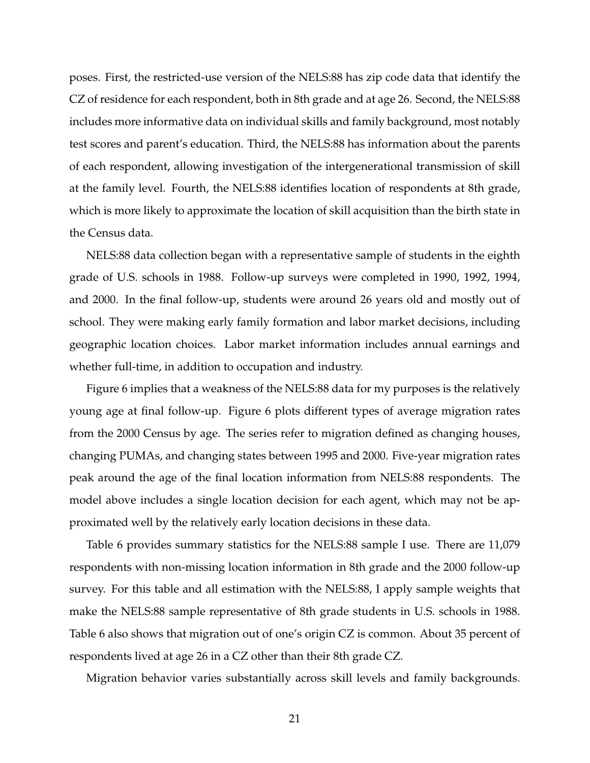poses. First, the restricted-use version of the NELS:88 has zip code data that identify the CZ of residence for each respondent, both in 8th grade and at age 26. Second, the NELS:88 includes more informative data on individual skills and family background, most notably test scores and parent's education. Third, the NELS:88 has information about the parents of each respondent, allowing investigation of the intergenerational transmission of skill at the family level. Fourth, the NELS:88 identifies location of respondents at 8th grade, which is more likely to approximate the location of skill acquisition than the birth state in the Census data.

NELS:88 data collection began with a representative sample of students in the eighth grade of U.S. schools in 1988. Follow-up surveys were completed in 1990, 1992, 1994, and 2000. In the final follow-up, students were around 26 years old and mostly out of school. They were making early family formation and labor market decisions, including geographic location choices. Labor market information includes annual earnings and whether full-time, in addition to occupation and industry.

Figure 6 implies that a weakness of the NELS:88 data for my purposes is the relatively young age at final follow-up. Figure 6 plots different types of average migration rates from the 2000 Census by age. The series refer to migration defined as changing houses, changing PUMAs, and changing states between 1995 and 2000. Five-year migration rates peak around the age of the final location information from NELS:88 respondents. The model above includes a single location decision for each agent, which may not be approximated well by the relatively early location decisions in these data.

Table 6 provides summary statistics for the NELS:88 sample I use. There are 11,079 respondents with non-missing location information in 8th grade and the 2000 follow-up survey. For this table and all estimation with the NELS:88, I apply sample weights that make the NELS:88 sample representative of 8th grade students in U.S. schools in 1988. Table 6 also shows that migration out of one's origin CZ is common. About 35 percent of respondents lived at age 26 in a CZ other than their 8th grade CZ.

Migration behavior varies substantially across skill levels and family backgrounds.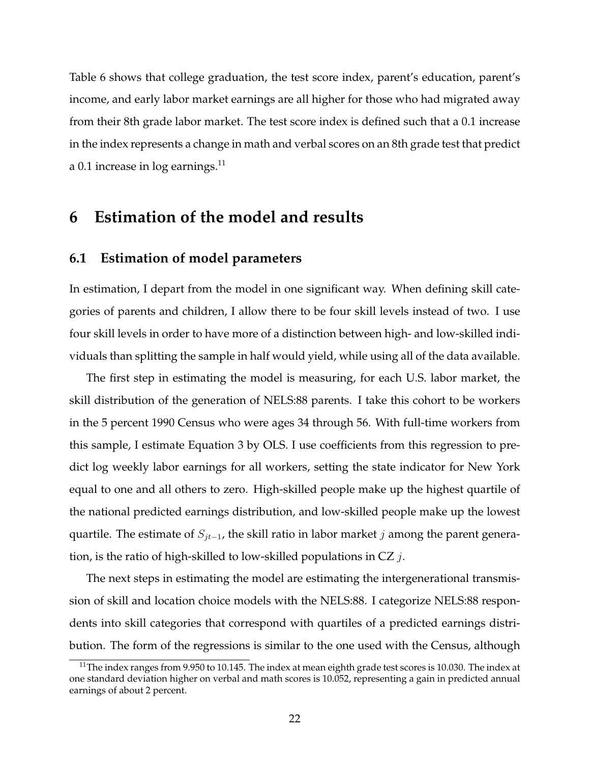Table 6 shows that college graduation, the test score index, parent's education, parent's income, and early labor market earnings are all higher for those who had migrated away from their 8th grade labor market. The test score index is defined such that a 0.1 increase in the index represents a change in math and verbal scores on an 8th grade test that predict a 0.1 increase in  $log$  earnings.<sup>11</sup>

### **6 Estimation of the model and results**

#### **6.1 Estimation of model parameters**

In estimation, I depart from the model in one significant way. When defining skill categories of parents and children, I allow there to be four skill levels instead of two. I use four skill levels in order to have more of a distinction between high- and low-skilled individuals than splitting the sample in half would yield, while using all of the data available.

The first step in estimating the model is measuring, for each U.S. labor market, the skill distribution of the generation of NELS:88 parents. I take this cohort to be workers in the 5 percent 1990 Census who were ages 34 through 56. With full-time workers from this sample, I estimate Equation 3 by OLS. I use coefficients from this regression to predict log weekly labor earnings for all workers, setting the state indicator for New York equal to one and all others to zero. High-skilled people make up the highest quartile of the national predicted earnings distribution, and low-skilled people make up the lowest quartile. The estimate of  $S_{jt-1}$ , the skill ratio in labor market j among the parent generation, is the ratio of high-skilled to low-skilled populations in  $CZ_j$ .

The next steps in estimating the model are estimating the intergenerational transmission of skill and location choice models with the NELS:88. I categorize NELS:88 respondents into skill categories that correspond with quartiles of a predicted earnings distribution. The form of the regressions is similar to the one used with the Census, although

<sup>&</sup>lt;sup>11</sup>The index ranges from 9.950 to 10.145. The index at mean eighth grade test scores is 10.030. The index at one standard deviation higher on verbal and math scores is 10.052, representing a gain in predicted annual earnings of about 2 percent.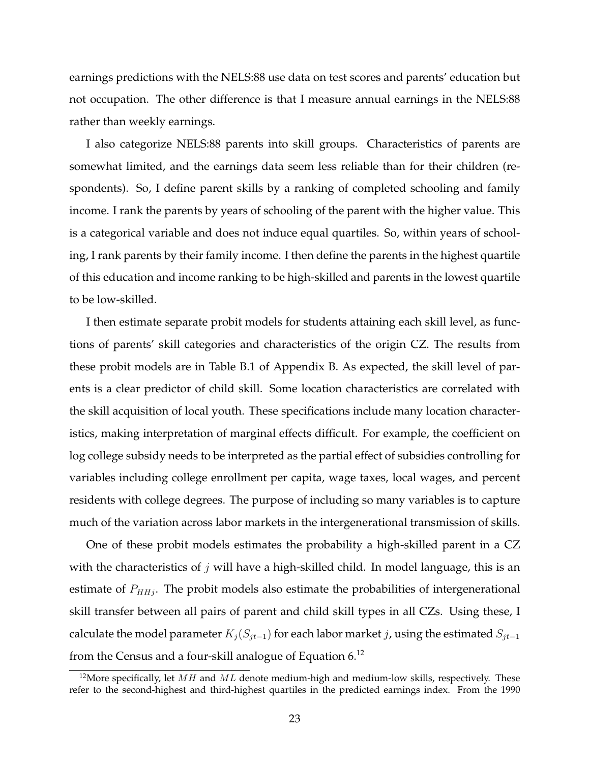earnings predictions with the NELS:88 use data on test scores and parents' education but not occupation. The other difference is that I measure annual earnings in the NELS:88 rather than weekly earnings.

I also categorize NELS:88 parents into skill groups. Characteristics of parents are somewhat limited, and the earnings data seem less reliable than for their children (respondents). So, I define parent skills by a ranking of completed schooling and family income. I rank the parents by years of schooling of the parent with the higher value. This is a categorical variable and does not induce equal quartiles. So, within years of schooling, I rank parents by their family income. I then define the parents in the highest quartile of this education and income ranking to be high-skilled and parents in the lowest quartile to be low-skilled.

I then estimate separate probit models for students attaining each skill level, as functions of parents' skill categories and characteristics of the origin CZ. The results from these probit models are in Table B.1 of Appendix B. As expected, the skill level of parents is a clear predictor of child skill. Some location characteristics are correlated with the skill acquisition of local youth. These specifications include many location characteristics, making interpretation of marginal effects difficult. For example, the coefficient on log college subsidy needs to be interpreted as the partial effect of subsidies controlling for variables including college enrollment per capita, wage taxes, local wages, and percent residents with college degrees. The purpose of including so many variables is to capture much of the variation across labor markets in the intergenerational transmission of skills.

One of these probit models estimates the probability a high-skilled parent in a CZ with the characteristics of  $j$  will have a high-skilled child. In model language, this is an estimate of  $P_{HHj}$ . The probit models also estimate the probabilities of intergenerational skill transfer between all pairs of parent and child skill types in all CZs. Using these, I calculate the model parameter  $K_j (S_{jt-1})$  for each labor market j, using the estimated  $S_{jt-1}$ from the Census and a four-skill analogue of Equation 6.<sup>12</sup>

<sup>&</sup>lt;sup>12</sup>More specifically, let  $MH$  and  $ML$  denote medium-high and medium-low skills, respectively. These refer to the second-highest and third-highest quartiles in the predicted earnings index. From the 1990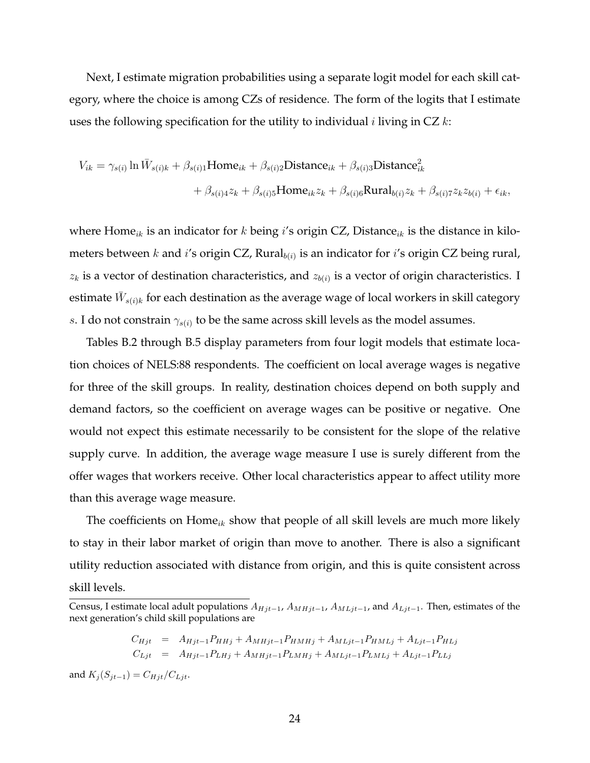Next, I estimate migration probabilities using a separate logit model for each skill category, where the choice is among CZs of residence. The form of the logits that I estimate uses the following specification for the utility to individual *i* living in  $CZ$  k:

$$
V_{ik} = \gamma_{s(i)} \ln \bar{W}_{s(i)k} + \beta_{s(i)1} \text{Home}_{ik} + \beta_{s(i)2} \text{Distance}_{ik} + \beta_{s(i)3} \text{Distance}_{ik}^2
$$

$$
+ \beta_{s(i)4} z_k + \beta_{s(i)5} \text{Home}_{ik} z_k + \beta_{s(i)6} \text{Runal}_{b(i)} z_k + \beta_{s(i)7} z_k z_{b(i)} + \epsilon_{ik},
$$

where Home<sub>ik</sub> is an indicator for k being i's origin CZ, Distance<sub>ik</sub> is the distance in kilometers between  $k$  and  $i'$ s origin CZ, Rural $_{b(i)}$  is an indicator for  $i'$ s origin CZ being rural,  $z_k$  is a vector of destination characteristics, and  $z_{b(i)}$  is a vector of origin characteristics. I estimate  $\bar{W}_{s(i)k}$  for each destination as the average wage of local workers in skill category s. I do not constrain  $\gamma_{s(i)}$  to be the same across skill levels as the model assumes.

Tables B.2 through B.5 display parameters from four logit models that estimate location choices of NELS:88 respondents. The coefficient on local average wages is negative for three of the skill groups. In reality, destination choices depend on both supply and demand factors, so the coefficient on average wages can be positive or negative. One would not expect this estimate necessarily to be consistent for the slope of the relative supply curve. In addition, the average wage measure I use is surely different from the offer wages that workers receive. Other local characteristics appear to affect utility more than this average wage measure.

The coefficients on  $\text{Home}_{ik}$  show that people of all skill levels are much more likely to stay in their labor market of origin than move to another. There is also a significant utility reduction associated with distance from origin, and this is quite consistent across skill levels.

$$
C_{Hjt} = A_{Hjt-1}P_{HHj} + A_{MHjt-1}P_{HMHj} + A_{MLjt-1}P_{HMLj} + A_{Ljt-1}P_{HLj}
$$
  
\n
$$
C_{Ljt} = A_{Hjt-1}P_{LHj} + A_{MHjt-1}P_{LMHj} + A_{MLjt-1}P_{LMLj} + A_{Ljt-1}P_{LLj}
$$

and  $K_i(S_{jt-1}) = C_{Hjt}/C_{Ljt}$ .

Census, I estimate local adult populations  $A_{Hjt-1}$ ,  $A_{MHjt-1}$ ,  $A_{MLjt-1}$ , and  $A_{Ljt-1}$ . Then, estimates of the next generation's child skill populations are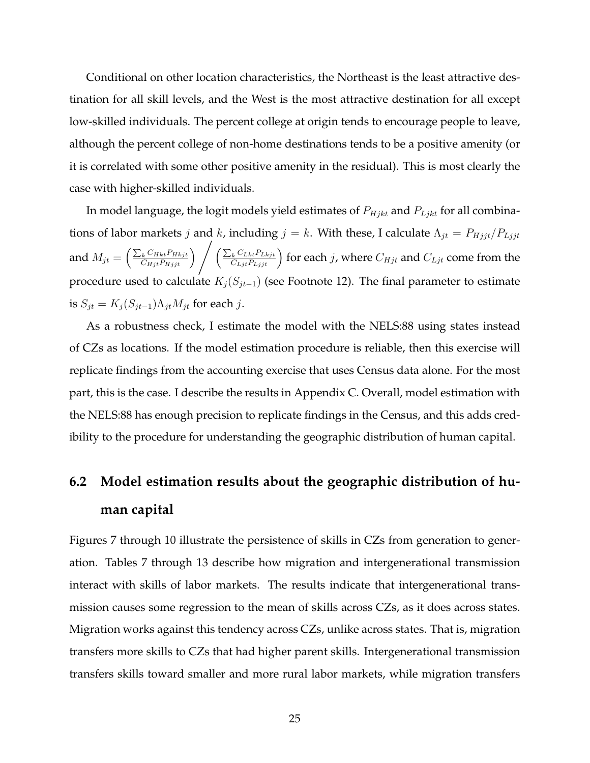Conditional on other location characteristics, the Northeast is the least attractive destination for all skill levels, and the West is the most attractive destination for all except low-skilled individuals. The percent college at origin tends to encourage people to leave, although the percent college of non-home destinations tends to be a positive amenity (or it is correlated with some other positive amenity in the residual). This is most clearly the case with higher-skilled individuals.

In model language, the logit models yield estimates of  $P_{Hjkt}$  and  $P_{Ljkt}$  for all combinations of labor markets j and k, including  $j = k$ . With these, I calculate  $\Lambda_{jt} = P_{Hjjt}/P_{Ljjt}$ and  $M_{jt} = \left(\frac{\sum_{k} C_{Hkt} P_{Hkjt}}{C_{Hjt} P_{Hkjt}}\right)$  $\left(\frac{C_{Hkt}P_{Hkjt}}{C_{Hjt}P_{Hjjt}}\right)$   $\left(\frac{\sum_{i=1}^{T}P_{Hjjt}}{C_{Hjt}P_{Hjjt}}\right)$  $\left(\frac{C_{Lkt}P_{Lkjt}}{C_{Ljt}P_{Ljjt}}\right)$  for each  $j$ , where  $C_{Hjt}$  and  $C_{Ljt}$  come from the procedure used to calculate  $K_i(S_{jt-1})$  (see Footnote 12). The final parameter to estimate is  $S_{jt} = K_j (S_{jt-1}) \Lambda_{jt} M_{jt}$  for each  $j.$ 

As a robustness check, I estimate the model with the NELS:88 using states instead of CZs as locations. If the model estimation procedure is reliable, then this exercise will replicate findings from the accounting exercise that uses Census data alone. For the most part, this is the case. I describe the results in Appendix C. Overall, model estimation with the NELS:88 has enough precision to replicate findings in the Census, and this adds credibility to the procedure for understanding the geographic distribution of human capital.

## **6.2 Model estimation results about the geographic distribution of human capital**

Figures 7 through 10 illustrate the persistence of skills in CZs from generation to generation. Tables 7 through 13 describe how migration and intergenerational transmission interact with skills of labor markets. The results indicate that intergenerational transmission causes some regression to the mean of skills across CZs, as it does across states. Migration works against this tendency across CZs, unlike across states. That is, migration transfers more skills to CZs that had higher parent skills. Intergenerational transmission transfers skills toward smaller and more rural labor markets, while migration transfers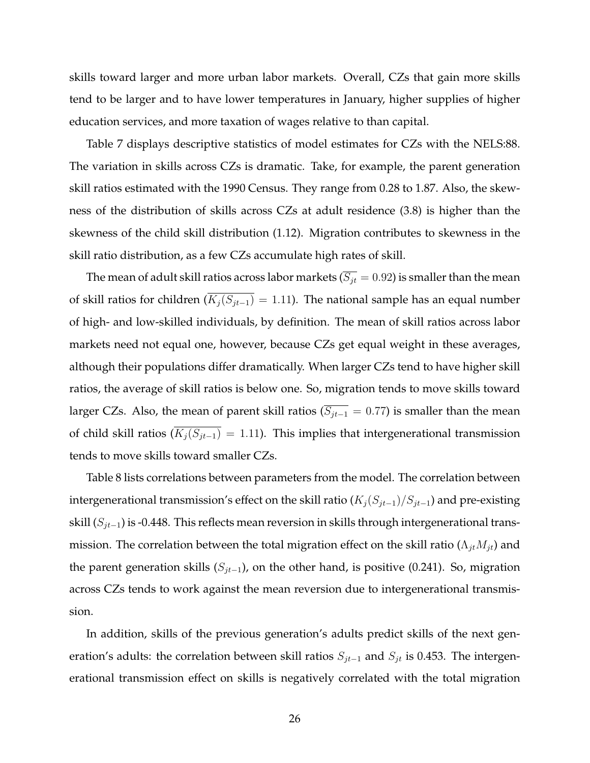skills toward larger and more urban labor markets. Overall, CZs that gain more skills tend to be larger and to have lower temperatures in January, higher supplies of higher education services, and more taxation of wages relative to than capital.

Table 7 displays descriptive statistics of model estimates for CZs with the NELS:88. The variation in skills across CZs is dramatic. Take, for example, the parent generation skill ratios estimated with the 1990 Census. They range from 0.28 to 1.87. Also, the skewness of the distribution of skills across CZs at adult residence (3.8) is higher than the skewness of the child skill distribution (1.12). Migration contributes to skewness in the skill ratio distribution, as a few CZs accumulate high rates of skill.

The mean of adult skill ratios across labor markets ( $\overline{S_{jt}} = 0.92$ ) is smaller than the mean of skill ratios for children ( $\overline{K_j(S_{jt-1})}$  = 1.11). The national sample has an equal number of high- and low-skilled individuals, by definition. The mean of skill ratios across labor markets need not equal one, however, because CZs get equal weight in these averages, although their populations differ dramatically. When larger CZs tend to have higher skill ratios, the average of skill ratios is below one. So, migration tends to move skills toward larger CZs. Also, the mean of parent skill ratios ( $\overline{S_{jt-1}} = 0.77$ ) is smaller than the mean of child skill ratios  $(\overline{K_j(S_{jt-1})} = 1.11)$ . This implies that intergenerational transmission tends to move skills toward smaller CZs.

Table 8 lists correlations between parameters from the model. The correlation between intergenerational transmission's effect on the skill ratio ( $K_j(S_{jt-1})/S_{jt-1}$ ) and pre-existing skill  $(S_{jt-1})$  is -0.448. This reflects mean reversion in skills through intergenerational transmission. The correlation between the total migration effect on the skill ratio ( $\Lambda_{jt}M_{jt}$ ) and the parent generation skills ( $S_{jt-1}$ ), on the other hand, is positive (0.241). So, migration across CZs tends to work against the mean reversion due to intergenerational transmission.

In addition, skills of the previous generation's adults predict skills of the next generation's adults: the correlation between skill ratios  $S_{jt-1}$  and  $S_{jt}$  is 0.453. The intergenerational transmission effect on skills is negatively correlated with the total migration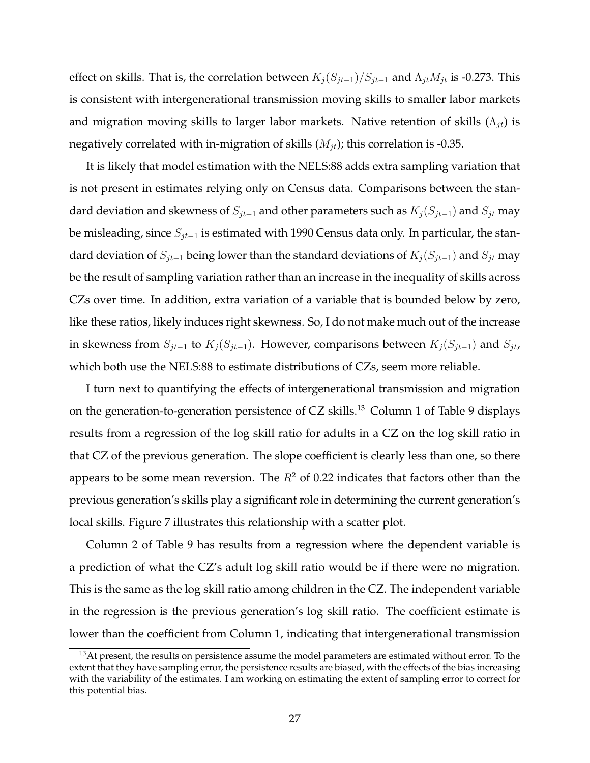effect on skills. That is, the correlation between  $K_j(S_{jt-1})/S_{jt-1}$  and  $\Lambda_{jt}M_{jt}$  is -0.273. This is consistent with intergenerational transmission moving skills to smaller labor markets and migration moving skills to larger labor markets. Native retention of skills  $(\Lambda_{it})$  is negatively correlated with in-migration of skills  $(M_{it})$ ; this correlation is -0.35.

It is likely that model estimation with the NELS:88 adds extra sampling variation that is not present in estimates relying only on Census data. Comparisons between the standard deviation and skewness of  $S_{jt-1}$  and other parameters such as  $K_i(S_{jt-1})$  and  $S_{jt}$  may be misleading, since  $S_{jt-1}$  is estimated with 1990 Census data only. In particular, the standard deviation of  $S_{jt-1}$  being lower than the standard deviations of  $K_i(S_{jt-1})$  and  $S_{jt}$  may be the result of sampling variation rather than an increase in the inequality of skills across CZs over time. In addition, extra variation of a variable that is bounded below by zero, like these ratios, likely induces right skewness. So, I do not make much out of the increase in skewness from  $S_{jt-1}$  to  $K_j(S_{jt-1})$ . However, comparisons between  $K_j(S_{jt-1})$  and  $S_{jt}$ , which both use the NELS:88 to estimate distributions of CZs, seem more reliable.

I turn next to quantifying the effects of intergenerational transmission and migration on the generation-to-generation persistence of CZ skills.<sup>13</sup> Column 1 of Table 9 displays results from a regression of the log skill ratio for adults in a CZ on the log skill ratio in that CZ of the previous generation. The slope coefficient is clearly less than one, so there appears to be some mean reversion. The  $R^2$  of 0.22 indicates that factors other than the previous generation's skills play a significant role in determining the current generation's local skills. Figure 7 illustrates this relationship with a scatter plot.

Column 2 of Table 9 has results from a regression where the dependent variable is a prediction of what the CZ's adult log skill ratio would be if there were no migration. This is the same as the log skill ratio among children in the CZ. The independent variable in the regression is the previous generation's log skill ratio. The coefficient estimate is lower than the coefficient from Column 1, indicating that intergenerational transmission

<sup>&</sup>lt;sup>13</sup>At present, the results on persistence assume the model parameters are estimated without error. To the extent that they have sampling error, the persistence results are biased, with the effects of the bias increasing with the variability of the estimates. I am working on estimating the extent of sampling error to correct for this potential bias.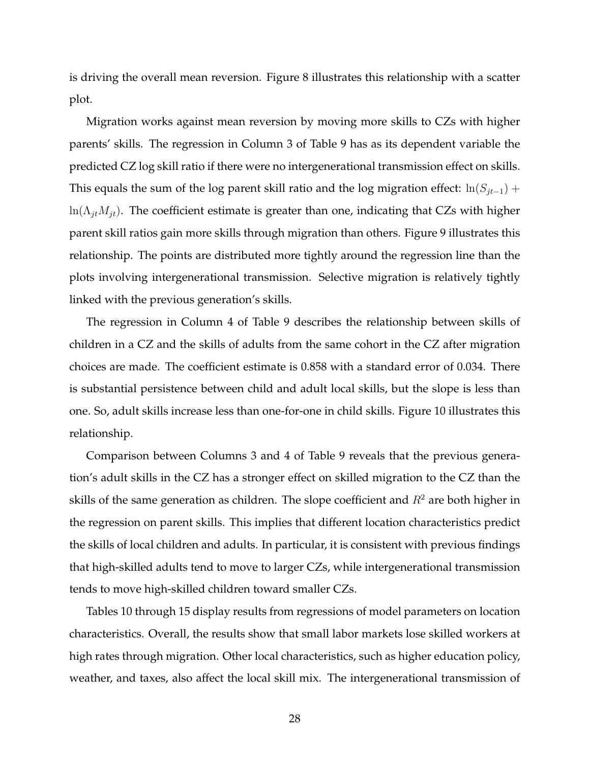is driving the overall mean reversion. Figure 8 illustrates this relationship with a scatter plot.

Migration works against mean reversion by moving more skills to CZs with higher parents' skills. The regression in Column 3 of Table 9 has as its dependent variable the predicted CZ log skill ratio if there were no intergenerational transmission effect on skills. This equals the sum of the log parent skill ratio and the log migration effect:  $ln(S_{it-1})$  +  $ln(\Lambda_{it}M_{it})$ . The coefficient estimate is greater than one, indicating that CZs with higher parent skill ratios gain more skills through migration than others. Figure 9 illustrates this relationship. The points are distributed more tightly around the regression line than the plots involving intergenerational transmission. Selective migration is relatively tightly linked with the previous generation's skills.

The regression in Column 4 of Table 9 describes the relationship between skills of children in a CZ and the skills of adults from the same cohort in the CZ after migration choices are made. The coefficient estimate is 0.858 with a standard error of 0.034. There is substantial persistence between child and adult local skills, but the slope is less than one. So, adult skills increase less than one-for-one in child skills. Figure 10 illustrates this relationship.

Comparison between Columns 3 and 4 of Table 9 reveals that the previous generation's adult skills in the CZ has a stronger effect on skilled migration to the CZ than the skills of the same generation as children. The slope coefficient and  $R^2$  are both higher in the regression on parent skills. This implies that different location characteristics predict the skills of local children and adults. In particular, it is consistent with previous findings that high-skilled adults tend to move to larger CZs, while intergenerational transmission tends to move high-skilled children toward smaller CZs.

Tables 10 through 15 display results from regressions of model parameters on location characteristics. Overall, the results show that small labor markets lose skilled workers at high rates through migration. Other local characteristics, such as higher education policy, weather, and taxes, also affect the local skill mix. The intergenerational transmission of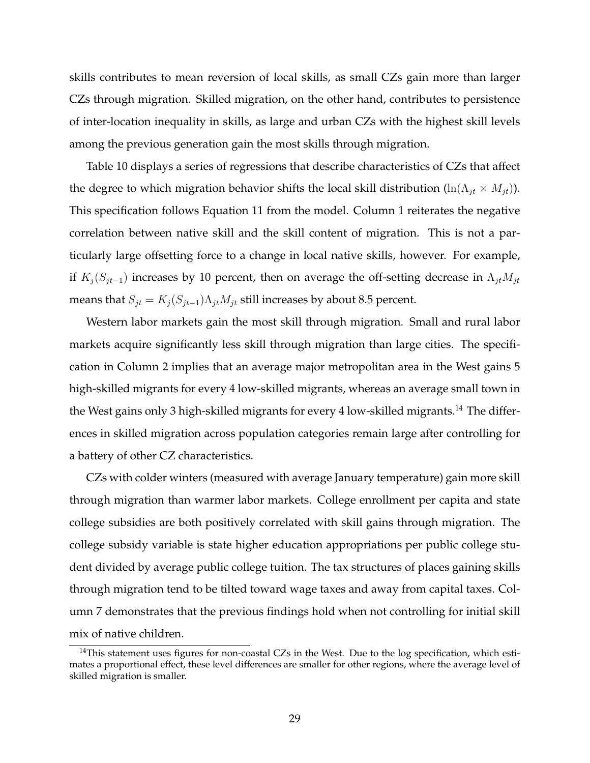skills contributes to mean reversion of local skills, as small CZs gain more than larger CZs through migration. Skilled migration, on the other hand, contributes to persistence of inter-location inequality in skills, as large and urban CZs with the highest skill levels among the previous generation gain the most skills through migration.

Table 10 displays a series of regressions that describe characteristics of CZs that affect the degree to which migration behavior shifts the local skill distribution (ln( $\Lambda_{jt} \times M_{jt}$ )). This specification follows Equation 11 from the model. Column 1 reiterates the negative correlation between native skill and the skill content of migration. This is not a particularly large offsetting force to a change in local native skills, however. For example, if  $K_j(S_{jt-1})$  increases by 10 percent, then on average the off-setting decrease in  $\Lambda_{jt}M_{jt}$ means that  $S_{jt} = K_j (S_{jt-1}) \Lambda_{jt} M_{jt}$  still increases by about 8.5 percent.

Western labor markets gain the most skill through migration. Small and rural labor markets acquire significantly less skill through migration than large cities. The specification in Column 2 implies that an average major metropolitan area in the West gains 5 high-skilled migrants for every 4 low-skilled migrants, whereas an average small town in the West gains only 3 high-skilled migrants for every 4 low-skilled migrants.<sup>14</sup> The differences in skilled migration across population categories remain large after controlling for a battery of other CZ characteristics.

CZs with colder winters (measured with average January temperature) gain more skill through migration than warmer labor markets. College enrollment per capita and state college subsidies are both positively correlated with skill gains through migration. The college subsidy variable is state higher education appropriations per public college student divided by average public college tuition. The tax structures of places gaining skills through migration tend to be tilted toward wage taxes and away from capital taxes. Column 7 demonstrates that the previous findings hold when not controlling for initial skill mix of native children.

<sup>&</sup>lt;sup>14</sup>This statement uses figures for non-coastal CZs in the West. Due to the log specification, which estimates a proportional effect, these level differences are smaller for other regions, where the average level of skilled migration is smaller.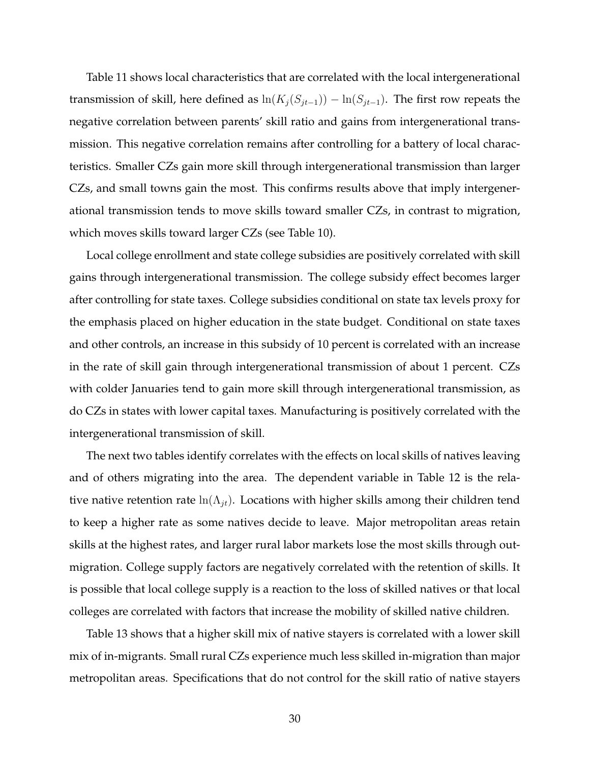Table 11 shows local characteristics that are correlated with the local intergenerational transmission of skill, here defined as  $\ln(K_j(S_{jt-1})) - \ln(S_{jt-1})$ . The first row repeats the negative correlation between parents' skill ratio and gains from intergenerational transmission. This negative correlation remains after controlling for a battery of local characteristics. Smaller CZs gain more skill through intergenerational transmission than larger CZs, and small towns gain the most. This confirms results above that imply intergenerational transmission tends to move skills toward smaller CZs, in contrast to migration, which moves skills toward larger CZs (see Table 10).

Local college enrollment and state college subsidies are positively correlated with skill gains through intergenerational transmission. The college subsidy effect becomes larger after controlling for state taxes. College subsidies conditional on state tax levels proxy for the emphasis placed on higher education in the state budget. Conditional on state taxes and other controls, an increase in this subsidy of 10 percent is correlated with an increase in the rate of skill gain through intergenerational transmission of about 1 percent. CZs with colder Januaries tend to gain more skill through intergenerational transmission, as do CZs in states with lower capital taxes. Manufacturing is positively correlated with the intergenerational transmission of skill.

The next two tables identify correlates with the effects on local skills of natives leaving and of others migrating into the area. The dependent variable in Table 12 is the relative native retention rate  $ln(\Lambda_{it})$ . Locations with higher skills among their children tend to keep a higher rate as some natives decide to leave. Major metropolitan areas retain skills at the highest rates, and larger rural labor markets lose the most skills through outmigration. College supply factors are negatively correlated with the retention of skills. It is possible that local college supply is a reaction to the loss of skilled natives or that local colleges are correlated with factors that increase the mobility of skilled native children.

Table 13 shows that a higher skill mix of native stayers is correlated with a lower skill mix of in-migrants. Small rural CZs experience much less skilled in-migration than major metropolitan areas. Specifications that do not control for the skill ratio of native stayers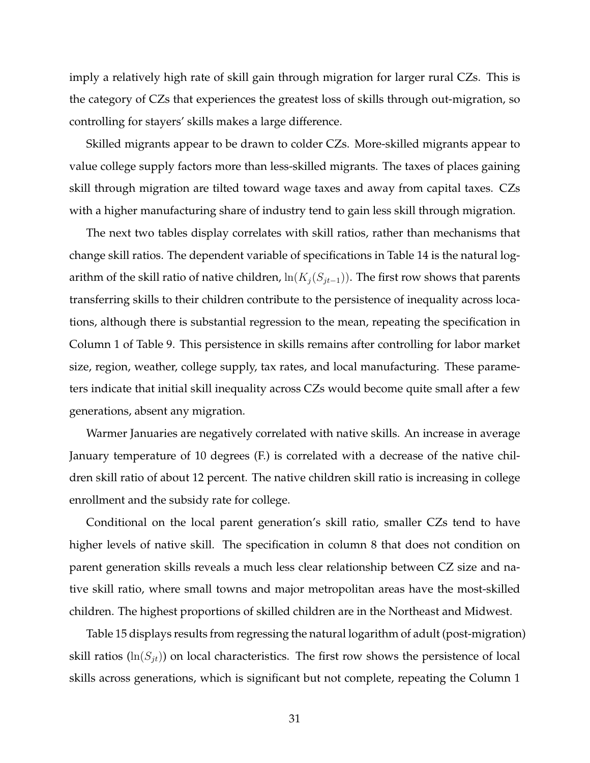imply a relatively high rate of skill gain through migration for larger rural CZs. This is the category of CZs that experiences the greatest loss of skills through out-migration, so controlling for stayers' skills makes a large difference.

Skilled migrants appear to be drawn to colder CZs. More-skilled migrants appear to value college supply factors more than less-skilled migrants. The taxes of places gaining skill through migration are tilted toward wage taxes and away from capital taxes. CZs with a higher manufacturing share of industry tend to gain less skill through migration.

The next two tables display correlates with skill ratios, rather than mechanisms that change skill ratios. The dependent variable of specifications in Table 14 is the natural logarithm of the skill ratio of native children,  $\ln(K_j(S_{jt-1}))$ . The first row shows that parents transferring skills to their children contribute to the persistence of inequality across locations, although there is substantial regression to the mean, repeating the specification in Column 1 of Table 9. This persistence in skills remains after controlling for labor market size, region, weather, college supply, tax rates, and local manufacturing. These parameters indicate that initial skill inequality across CZs would become quite small after a few generations, absent any migration.

Warmer Januaries are negatively correlated with native skills. An increase in average January temperature of 10 degrees (F.) is correlated with a decrease of the native children skill ratio of about 12 percent. The native children skill ratio is increasing in college enrollment and the subsidy rate for college.

Conditional on the local parent generation's skill ratio, smaller CZs tend to have higher levels of native skill. The specification in column 8 that does not condition on parent generation skills reveals a much less clear relationship between CZ size and native skill ratio, where small towns and major metropolitan areas have the most-skilled children. The highest proportions of skilled children are in the Northeast and Midwest.

Table 15 displays results from regressing the natural logarithm of adult (post-migration) skill ratios ( $ln(S_{it})$ ) on local characteristics. The first row shows the persistence of local skills across generations, which is significant but not complete, repeating the Column 1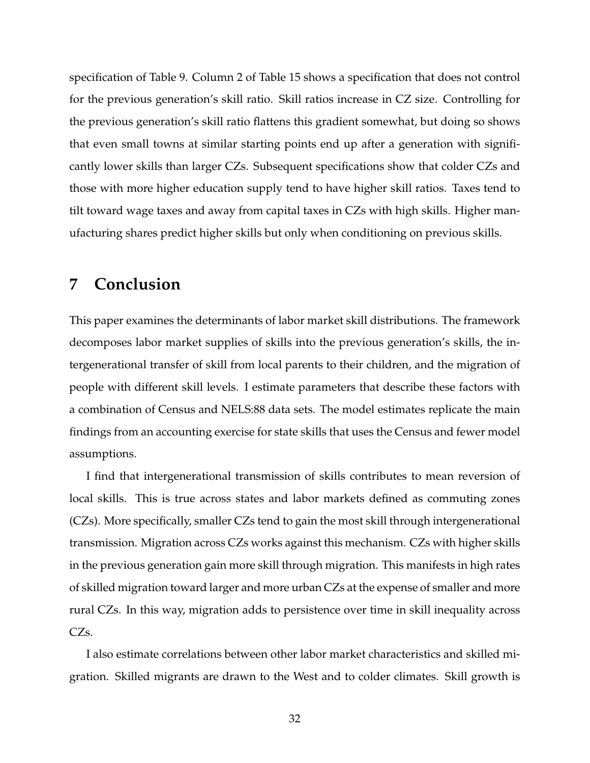specification of Table 9. Column 2 of Table 15 shows a specification that does not control for the previous generation's skill ratio. Skill ratios increase in CZ size. Controlling for the previous generation's skill ratio flattens this gradient somewhat, but doing so shows that even small towns at similar starting points end up after a generation with significantly lower skills than larger CZs. Subsequent specifications show that colder CZs and those with more higher education supply tend to have higher skill ratios. Taxes tend to tilt toward wage taxes and away from capital taxes in CZs with high skills. Higher manufacturing shares predict higher skills but only when conditioning on previous skills.

## **7 Conclusion**

This paper examines the determinants of labor market skill distributions. The framework decomposes labor market supplies of skills into the previous generation's skills, the intergenerational transfer of skill from local parents to their children, and the migration of people with different skill levels. I estimate parameters that describe these factors with a combination of Census and NELS:88 data sets. The model estimates replicate the main findings from an accounting exercise for state skills that uses the Census and fewer model assumptions.

I find that intergenerational transmission of skills contributes to mean reversion of local skills. This is true across states and labor markets defined as commuting zones (CZs). More specifically, smaller CZs tend to gain the most skill through intergenerational transmission. Migration across CZs works against this mechanism. CZs with higher skills in the previous generation gain more skill through migration. This manifests in high rates of skilled migration toward larger and more urban CZs at the expense of smaller and more rural CZs. In this way, migration adds to persistence over time in skill inequality across CZs.

I also estimate correlations between other labor market characteristics and skilled migration. Skilled migrants are drawn to the West and to colder climates. Skill growth is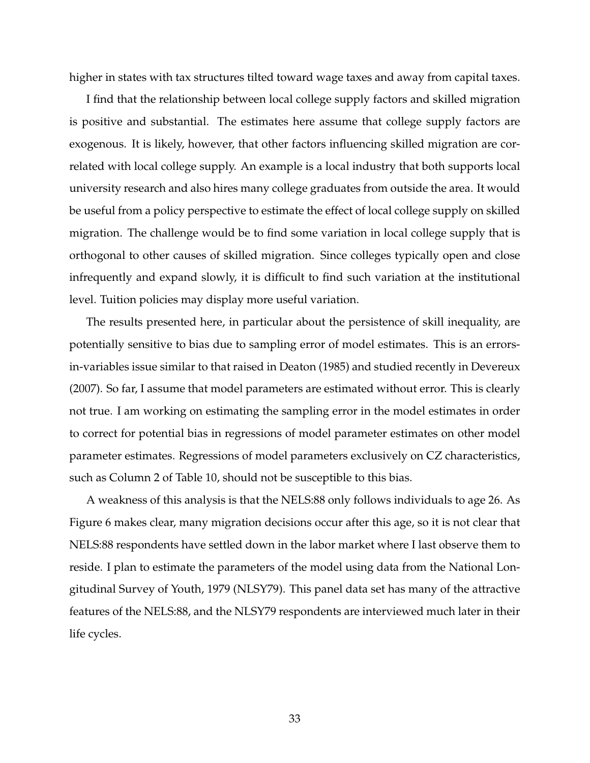higher in states with tax structures tilted toward wage taxes and away from capital taxes.

I find that the relationship between local college supply factors and skilled migration is positive and substantial. The estimates here assume that college supply factors are exogenous. It is likely, however, that other factors influencing skilled migration are correlated with local college supply. An example is a local industry that both supports local university research and also hires many college graduates from outside the area. It would be useful from a policy perspective to estimate the effect of local college supply on skilled migration. The challenge would be to find some variation in local college supply that is orthogonal to other causes of skilled migration. Since colleges typically open and close infrequently and expand slowly, it is difficult to find such variation at the institutional level. Tuition policies may display more useful variation.

The results presented here, in particular about the persistence of skill inequality, are potentially sensitive to bias due to sampling error of model estimates. This is an errorsin-variables issue similar to that raised in Deaton (1985) and studied recently in Devereux (2007). So far, I assume that model parameters are estimated without error. This is clearly not true. I am working on estimating the sampling error in the model estimates in order to correct for potential bias in regressions of model parameter estimates on other model parameter estimates. Regressions of model parameters exclusively on CZ characteristics, such as Column 2 of Table 10, should not be susceptible to this bias.

A weakness of this analysis is that the NELS:88 only follows individuals to age 26. As Figure 6 makes clear, many migration decisions occur after this age, so it is not clear that NELS:88 respondents have settled down in the labor market where I last observe them to reside. I plan to estimate the parameters of the model using data from the National Longitudinal Survey of Youth, 1979 (NLSY79). This panel data set has many of the attractive features of the NELS:88, and the NLSY79 respondents are interviewed much later in their life cycles.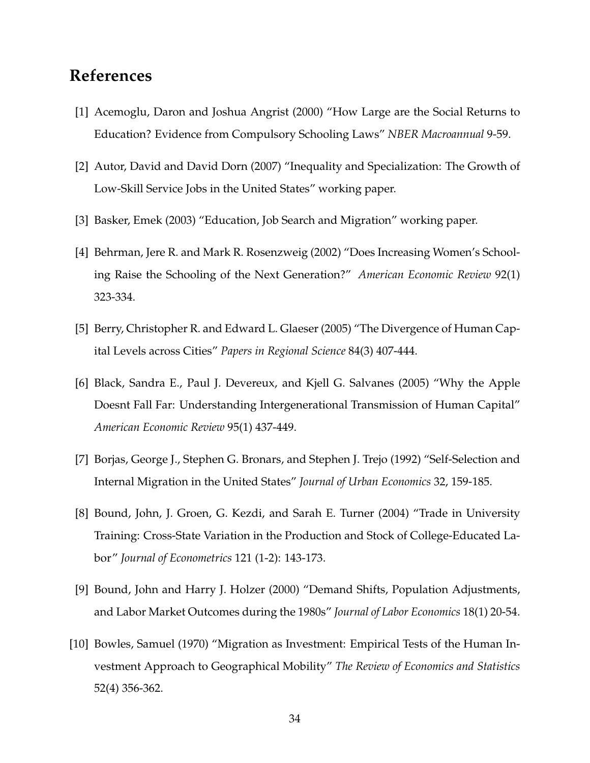## **References**

- [1] Acemoglu, Daron and Joshua Angrist (2000) "How Large are the Social Returns to Education? Evidence from Compulsory Schooling Laws" *NBER Macroannual* 9-59.
- [2] Autor, David and David Dorn (2007) "Inequality and Specialization: The Growth of Low-Skill Service Jobs in the United States" working paper.
- [3] Basker, Emek (2003) "Education, Job Search and Migration" working paper.
- [4] Behrman, Jere R. and Mark R. Rosenzweig (2002) "Does Increasing Women's Schooling Raise the Schooling of the Next Generation?" *American Economic Review* 92(1) 323-334.
- [5] Berry, Christopher R. and Edward L. Glaeser (2005) "The Divergence of Human Capital Levels across Cities" *Papers in Regional Science* 84(3) 407-444.
- [6] Black, Sandra E., Paul J. Devereux, and Kjell G. Salvanes (2005) "Why the Apple Doesnt Fall Far: Understanding Intergenerational Transmission of Human Capital" *American Economic Review* 95(1) 437-449.
- [7] Borjas, George J., Stephen G. Bronars, and Stephen J. Trejo (1992) "Self-Selection and Internal Migration in the United States" *Journal of Urban Economics* 32, 159-185.
- [8] Bound, John, J. Groen, G. Kezdi, and Sarah E. Turner (2004) "Trade in University Training: Cross-State Variation in the Production and Stock of College-Educated Labor" *Journal of Econometrics* 121 (1-2): 143-173.
- [9] Bound, John and Harry J. Holzer (2000) "Demand Shifts, Population Adjustments, and Labor Market Outcomes during the 1980s" *Journal of Labor Economics* 18(1) 20-54.
- [10] Bowles, Samuel (1970) "Migration as Investment: Empirical Tests of the Human Investment Approach to Geographical Mobility" *The Review of Economics and Statistics* 52(4) 356-362.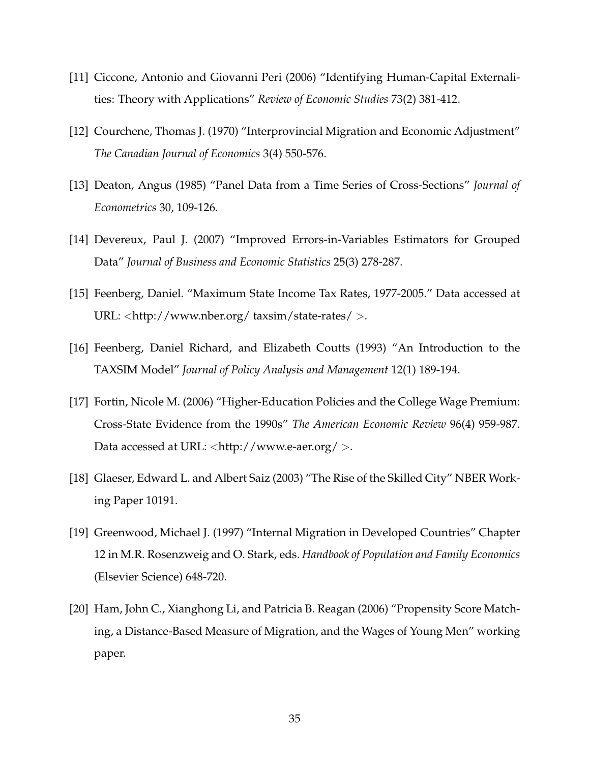- [11] Ciccone, Antonio and Giovanni Peri (2006) "Identifying Human-Capital Externalities: Theory with Applications" *Review of Economic Studies* 73(2) 381-412.
- [12] Courchene, Thomas J. (1970) "Interprovincial Migration and Economic Adjustment" *The Canadian Journal of Economics* 3(4) 550-576.
- [13] Deaton, Angus (1985) "Panel Data from a Time Series of Cross-Sections" *Journal of Econometrics* 30, 109-126.
- [14] Devereux, Paul J. (2007) "Improved Errors-in-Variables Estimators for Grouped Data" *Journal of Business and Economic Statistics* 25(3) 278-287.
- [15] Feenberg, Daniel. "Maximum State Income Tax Rates, 1977-2005." Data accessed at URL: <http://www.nber.org/ taxsim/state-rates/ >.
- [16] Feenberg, Daniel Richard, and Elizabeth Coutts (1993) "An Introduction to the TAXSIM Model" *Journal of Policy Analysis and Management* 12(1) 189-194.
- [17] Fortin, Nicole M. (2006) "Higher-Education Policies and the College Wage Premium: Cross-State Evidence from the 1990s" *The American Economic Review* 96(4) 959-987. Data accessed at URL:  $\langle$ http://www.e-aer.org/ $>$ .
- [18] Glaeser, Edward L. and Albert Saiz (2003) "The Rise of the Skilled City" NBER Working Paper 10191.
- [19] Greenwood, Michael J. (1997) "Internal Migration in Developed Countries" Chapter 12 in M.R. Rosenzweig and O. Stark, eds. *Handbook of Population and Family Economics* (Elsevier Science) 648-720.
- [20] Ham, John C., Xianghong Li, and Patricia B. Reagan (2006) "Propensity Score Matching, a Distance-Based Measure of Migration, and the Wages of Young Men" working paper.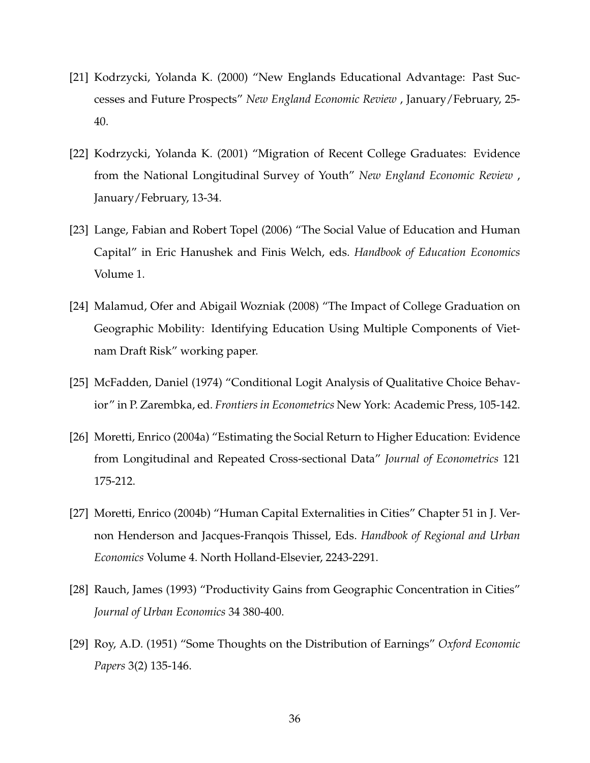- [21] Kodrzycki, Yolanda K. (2000) "New Englands Educational Advantage: Past Successes and Future Prospects" *New England Economic Review* , January/February, 25- 40.
- [22] Kodrzycki, Yolanda K. (2001) "Migration of Recent College Graduates: Evidence from the National Longitudinal Survey of Youth" *New England Economic Review* , January/February, 13-34.
- [23] Lange, Fabian and Robert Topel (2006) "The Social Value of Education and Human Capital" in Eric Hanushek and Finis Welch, eds. *Handbook of Education Economics* Volume 1.
- [24] Malamud, Ofer and Abigail Wozniak (2008) "The Impact of College Graduation on Geographic Mobility: Identifying Education Using Multiple Components of Vietnam Draft Risk" working paper.
- [25] McFadden, Daniel (1974) "Conditional Logit Analysis of Qualitative Choice Behavior" in P. Zarembka, ed. *Frontiers in Econometrics* New York: Academic Press, 105-142.
- [26] Moretti, Enrico (2004a) "Estimating the Social Return to Higher Education: Evidence from Longitudinal and Repeated Cross-sectional Data" *Journal of Econometrics* 121 175-212.
- [27] Moretti, Enrico (2004b) "Human Capital Externalities in Cities" Chapter 51 in J. Vernon Henderson and Jacques-Franqois Thissel, Eds. *Handbook of Regional and Urban Economics* Volume 4. North Holland-Elsevier, 2243-2291.
- [28] Rauch, James (1993) "Productivity Gains from Geographic Concentration in Cities" *Journal of Urban Economics* 34 380-400.
- [29] Roy, A.D. (1951) "Some Thoughts on the Distribution of Earnings" *Oxford Economic Papers* 3(2) 135-146.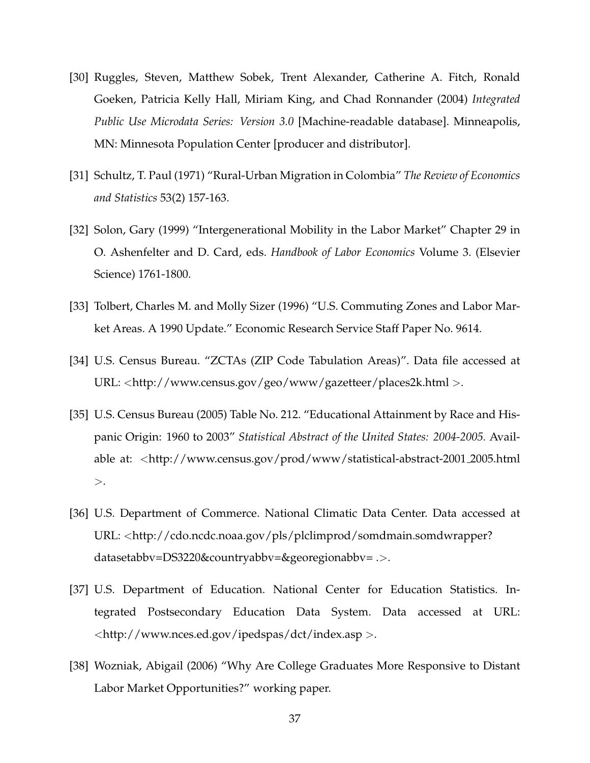- [30] Ruggles, Steven, Matthew Sobek, Trent Alexander, Catherine A. Fitch, Ronald Goeken, Patricia Kelly Hall, Miriam King, and Chad Ronnander (2004) *Integrated Public Use Microdata Series: Version 3.0* [Machine-readable database]. Minneapolis, MN: Minnesota Population Center [producer and distributor].
- [31] Schultz, T. Paul (1971) "Rural-Urban Migration in Colombia" *The Review of Economics and Statistics* 53(2) 157-163.
- [32] Solon, Gary (1999) "Intergenerational Mobility in the Labor Market" Chapter 29 in O. Ashenfelter and D. Card, eds. *Handbook of Labor Economics* Volume 3. (Elsevier Science) 1761-1800.
- [33] Tolbert, Charles M. and Molly Sizer (1996) "U.S. Commuting Zones and Labor Market Areas. A 1990 Update." Economic Research Service Staff Paper No. 9614.
- [34] U.S. Census Bureau. "ZCTAs (ZIP Code Tabulation Areas)". Data file accessed at URL: <http://www.census.gov/geo/www/gazetteer/places2k.html >.
- [35] U.S. Census Bureau (2005) Table No. 212. "Educational Attainment by Race and Hispanic Origin: 1960 to 2003" *Statistical Abstract of the United States: 2004-2005.* Available at: <http://www.census.gov/prod/www/statistical-abstract-2001 2005.html  $>$ .
- [36] U.S. Department of Commerce. National Climatic Data Center. Data accessed at URL: <http://cdo.ncdc.noaa.gov/pls/plclimprod/somdmain.somdwrapper? datasetabbv=DS3220&countryabbv=&georegionabbv= .>.
- [37] U.S. Department of Education. National Center for Education Statistics. Integrated Postsecondary Education Data System. Data accessed at URL: <http://www.nces.ed.gov/ipedspas/dct/index.asp >.
- [38] Wozniak, Abigail (2006) "Why Are College Graduates More Responsive to Distant Labor Market Opportunities?" working paper.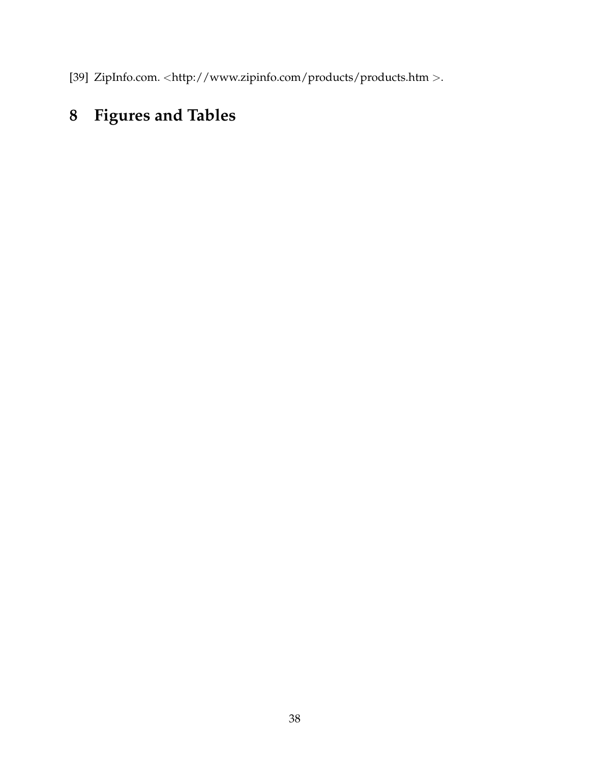[39] ZipInfo.com. <http://www.zipinfo.com/products/products.htm >.

## **8 Figures and Tables**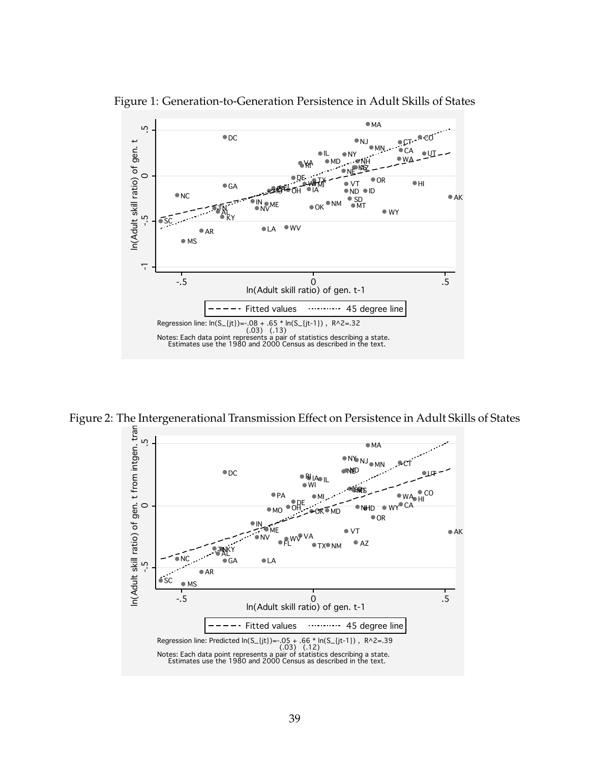

Figure 2: The Intergenerational Transmission Effect on Persistence in Adult Skills of States AL  $\overline{1}$  $\overline{1}$ t-1 The intergenciational manifestion enter on Fe

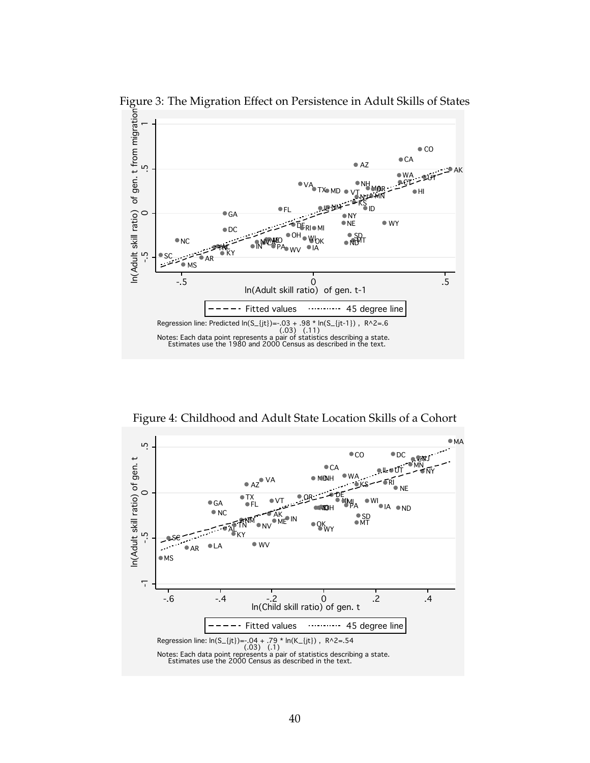

Figure 3: The Migration Effect on Persistence in Adult Skills of States

Figure 4: Childhood and Adult State Location Skills of a Cohort

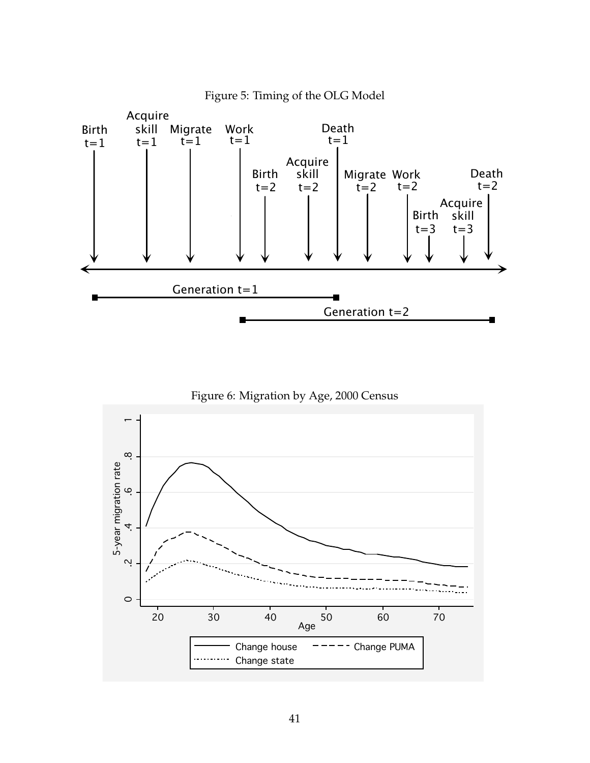





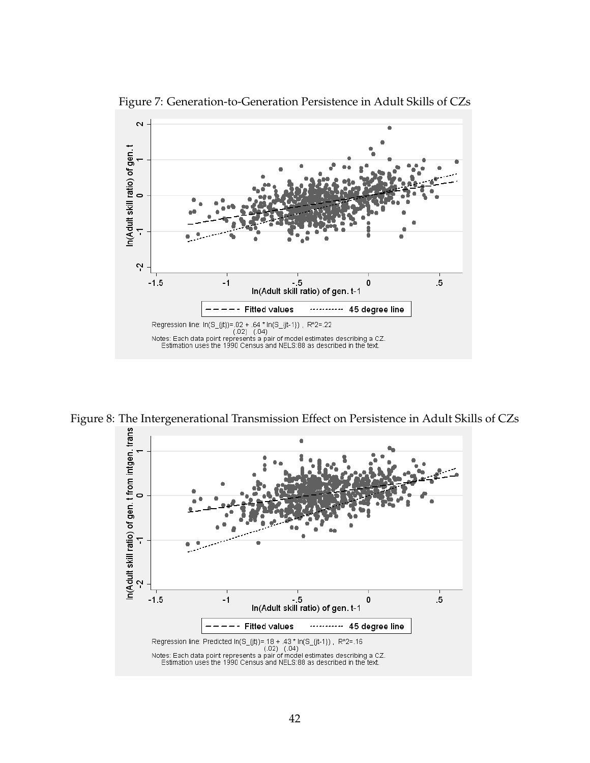

Figure 7: Generation-to-Generation Persistence in Adult Skills of CZs

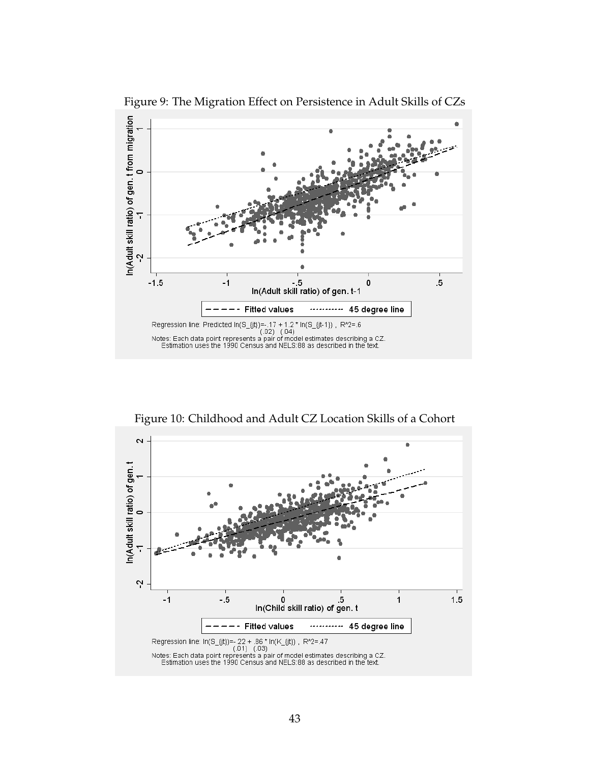

Figure 9: The Migration Effect on Persistence in Adult Skills of CZs

Figure 10: Childhood and Adult CZ Location Skills of a Cohort

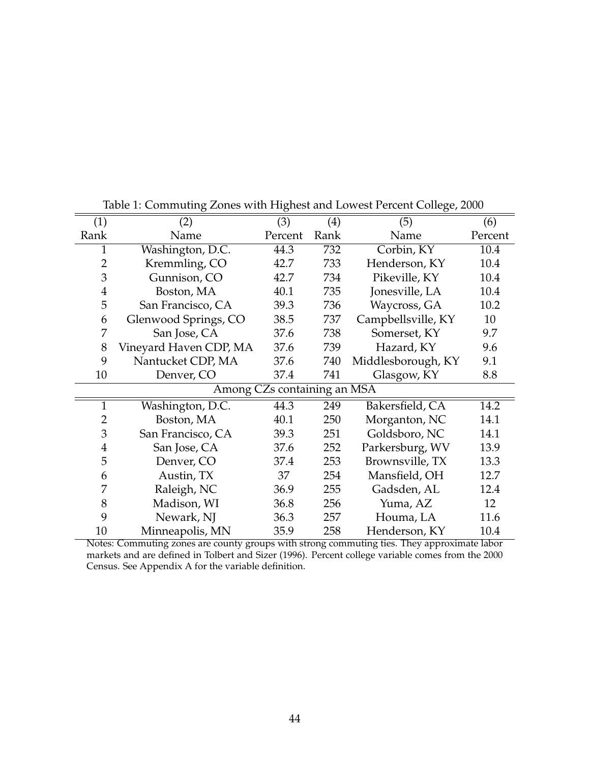|                | O                      | $\sigma$                    |      | $\sigma$ <sup>-</sup> |         |
|----------------|------------------------|-----------------------------|------|-----------------------|---------|
| (1)            | (2)                    | (3)                         | (4)  | (5)                   | (6)     |
| Rank           | Name                   | Percent                     | Rank | Name                  | Percent |
| 1              | Washington, D.C.       | 44.3                        | 732  | Corbin, KY            | 10.4    |
| $\overline{2}$ | Kremmling, CO          | 42.7                        | 733  | Henderson, KY         | 10.4    |
| 3              | Gunnison, CO           | 42.7                        | 734  | Pikeville, KY         | 10.4    |
| $\overline{4}$ | Boston, MA             | 40.1                        | 735  | Jonesville, LA        | 10.4    |
| 5              | San Francisco, CA      | 39.3                        | 736  | Waycross, GA          | 10.2    |
| 6              | Glenwood Springs, CO   | 38.5                        | 737  | Campbellsville, KY    | 10      |
| 7              | San Jose, CA           | 37.6                        | 738  | Somerset, KY          | 9.7     |
| 8              | Vineyard Haven CDP, MA | 37.6                        | 739  | Hazard, KY            | 9.6     |
| 9              | Nantucket CDP, MA      | 37.6                        | 740  | Middlesborough, KY    | 9.1     |
| 10             | Denver, CO             | 37.4                        | 741  | Glasgow, KY           | 8.8     |
|                |                        | Among CZs containing an MSA |      |                       |         |
| $\mathbf{1}$   | Washington, D.C.       | 44.3                        | 249  | Bakersfield, CA       | 14.2    |
| $\overline{2}$ | Boston, MA             | 40.1                        | 250  | Morganton, NC         | 14.1    |
| 3              | San Francisco, CA      | 39.3                        | 251  | Goldsboro, NC         | 14.1    |
| $\overline{4}$ | San Jose, CA           | 37.6                        | 252  | Parkersburg, WV       | 13.9    |
| 5              | Denver, CO             | 37.4                        | 253  | Brownsville, TX       | 13.3    |
| 6              | Austin, TX             | 37                          | 254  | Mansfield, OH         | 12.7    |
| 7              | Raleigh, NC            | 36.9                        | 255  | Gadsden, AL           | 12.4    |
| 8              | Madison, WI            | 36.8                        | 256  | Yuma, AZ              | 12      |
| 9              | Newark, NJ             | 36.3                        | 257  | Houma, LA             | 11.6    |
| 10             | Minneapolis, MN        | 35.9                        | 258  | Henderson, KY         | 10.4    |

Table 1: Commuting Zones with Highest and Lowest Percent College, 2000

Notes: Commuting zones are county groups with strong commuting ties. They approximate labor markets and are defined in Tolbert and Sizer (1996). Percent college variable comes from the 2000 Census. See Appendix A for the variable definition.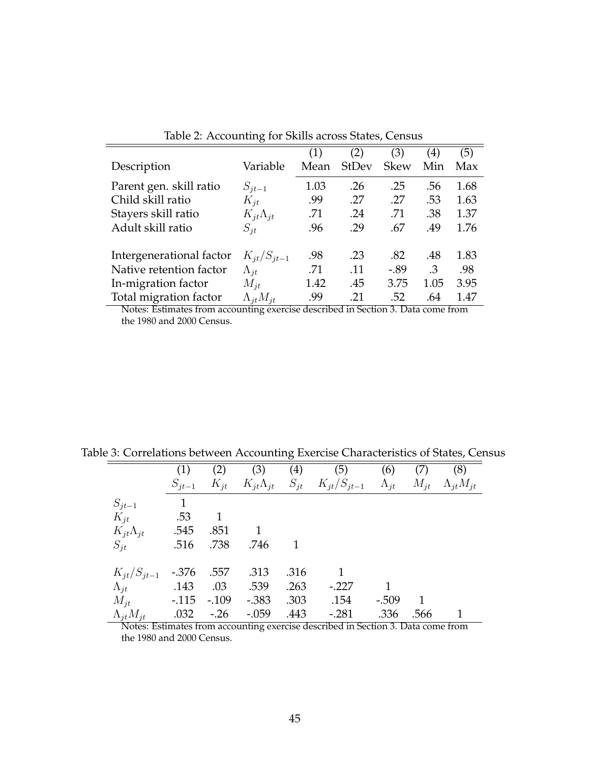|                          |                      | (1)  | (2)          | (3)         | $\left( 4\right)$ | (5)  |
|--------------------------|----------------------|------|--------------|-------------|-------------------|------|
| Description              | Variable             | Mean | <b>StDev</b> | <b>Skew</b> | Min               | Max  |
| Parent gen. skill ratio  | $S_{it-1}$           | 1.03 | .26          | .25         | .56               | 1.68 |
| Child skill ratio        | $K_{it}$             | .99  | .27          | .27         | .53               | 1.63 |
| Stayers skill ratio      | $K_{it}\Lambda_{jt}$ | .71  | .24          | .71         | .38               | 1.37 |
| Adult skill ratio        | $S_{it}$             | .96  | .29          | .67         | .49               | 1.76 |
| Intergenerational factor | $K_{it}/S_{it-1}$    | .98  | .23          | .82         | .48               | 1.83 |
| Native retention factor  | $\Lambda_{it}$       | .71  | .11          | $-.89$      | .3                | .98  |
| In-migration factor      | $M_{it}$             | 1.42 | .45          | 3.75        | 1.05              | 3.95 |
| Total migration factor   | $\Lambda_{it}M_{it}$ | .99  | .21          | .52         | .64               | 1.47 |

Table 2: Accounting for Skills across States, Census

Notes: Estimates from accounting exercise described in Section 3. Data come from the 1980 and 2000 Census.

|                         | (1)          | (2)         | (3)     | $\left( 4\right)$ | (5)                                                            | (6)          | (7)      | (8)                  |
|-------------------------|--------------|-------------|---------|-------------------|----------------------------------------------------------------|--------------|----------|----------------------|
|                         | $S_{jt-1}$   | $K_{it}$    |         |                   | $K_{it}\Lambda_{jt}$ $S_{jt}$ $K_{it}/S_{it-1}$ $\Lambda_{it}$ |              | $M_{it}$ | $\Lambda_{it}M_{it}$ |
| $S_{jt-1}$              | $\mathbf{1}$ |             |         |                   |                                                                |              |          |                      |
| $K_{it}$                | .53          | $\mathbf 1$ |         |                   |                                                                |              |          |                      |
| $K_{jt}\Lambda_{jt}$    | .545         | .851        | 1       |                   |                                                                |              |          |                      |
| $S_{it}$                | .516         | .738        | .746    | 1                 |                                                                |              |          |                      |
| $K_{it}/S_{it-1}$ -.376 |              | .557        | .313    | .316              | 1                                                              |              |          |                      |
| $\Lambda_{it}$          | .143         | .03         | .539    | .263              | $-.227$                                                        | $\mathbf{1}$ |          |                      |
| $M_{it}$                | $-.115$      | $-.109$     | $-.383$ | .303              | .154                                                           | $-.509$      | 1        |                      |
| $\Lambda_{jt}M_{jt}$    | .032         | $-26$       | $-.059$ | .443              | $-.281$                                                        | .336         | .566     |                      |

Table 3: Correlations between Accounting Exercise Characteristics of States, Census

Notes: Estimates from accounting exercise described in Section 3. Data come from the 1980 and 2000 Census.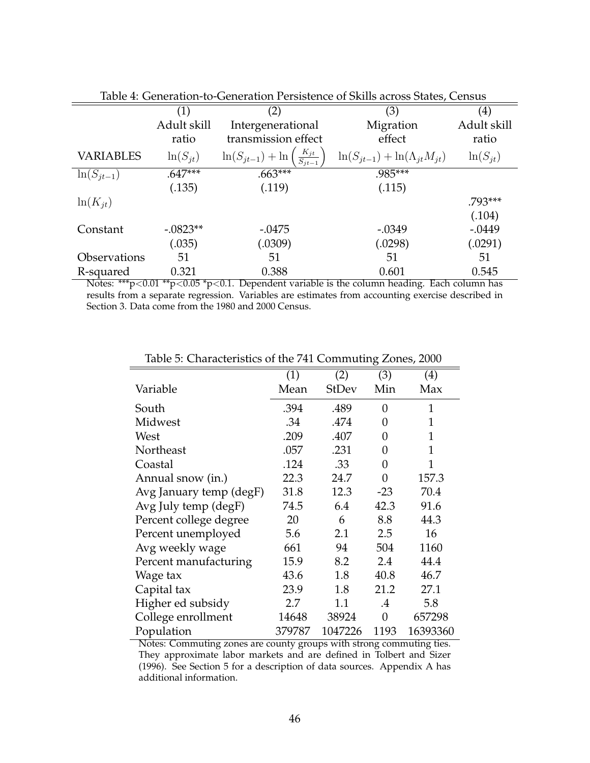| tuble 1. Ochemilon to Ochemilon I cholotence of orthological ottico, Centous |                   |                                                                   |                                           |              |  |  |  |  |
|------------------------------------------------------------------------------|-------------------|-------------------------------------------------------------------|-------------------------------------------|--------------|--|--|--|--|
|                                                                              | $\left( 1\right)$ | (2)                                                               | (3)                                       | (4)          |  |  |  |  |
|                                                                              | Adult skill       | Intergenerational                                                 | Migration                                 | Adult skill  |  |  |  |  |
|                                                                              | ratio             | transmission effect                                               | effect                                    | ratio        |  |  |  |  |
| <b>VARIABLES</b>                                                             | $ln(S_{it})$      | $\left(\frac{K_{jt}}{S_{jt-1}}\right)$<br>$\ln(S_{jt-1}) + \ln ($ | $\ln(S_{it-1}) + \ln(\Lambda_{it}M_{it})$ | $ln(S_{it})$ |  |  |  |  |
| $ln(S_{jt-1})$                                                               | $.647***$         | $.663***$                                                         | .985***                                   |              |  |  |  |  |
|                                                                              | (.135)            | (.119)                                                            | (.115)                                    |              |  |  |  |  |
| $ln(K_{it})$                                                                 |                   |                                                                   |                                           | .793***      |  |  |  |  |
|                                                                              |                   |                                                                   |                                           | (.104)       |  |  |  |  |
| Constant                                                                     | $-.0823**$        | $-.0475$                                                          | $-.0349$                                  | $-.0449$     |  |  |  |  |
|                                                                              | (.035)            | (.0309)                                                           | (.0298)                                   | (.0291)      |  |  |  |  |
| Observations                                                                 | 51                | 51                                                                | 51                                        | 51           |  |  |  |  |
| R-squared                                                                    | 0.321             | 0.388                                                             | 0.601                                     | 0.545        |  |  |  |  |

| Table 4: Generation-to-Generation Persistence of Skills across States, Census |  |
|-------------------------------------------------------------------------------|--|
|-------------------------------------------------------------------------------|--|

Notes: \*\*\*p<0.01 \*\*p<0.05 \*p<0.1. Dependent variable is the column heading. Each column has results from a separate regression. Variables are estimates from accounting exercise described in Section 3. Data come from the 1980 and 2000 Census.

|                         |        |              | Ō              |              |
|-------------------------|--------|--------------|----------------|--------------|
|                         | (1)    | (2)          | (3)            | (4)          |
| Variable                | Mean   | <b>StDev</b> | Min            | Max          |
| South                   | .394   | .489         | 0              | $\mathbf{1}$ |
| Midwest                 | .34    | .474         | 0              | $\mathbf{1}$ |
| West                    | .209   | .407         | 0              | 1            |
| Northeast               | .057   | .231         | 0              | $\mathbf{1}$ |
| Coastal                 | .124   | .33          | 0              | 1            |
| Annual snow (in.)       | 22.3   | 24.7         | 0              | 157.3        |
| Avg January temp (degF) | 31.8   | 12.3         | $-23$          | 70.4         |
| Avg July temp (degF)    | 74.5   | 6.4          | 42.3           | 91.6         |
| Percent college degree  | 20     | 6            | 8.8            | 44.3         |
| Percent unemployed      | 5.6    | 2.1          | 2.5            | 16           |
| Avg weekly wage         | 661    | 94           | 504            | 1160         |
| Percent manufacturing   | 15.9   | 8.2          | 2.4            | 44.4         |
| Wage tax                | 43.6   | 1.8          | 40.8           | 46.7         |
| Capital tax             | 23.9   | 1.8          | 21.2           | 27.1         |
| Higher ed subsidy       | 2.7    | 1.1          | $\cdot$        | 5.8          |
| College enrollment      | 14648  | 38924        | $\overline{0}$ | 657298       |
| Population              | 379787 | 1047226      | 1193           | 16393360     |

Table 5: Characteristics of the 741 Commuting Zones, 2000

Notes: Commuting zones are county groups with strong commuting ties. They approximate labor markets and are defined in Tolbert and Sizer (1996). See Section 5 for a description of data sources. Appendix A has additional information.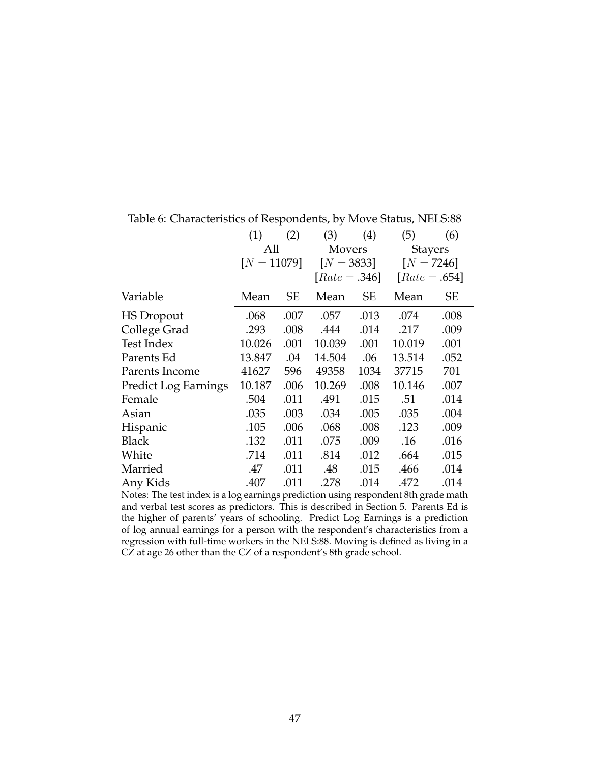| havie of Characteristics of Hespotiachief by the re-status, Principe |               |      |                 |      |                 |      |
|----------------------------------------------------------------------|---------------|------|-----------------|------|-----------------|------|
|                                                                      | (1)           | (2)  | (3)             | (4)  | (5)             | (6)  |
|                                                                      | All           |      | <b>Movers</b>   |      | <b>Stayers</b>  |      |
|                                                                      | $[N = 11079]$ |      | $[N = 3833]$    |      | $[N = 7246]$    |      |
|                                                                      |               |      | $[Rate = .346]$ |      | $[Rate = .654]$ |      |
| Variable                                                             | Mean          | SЕ   | Mean            | SE   | Mean            | SЕ   |
| <b>HS</b> Dropout                                                    | .068          | .007 | .057            | .013 | .074            | .008 |
| College Grad                                                         | .293          | .008 | .444            | .014 | .217            | .009 |
| Test Index                                                           | 10.026        | .001 | 10.039          | .001 | 10.019          | .001 |
| Parents Ed                                                           | 13.847        | .04  | 14.504          | .06  | 13.514          | .052 |
| Parents Income                                                       | 41627         | 596  | 49358           | 1034 | 37715           | 701  |
| <b>Predict Log Earnings</b>                                          | 10.187        | .006 | 10.269          | .008 | 10.146          | .007 |
| Female                                                               | .504          | .011 | .491            | .015 | .51             | .014 |
| Asian                                                                | .035          | .003 | .034            | .005 | .035            | .004 |
| Hispanic                                                             | .105          | .006 | .068            | .008 | .123            | .009 |
| <b>Black</b>                                                         | .132          | .011 | .075            | .009 | .16             | .016 |
| White                                                                | .714          | .011 | .814            | .012 | .664            | .015 |
| Married                                                              | .47           | .011 | .48             | .015 | .466            | .014 |
| Any Kids                                                             | .407          | .011 | .278            | .014 | .472            | .014 |

Table 6: Characteristics of Respondents, by Move Status, NELS:88

Notes: The test index is a log earnings prediction using respondent 8th grade math and verbal test scores as predictors. This is described in Section 5. Parents Ed is the higher of parents' years of schooling. Predict Log Earnings is a prediction of log annual earnings for a person with the respondent's characteristics from a regression with full-time workers in the NELS:88. Moving is defined as living in a CZ at age 26 other than the CZ of a respondent's 8th grade school.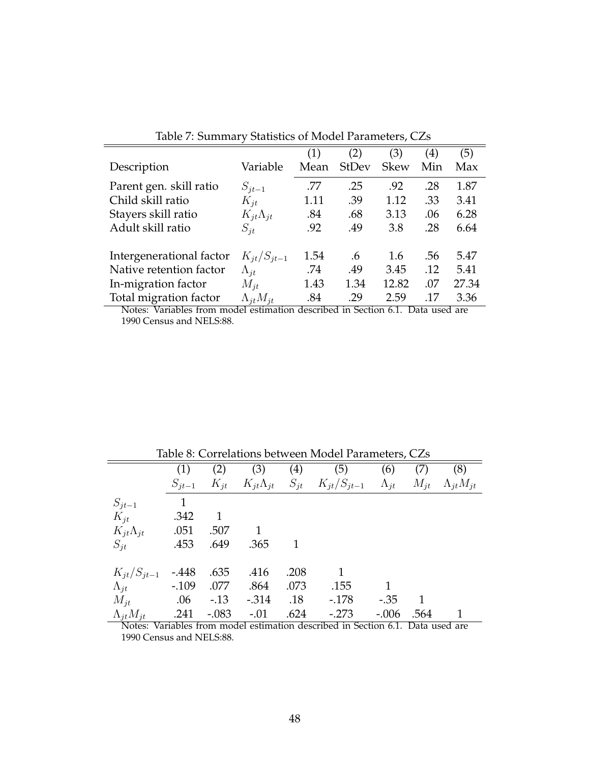|                          |                      | (1)  | (2)          | (3)         | $\left( 4\right)$ | (5)   |
|--------------------------|----------------------|------|--------------|-------------|-------------------|-------|
| Description              | Variable             | Mean | <b>StDev</b> | <b>Skew</b> | Min               | Max   |
| Parent gen. skill ratio  | $S_{jt-1}$           | .77  | .25          | .92         | .28               | 1.87  |
| Child skill ratio        | $K_{it}$             | 1.11 | .39          | 1.12        | .33               | 3.41  |
| Stayers skill ratio      | $K_{it}\Lambda_{jt}$ | .84  | .68          | 3.13        | .06               | 6.28  |
| Adult skill ratio        | $S_{it}$             | .92  | .49          | 3.8         | .28               | 6.64  |
| Intergenerational factor | $K_{it}/S_{it-1}$    | 1.54 | .6           | 1.6         | .56               | 5.47  |
| Native retention factor  | $\Lambda_{it}$       | .74  | .49          | 3.45        | .12               | 5.41  |
| In-migration factor      | $M_{it}$             | 1.43 | 1.34         | 12.82       | .07               | 27.34 |
| Total migration factor   | $\Lambda_{it}M_{it}$ | .84  | .29          | 2.59        | .17               | 3.36  |

Table 7: Summary Statistics of Model Parameters, CZs

Notes: Variables from model estimation described in Section 6.1. Data used are 1990 Census and NELS:88.

|                            | Table 8: Correlations between Model Parameters, CZs |         |         |                |                                                                                |         |          |                      |  |  |  |
|----------------------------|-----------------------------------------------------|---------|---------|----------------|--------------------------------------------------------------------------------|---------|----------|----------------------|--|--|--|
|                            | (1)                                                 | (2)     | (3)     | (4)            | (5)                                                                            | (6)     | (7)      | (8)                  |  |  |  |
|                            | $S_{jt-1}$                                          |         |         |                | $K_{it}$ $K_{it}\Lambda_{it}$ $S_{it}$ $K_{it}/S_{it-1}$ $\Lambda_{it}$        |         | $M_{it}$ | $\Lambda_{it}M_{it}$ |  |  |  |
| $S_{jt-1}$                 | 1                                                   |         |         |                |                                                                                |         |          |                      |  |  |  |
| $K_{it}$                   | .342                                                | -1      |         |                |                                                                                |         |          |                      |  |  |  |
| $K_{jt}\Lambda_{jt}$ .051  |                                                     | .507    |         |                |                                                                                |         |          |                      |  |  |  |
| $S_{it}$                   | .453                                                | .649    | .365    | $\overline{1}$ |                                                                                |         |          |                      |  |  |  |
| $K_{it}/S_{it-1}$ -.448    |                                                     | .635    | .416    | .208           | $\mathbf{1}$                                                                   |         |          |                      |  |  |  |
| $\Lambda_{it}$ -.109       |                                                     | .077    | .864    | .073           | .155                                                                           |         |          |                      |  |  |  |
| $M_{it}$ .06 -.13          |                                                     |         | $-.314$ | .18            | $-178$                                                                         | $-.35$  |          |                      |  |  |  |
| $\Lambda_{jt} M_{jt}$ .241 |                                                     | $-.083$ | $-.01$  | .624           | $-.273$                                                                        | $-.006$ | .564     |                      |  |  |  |
|                            |                                                     |         |         |                | Notes: Variables from model estimation described in Section 6.1. Data used are |         |          |                      |  |  |  |

Notes: Variables from model estimation described in Section 6.1. Data used are 1990 Census and NELS:88.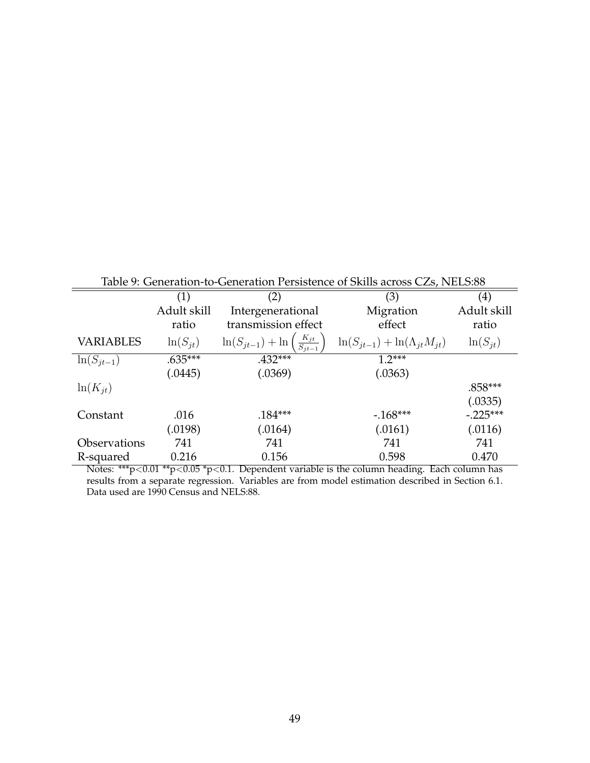|                  | Table 9: Generation-to-Generation Persistence of Skills across CZs, NELS:88 |                                                           |                                           |                   |  |  |  |  |  |
|------------------|-----------------------------------------------------------------------------|-----------------------------------------------------------|-------------------------------------------|-------------------|--|--|--|--|--|
|                  | (1)                                                                         | (2)                                                       | (3)                                       | $\left( 4\right)$ |  |  |  |  |  |
|                  | Adult skill                                                                 | Intergenerational                                         | Migration                                 | Adult skill       |  |  |  |  |  |
|                  | ratio                                                                       | transmission effect                                       | effect                                    | ratio             |  |  |  |  |  |
| <b>VARIABLES</b> | $ln(S_{it})$                                                                | $\ln(S_{jt-1}) + \ln\left(\frac{K_{jt}}{S_{jt-1}}\right)$ | $\ln(S_{it-1}) + \ln(\Lambda_{it}M_{it})$ | $ln(S_{it})$      |  |  |  |  |  |
| $ln(S_{it-1})$   | $.635***$                                                                   | $.432***$                                                 | $1.2***$                                  |                   |  |  |  |  |  |
|                  | (.0445)                                                                     | (.0369)                                                   | (.0363)                                   |                   |  |  |  |  |  |
| $ln(K_{it})$     |                                                                             |                                                           |                                           | $.858***$         |  |  |  |  |  |
|                  |                                                                             |                                                           |                                           | (.0335)           |  |  |  |  |  |
| Constant         | .016                                                                        | $.184***$                                                 | $-168***$                                 | $-.225***$        |  |  |  |  |  |
|                  | (.0198)                                                                     | (.0164)                                                   | (.0161)                                   | (.0116)           |  |  |  |  |  |
| Observations     | 741                                                                         | 741                                                       | 741                                       | 741               |  |  |  |  |  |
| R-squared        | 0.216                                                                       | 0.156                                                     | 0.598                                     | 0.470             |  |  |  |  |  |

Table 9: Generation-to-Generation Persistence of Skills across CZs, NELS:88

Notes: \*\*\*p<0.01 \*\*p<0.05 \*p<0.1. Dependent variable is the column heading. Each column has results from a separate regression. Variables are from model estimation described in Section 6.1. Data used are 1990 Census and NELS:88.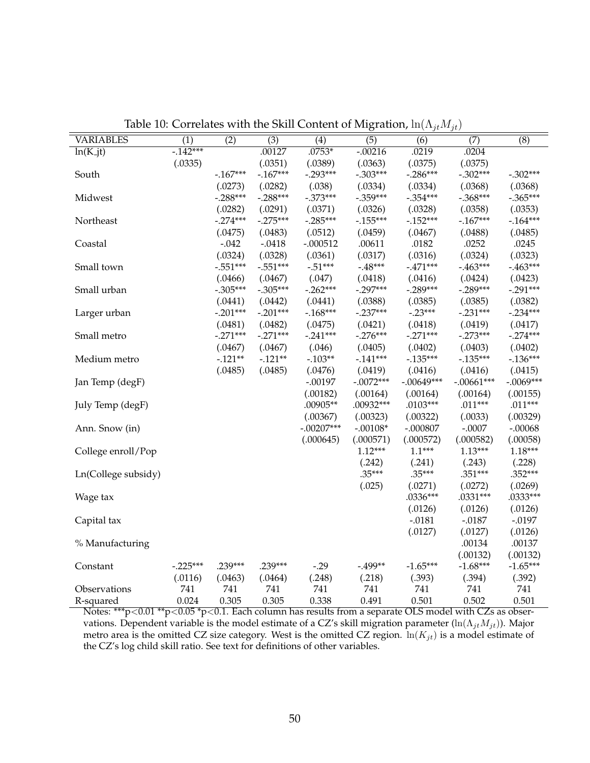| <b>VARIABLES</b>    | $\overline{(1)}$ | $\overline{(2)}$ | $\overline{(3)}$ | $\overline{(4)}$ | $\overline{(5)}$ | $\overline{(6)}$ | $\overline{(7)}$ | $\overline{(8)}$ |
|---------------------|------------------|------------------|------------------|------------------|------------------|------------------|------------------|------------------|
| $ln(K_jt)$          | $-142***$        |                  | .00127           | $.0753*$         | $-00216$         | .0219            | .0204            |                  |
|                     | (.0335)          |                  | (.0351)          | (.0389)          | (.0363)          | (.0375)          | (.0375)          |                  |
| South               |                  | $-167***$        | $-.167***$       | $-.293***$       | $-.303***$       | $-.286***$       | $-.302***$       | $-.302***$       |
|                     |                  | (.0273)          | (.0282)          | (.038)           | (.0334)          | (.0334)          | (.0368)          | (.0368)          |
| Midwest             |                  | $-.288***$       | $-.288***$       | $-.373***$       | $-.359***$       | $-.354***$       | $-.368***$       | $-.365***$       |
|                     |                  | (.0282)          | (.0291)          | (.0371)          | (.0326)          | (.0328)          | (.0358)          | (.0353)          |
| Northeast           |                  | $-.274***$       | $-.275***$       | $-.285***$       | $-0.155***$      | $-0.152***$      | $-167***$        | $-164***$        |
|                     |                  | (.0475)          | (.0483)          | (.0512)          | (.0459)          | (.0467)          | (.0488)          | (.0485)          |
| Coastal             |                  | $-.042$          | $-.0418$         | $-.000512$       | .00611           | .0182            | .0252            | .0245            |
|                     |                  | (.0324)          | (.0328)          | (.0361)          | (.0317)          | (.0316)          | (.0324)          | (.0323)          |
| Small town          |                  | $-.551***$       | $-.551***$       | $-.51***$        | $-.48***$        | $-.471***$       | $-0.463***$      | $-463***$        |
|                     |                  | (.0466)          | (.0467)          | (.047)           | (.0418)          | (.0416)          | (.0424)          | (.0423)          |
| Small urban         |                  | $-.305***$       | $-.305***$       | $-0.262***$      | $-.297***$       | $-.289***$       | $-.289***$       | $-.291***$       |
|                     |                  | (.0441)          | (.0442)          | (.0441)          | (.0388)          | (.0385)          | (.0385)          | (.0382)          |
| Larger urban        |                  | $-.201***$       | $-.201***$       | $-168***$        | $-.237***$       | $-.23***$        | $-.231***$       | $-.234***$       |
|                     |                  | (.0481)          | (.0482)          | (.0475)          | (.0421)          | (.0418)          | (.0419)          | (.0417)          |
| Small metro         |                  | $-.271***$       | $-.271***$       | $-.241***$       | $-.276***$       | $-.271***$       | $-.273***$       | $-.274***$       |
|                     |                  | (.0467)          | (.0467)          | (.046)           | (.0405)          | (.0402)          | (.0403)          | (.0402)          |
| Medium metro        |                  | $-.121**$        | $-.121**$        | $-.103**$        | $-0.141***$      | $-0.135***$      | $-0.135***$      | $-136***$        |
|                     |                  | (.0485)          | (.0485)          | (.0476)          | (.0419)          | (.0416)          | (.0416)          | (.0415)          |
| Jan Temp (degF)     |                  |                  |                  | $-.00197$        | $-.0072***$      | $-.00649***$     | $-.00661***$     | $-.0069***$      |
|                     |                  |                  |                  | (.00182)         | (.00164)         | (.00164)         | (.00164)         | (.00155)         |
| July Temp (degF)    |                  |                  |                  | .00905**         | .00932***        | $.0103***$       | $.011***$        | $.011***$        |
|                     |                  |                  |                  | (.00367)         | (.00323)         | (.00322)         | (.0033)          | (.00329)         |
| Ann. Snow (in)      |                  |                  |                  | $-.00207***$     | $-.00108*$       | $-.000807$       | $-.0007$         | $-.00068$        |
|                     |                  |                  |                  | (.000645)        | (.000571)        | (.000572)        | (.000582)        | (.00058)         |
| College enroll/Pop  |                  |                  |                  |                  | $1.12***$        | $1.1***$         | $1.13***$        | $1.18***$        |
|                     |                  |                  |                  |                  | (.242)           | (.241)           | (.243)           | (.228)           |
| Ln(College subsidy) |                  |                  |                  |                  | $.35***$         | $.35***$         | .351***          | $.352***$        |
|                     |                  |                  |                  |                  | (.025)           | (.0271)          | (.0272)          | (.0269)          |
| Wage tax            |                  |                  |                  |                  |                  | $.0336***$       | $.0331***$       | $.0333***$       |
|                     |                  |                  |                  |                  |                  | (.0126)          | (.0126)          | (.0126)          |
| Capital tax         |                  |                  |                  |                  |                  | $-.0181$         | $-.0187$         | $-.0197$         |
|                     |                  |                  |                  |                  |                  | (.0127)          | (.0127)          | (.0126)          |
| % Manufacturing     |                  |                  |                  |                  |                  |                  | .00134           | .00137           |
|                     |                  |                  |                  |                  |                  |                  | (.00132)         | (.00132)         |
| Constant            | $-.225***$       | .239***          | .239***          | $-0.29$          | $-0.499**$       | $-1.65***$       | $-1.68***$       | $-1.65***$       |
|                     | (.0116)          | (.0463)          | (.0464)          | (.248)           | (.218)           | (.393)           | (.394)           | (.392)           |
| Observations        | 741              | 741              | 741              | 741              | 741              | 741              | 741              | 741              |
| R-squared           | 0.024            | 0.305            | 0.305            | 0.338            | 0.491            | 0.501            | 0.502            | 0.501            |

Table 10: Correlates with the Skill Content of Migration,  $\ln(\Lambda_{jt}M_{jt})$ 

Notes:  $\mathrm{^{***}}\mathrm{p}<0.01\,\mathrm{^{**}}\mathrm{p}<0.05\,\mathrm{^{*}}\mathrm{p}<0.1.$  Each column has results from a separate OLS model with CZs as observations. Dependent variable is the model estimate of a CZ's skill migration parameter ( $\ln(\Lambda_{jt}M_{jt})$ ). Major metro area is the omitted CZ size category. West is the omitted CZ region.  $\ln(K_{jt})$  is a model estimate of the CZ's log child skill ratio. See text for definitions of other variables.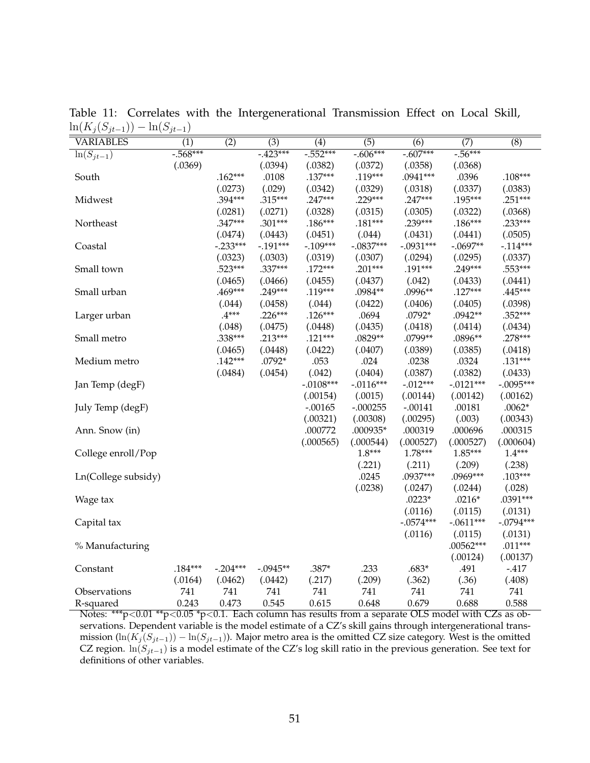| $ \int$ $\sqrt{ }$ $\int$ $\ell$ $ \int$ $\ell$ | $J^{\nu}$<br>-1, |            |                  |                  |                  |             |                  |                  |
|-------------------------------------------------|------------------|------------|------------------|------------------|------------------|-------------|------------------|------------------|
| <b>VARIABLES</b>                                | $\overline{(1)}$ | (2)        | $\overline{(3)}$ | $\overline{(4)}$ | $\overline{(5)}$ | (6)         | $\overline{(7)}$ | $\overline{(8)}$ |
| $ln(S_{jt-1})$                                  | $-0.568***$      |            | $-423***$        | $-0.552***$      | $-0.606***$      | $-0.607***$ | $-0.56***$       |                  |
|                                                 | (.0369)          |            | (.0394)          | (.0382)          | (.0372)          | (.0358)     | (.0368)          |                  |
| South                                           |                  | $.162***$  | .0108            | $.137***$        | $.119***$        | .0941***    | .0396            | $.108***$        |
|                                                 |                  | (.0273)    | (.029)           | (.0342)          | (.0329)          | (.0318)     | (.0337)          | (.0383)          |
| Midwest                                         |                  | .394***    | $.315***$        | $.247***$        | $.229***$        | $.247***$   | .195***          | $.251***$        |
|                                                 |                  | (.0281)    | (.0271)          | (.0328)          | (.0315)          | (.0305)     | (.0322)          | (.0368)          |
| Northeast                                       |                  | $.347***$  | $.301***$        | $.186***$        | $.181***$        | $.239***$   | $.186***$        | $.233***$        |
|                                                 |                  | (.0474)    | (.0443)          | (.0451)          | (.044)           | (.0431)     | (.0441)          | (.0505)          |
| Coastal                                         |                  | $-.233***$ | $-0.191***$      | $-.109***$       | $-.0837***$      | $-.0931***$ | $-.0697**$       | $-114***$        |
|                                                 |                  | (.0323)    | (.0303)          | (.0319)          | (.0307)          | (.0294)     | (.0295)          | (.0337)          |
| Small town                                      |                  | $.523***$  | $.337***$        | $.172***$        | $.201***$        | .191***     | $.249***$        | $.553***$        |
|                                                 |                  | (.0465)    | (.0466)          | (.0455)          | (.0437)          | (.042)      | (.0433)          | (.0441)          |
| Small urban                                     |                  | $.469***$  | $.249***$        | $.119***$        | .0984**          | .0996**     | $.127***$        | $.445***$        |
|                                                 |                  | (.044)     | (.0458)          | (.044)           | (.0422)          | (.0406)     | (.0405)          | (.0398)          |
| Larger urban                                    |                  | $.4***$    | $.226***$        | $.126***$        | .0694            | $.0792*$    | $.0942**$        | .352***          |
|                                                 |                  | (.048)     | (.0475)          | (.0448)          | (.0435)          | (.0418)     | (.0414)          | (.0434)          |
| Small metro                                     |                  | $.338***$  | $.213***$        | $.121***$        | .0829**          | .0799**     | .0896**          | $.278***$        |
|                                                 |                  | (.0465)    | (.0448)          | (.0422)          | (.0407)          | (.0389)     | (.0385)          | (.0418)          |
| Medium metro                                    |                  | $.142***$  | $.0792*$         | .053             | .024             | .0238       | .0324            | $.131***$        |
|                                                 |                  | (.0484)    | (.0454)          | (.042)           | (.0404)          | (.0387)     | (.0382)          | (.0433)          |
| Jan Temp (degF)                                 |                  |            |                  | $-.0108***$      | $-.0116***$      | $-.012***$  | $-.0121***$      | $-.0095***$      |
|                                                 |                  |            |                  | (.00154)         | (.0015)          | (.00144)    | (.00142)         | (.00162)         |
| July Temp (degF)                                |                  |            |                  | $-.00165$        | $-.000255$       | $-.00141$   | .00181           | $.0062*$         |
|                                                 |                  |            |                  | (.00321)         | (.00308)         | (.00295)    | (.003)           | (.00343)         |
| Ann. Snow (in)                                  |                  |            |                  | .000772          | .000935*         | .000319     | .000696          | .000315          |
|                                                 |                  |            |                  | (.000565)        | (.000544)        | (.000527)   | (.000527)        | (.000604)        |
| College enroll/Pop                              |                  |            |                  |                  | $1.8***$         | $1.78***$   | $1.85***$        | $1.4***$         |
|                                                 |                  |            |                  |                  | (.221)           | (.211)      | (.209)           | (.238)           |
| Ln(College subsidy)                             |                  |            |                  |                  | .0245            | .0937***    | .0969***         | $.103***$        |
|                                                 |                  |            |                  |                  | (.0238)          | (.0247)     | (.0244)          | (.028)           |
| Wage tax                                        |                  |            |                  |                  |                  | $.0223*$    | $.0216*$         | .0391***         |
|                                                 |                  |            |                  |                  |                  | (.0116)     | (.0115)          | (.0131)          |
| Capital tax                                     |                  |            |                  |                  |                  | $-.0574***$ | $-.0611***$      | $-.0794***$      |
|                                                 |                  |            |                  |                  |                  | (.0116)     | (.0115)          | (.0131)          |
| % Manufacturing                                 |                  |            |                  |                  |                  |             | .00562***        | $.011***$        |
|                                                 |                  |            |                  |                  |                  |             | (.00124)         | (.00137)         |
| Constant                                        | $.184***$        | $-.204***$ | $-.0945**$       | .387*            | .233             | $.683*$     | .491             | $-417$           |
|                                                 | (.0164)          | (.0462)    | (.0442)          | (.217)           | (.209)           | (.362)      | (.36)            | (.408)           |
| Observations                                    | 741              | 741        | 741              | 741              | 741              | 741         | 741              | 741              |
| R-squared                                       | 0.243            | 0.473      | 0.545            | 0.615            | 0.648            | 0.679       | 0.688            | 0.588            |

Table 11: Correlates with the Intergenerational Transmission Effect on Local Skill,  $\ln(K_i(S_{it-1})) - \ln(S_{it-1})$ 

Notes: \*\*\*p<0.01 \*\*p<0.05 \*p<0.1. Each column has results from a separate OLS model with CZs as observations. Dependent variable is the model estimate of a CZ's skill gains through intergenerational transmission  $(\ln(K_j(S_{jt-1})) - \ln(S_{jt-1}))$ . Major metro area is the omitted CZ size category. West is the omitted CZ region.  $ln(S_{jt-1})$  is a model estimate of the CZ's log skill ratio in the previous generation. See text for definitions of other variables.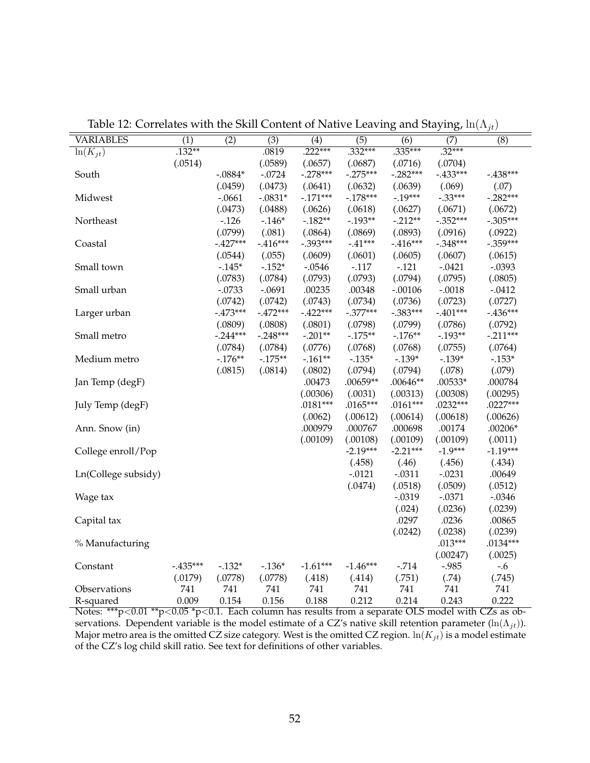| <b>VARIABLES</b>    | $\overline{(1)}$ | $\overline{(2)}$ | $\overline{(3)}$ | $\overline{(4)}$ | $\overline{(5)}$ | $\overline{(6)}$ | $\overline{(7)}$ | $\overline{(8)}$ |
|---------------------|------------------|------------------|------------------|------------------|------------------|------------------|------------------|------------------|
| $\ln(K_{jt})$       | $.132**$         |                  | .0819            | $.222***$        | $.332***$        | $.335***$        | $.32***$         |                  |
|                     | (.0514)          |                  | (.0589)          | (.0657)          | (.0687)          | (.0716)          | (.0704)          |                  |
| South               |                  | $-.0884*$        | $-.0724$         | $-.278***$       | $-.275***$       | $-.282***$       | $-.433***$       | $-438***$        |
|                     |                  | (.0459)          | (.0473)          | (.0641)          | (.0632)          | (.0639)          | (.069)           | (.07)            |
| Midwest             |                  | $-.0661$         | $-.0831*$        | $-171***$        | $-.178***$       | $-19***$         | $-.33***$        | $-.282***$       |
|                     |                  | (.0473)          | (.0488)          | (.0626)          | (.0618)          | (.0627)          | (.0671)          | (.0672)          |
| Northeast           |                  | $-.126$          | $-.146*$         | $-182**$         | $-0.193**$       | $-.212**$        | $-.352***$       | $-.305***$       |
|                     |                  | (.0799)          | (.081)           | (.0864)          | (.0869)          | (.0893)          | (.0916)          | (.0922)          |
| Coastal             |                  | $-.427***$       | $-.416***$       | $-.393***$       | $-.41***$        | $-.416***$       | $-.348***$       | $-.359***$       |
|                     |                  | (.0544)          | (.055)           | (.0609)          | (.0601)          | (.0605)          | (.0607)          | (.0615)          |
| Small town          |                  | $-0.145*$        | $-.152*$         | $-.0546$         | $-.117$          | $-.121$          | $-.0421$         | $-.0393$         |
|                     |                  | (.0783)          | (.0784)          | (.0793)          | (.0793)          | (.0794)          | (.0795)          | (.0805)          |
| Small urban         |                  | $-.0733$         | $-.0691$         | .00235           | .00348           | $-.00106$        | $-.0018$         | $-.0412$         |
|                     |                  | (.0742)          | (.0742)          | (.0743)          | (.0734)          | (.0736)          | (.0723)          | (.0727)          |
| Larger urban        |                  | $-473***$        | $-.472***$       | $-.422***$       | $-.377***$       | $-.383***$       | $-.401***$       | $-.436***$       |
|                     |                  | (.0809)          | (.0808)          | (.0801)          | (.0798)          | (.0799)          | (.0786)          | (.0792)          |
| Small metro         |                  | $-0.244***$      | $-.248***$       | $-.201**$        | $-175**$         | $-.176**$        | $-0.193**$       | $-.211***$       |
|                     |                  | (.0784)          | (.0784)          | (.0776)          | (.0768)          | (.0768)          | (.0755)          | (.0764)          |
| Medium metro        |                  | $-176**$         | $-175**$         | $-.161**$        | $-.135*$         | $-.139*$         | $-.139*$         | $-.153*$         |
|                     |                  | (.0815)          | (.0814)          | (.0802)          | (.0794)          | (.0794)          | (.078)           | (.079)           |
| Jan Temp (degF)     |                  |                  |                  | .00473           | $.00659**$       | $.00646**$       | $.00533*$        | .000784          |
|                     |                  |                  |                  | (.00306)         | (.0031)          | (.00313)         | (.00308)         | (.00295)         |
| July Temp (degF)    |                  |                  |                  | $.0181***$       | .0165***         | $.0161***$       | $.0232***$       | $.0227***$       |
|                     |                  |                  |                  | (.0062)          | (.00612)         | (.00614)         | (.00618)         | (.00626)         |
| Ann. Snow (in)      |                  |                  |                  | .000979          | .000767          | .000698          | .00174           | $.00206*$        |
|                     |                  |                  |                  | (.00109)         | (.00108)         | (.00109)         | (.00109)         | (.0011)          |
| College enroll/Pop  |                  |                  |                  |                  | $-2.19***$       | $-2.21***$       | $-1.9***$        | $-1.19***$       |
|                     |                  |                  |                  |                  | (.458)           | (.46)            | (.456)           | (.434)           |
| Ln(College subsidy) |                  |                  |                  |                  | $-.0121$         | $-.0311$         | $-.0231$         | .00649           |
|                     |                  |                  |                  |                  | (.0474)          | (.0518)          | (.0509)          | (.0512)          |
| Wage tax            |                  |                  |                  |                  |                  | $-.0319$         | $-.0371$         | $-.0346$         |
|                     |                  |                  |                  |                  |                  | (.024)           | (.0236)          | (.0239)          |
| Capital tax         |                  |                  |                  |                  |                  | .0297            | .0236            | .00865           |
|                     |                  |                  |                  |                  |                  | (.0242)          | (.0238)          | (.0239)          |
| % Manufacturing     |                  |                  |                  |                  |                  |                  | $.013***$        | $.0134***$       |
|                     |                  |                  |                  |                  |                  |                  | (.00247)         | (.0025)          |
| Constant            | $-.435***$       | $-.132*$         | $-.136*$         | $-1.61***$       | $-1.46***$       | $-.714$          | $-.985$          | $-.6$            |
|                     | (.0179)          | (.0778)          | (.0778)          | (.418)           | (.414)           | (.751)           | (.74)            | (.745)           |
| Observations        | 741              | 741              | 741              | 741              | 741              | 741              | 741              | 741              |
| R-squared           | 0.009            | 0.154            | 0.156            | 0.188            | 0.212            | 0.214            | 0.243            | 0.222            |

Table 12: Correlates with the Skill Content of Native Leaving and Staying,  $\ln(\Lambda_{jt})$ 

Notes:  $^{***}$ p<0.01  $^{**}$ p<0.05  $^{*}$ p<0.1. Each column has results from a separate OLS model with CZs as observations. Dependent variable is the model estimate of a CZ's native skill retention parameter (ln( $\Lambda_{jt}$ )). Major metro area is the omitted CZ size category. West is the omitted CZ region.  $\ln(K_{jt})$  is a model estimate of the CZ's log child skill ratio. See text for definitions of other variables.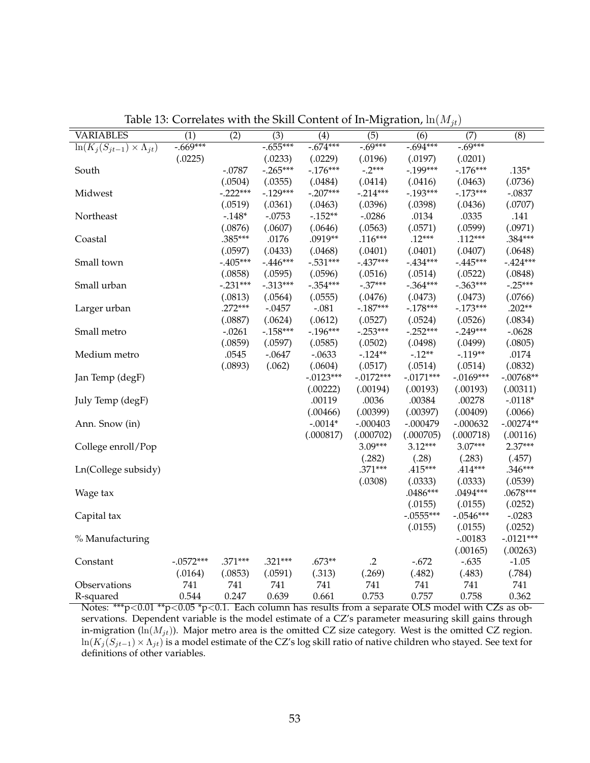|                                          |             |            |                  |             | 0           |             | $1 \nu$     |             |
|------------------------------------------|-------------|------------|------------------|-------------|-------------|-------------|-------------|-------------|
| <b>VARIABLES</b>                         | (1)         | (2)        | $\overline{(3)}$ | (4)         | (5)         | (6)         | (7)         | (8)         |
| $\ln(K_i(S_{jt-1}) \times \Lambda_{jt})$ | $-0.669***$ |            | $-0.655***$      | $-0.674***$ | $-0.69***$  | $-0.694***$ | $-0.69***$  |             |
|                                          | (.0225)     |            | (.0233)          | (.0229)     | (.0196)     | (.0197)     | (.0201)     |             |
| South                                    |             | $-.0787$   | $-.265***$       | $-.176***$  | $-.2***$    | $-0.199***$ | $-176***$   | $.135*$     |
|                                          |             | (.0504)    | (.0355)          | (.0484)     | (.0414)     | (.0416)     | (.0463)     | (.0736)     |
| Midwest                                  |             | $-.222***$ | $-.129***$       | $-.207***$  | $-.214***$  | $-0.193***$ | $-173***$   | $-.0837$    |
|                                          |             | (.0519)    | (.0361)          | (.0463)     | (.0396)     | (.0398)     | (.0436)     | (.0707)     |
| Northeast                                |             | $-.148*$   | $-.0753$         | $-152**$    | $-.0286$    | .0134       | .0335       | .141        |
|                                          |             | (.0876)    | (.0607)          | (.0646)     | (.0563)     | (.0571)     | (.0599)     | (.0971)     |
| Coastal                                  |             | .385***    | .0176            | .0919**     | $.116***$   | $.12***$    | $.112***$   | .384***     |
|                                          |             | (.0597)    | (.0433)          | (.0468)     | (.0401)     | (.0401)     | (.0407)     | (.0648)     |
| Small town                               |             | $-.405***$ | $-.446***$       | $-.531***$  | $-.437***$  | $-434***$   | $-445***$   | $-.424***$  |
|                                          |             | (.0858)    | (.0595)          | (.0596)     | (.0516)     | (.0514)     | (.0522)     | (.0848)     |
| Small urban                              |             | $-.231***$ | $-.313***$       | $-.354***$  | $-.37***$   | $-.364***$  | $-.363***$  | $-.25***$   |
|                                          |             | (.0813)    | (.0564)          | (.0555)     | (.0476)     | (.0473)     | (.0473)     | (.0766)     |
| Larger urban                             |             | $.272***$  | $-.0457$         | $-.081$     | $-187***$   | $-178***$   | $-173***$   | $.202**$    |
|                                          |             | (.0887)    | (.0624)          | (.0612)     | (.0527)     | (.0524)     | (.0526)     | (.0834)     |
| Small metro                              |             | $-.0261$   | $-158***$        | $-196***$   | $-.253***$  | $-.252***$  | $-.249***$  | $-.0628$    |
|                                          |             | (.0859)    | (.0597)          | (.0585)     | (.0502)     | (.0498)     | (.0499)     | (.0805)     |
| Medium metro                             |             | .0545      | $-.0647$         | $-.0633$    | $-124**$    | $-.12**$    | $-.119**$   | .0174       |
|                                          |             | (.0893)    | (.062)           | (.0604)     | (.0517)     | (.0514)     | (.0514)     | (.0832)     |
| Jan Temp (degF)                          |             |            |                  | $-.0123***$ | $-.0172***$ | $-.0171***$ | $-.0169***$ | $-.00768**$ |
|                                          |             |            |                  | (.00222)    | (.00194)    | (.00193)    | (.00193)    | (.00311)    |
| July Temp (degF)                         |             |            |                  | .00119      | .0036       | .00384      | .00278      | $-.0118*$   |
|                                          |             |            |                  | (.00466)    | (.00399)    | (.00397)    | (.00409)    | (.0066)     |
| Ann. Snow (in)                           |             |            |                  | $-.0014*$   | $-.000403$  | $-.000479$  | $-.000632$  | $-.00274**$ |
|                                          |             |            |                  | (.000817)   | (.000702)   | (.000705)   | (.000718)   | (.00116)    |
| College enroll/Pop                       |             |            |                  |             | $3.09***$   | $3.12***$   | $3.07***$   | $2.37***$   |
|                                          |             |            |                  |             | (.282)      | (.28)       | (.283)      | (.457)      |
| Ln(College subsidy)                      |             |            |                  |             | $.371***$   | .415***     | $.414***$   | .346***     |
|                                          |             |            |                  |             | (.0308)     | (.0333)     | (.0333)     | (.0539)     |
| Wage tax                                 |             |            |                  |             |             | $.0486***$  | .0494***    | $.0678***$  |
|                                          |             |            |                  |             |             | (.0155)     | (.0155)     | (.0252)     |
| Capital tax                              |             |            |                  |             |             | $-.0555***$ | $-.0546***$ | $-.0283$    |
|                                          |             |            |                  |             |             | (.0155)     | (.0155)     | (.0252)     |
| % Manufacturing                          |             |            |                  |             |             |             | $-.00183$   | $-.0121***$ |
|                                          |             |            |                  |             |             |             | (.00165)    | (.00263)    |
| Constant                                 | $-.0572***$ | .371***    | $.321***$        | $.673**$    | $\cdot$ .2  | $-.672$     | $-.635$     | $-1.05$     |
|                                          | (.0164)     | (.0853)    | (.0591)          | (.313)      | (.269)      | (.482)      | (.483)      | (.784)      |
| Observations                             | 741         | 741        | 741              | 741         | 741         | 741         | 741         | 741         |
| R-squared                                | 0.544       | 0.247      | 0.639            | 0.661       | 0.753       | 0.757       | 0.758       | 0.362       |
|                                          |             |            |                  |             |             |             |             |             |

Table 13: Correlates with the Skill Content of In-Migration,  $\ln(M_{it})$ 

Notes: \*\*\*p<0.01 \*\*p<0.05 \*p<0.1. Each column has results from a separate OLS model with CZs as observations. Dependent variable is the model estimate of a CZ's parameter measuring skill gains through in-migration ( $\ln(M_{jt})$ ). Major metro area is the omitted CZ size category. West is the omitted CZ region.  $\ln(K_j(S_{jt-1}) \times \Lambda_{jt})$  is a model estimate of the CZ's log skill ratio of native children who stayed. See text for definitions of other variables.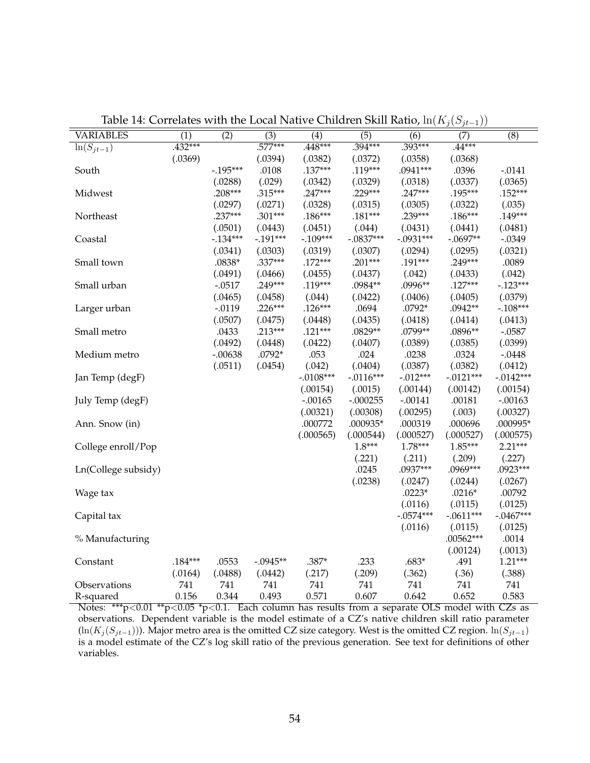|                     |                  |                  |                  |                  |                  |                  | $J \setminus$<br>$J^{\nu}$<br>$-1/2$ |                  |
|---------------------|------------------|------------------|------------------|------------------|------------------|------------------|--------------------------------------|------------------|
| <b>VARIABLES</b>    | $\overline{(1)}$ | $\overline{(2)}$ | $\overline{(3)}$ | $\overline{(4)}$ | $\overline{(5)}$ | $\overline{(6)}$ | $\overline{(7)}$                     | $\overline{(8)}$ |
| $ln(S_{jt-1})$      | $.432***$        |                  | $.577***$        | $.448***$        | $.394***$        | $.393***$        | $.44***$                             |                  |
|                     | (.0369)          |                  | (.0394)          | (.0382)          | (.0372)          | (.0358)          | (.0368)                              |                  |
| South               |                  | $-.195***$       | .0108            | $.137***$        | $.119***$        | .0941***         | .0396                                | $-.0141$         |
|                     |                  | (.0288)          | (.029)           | (.0342)          | (.0329)          | (.0318)          | (.0337)                              | (.0365)          |
| Midwest             |                  | .208***          | $.315***$        | $.247***$        | $.229***$        | $.247***$        | .195***                              | $.152***$        |
|                     |                  | (.0297)          | (.0271)          | (.0328)          | (.0315)          | (.0305)          | (.0322)                              | (.035)           |
| Northeast           |                  | $.237***$        | $.301***$        | $.186***$        | $.181***$        | $.239***$        | $.186***$                            | $.149***$        |
|                     |                  | (.0501)          | (.0443)          | (.0451)          | (.044)           | (.0431)          | (.0441)                              | (.0481)          |
| Coastal             |                  | $-0.134***$      | $-.191***$       | $-.109***$       | $-.0837***$      | $-.0931***$      | $-.0697**$                           | $-.0349$         |
|                     |                  | (.0341)          | (.0303)          | (.0319)          | (.0307)          | (.0294)          | (.0295)                              | (.0321)          |
| Small town          |                  | $.0838*$         | .337***          | $.172***$        | $.201***$        | .191***          | $.249***$                            | .0089            |
|                     |                  | (.0491)          | (.0466)          | (.0455)          | (.0437)          | (.042)           | (.0433)                              | (.042)           |
| Small urban         |                  | $-.0517$         | .249***          | .119***          | .0984**          | .0996**          | $.127***$                            | $-0.123***$      |
|                     |                  | (.0465)          | (.0458)          | (.044)           | (.0422)          | (.0406)          | (.0405)                              | (.0379)          |
| Larger urban        |                  | $-.0119$         | $.226***$        | $.126***$        | .0694            | .0792*           | .0942**                              | $-.108***$       |
|                     |                  | (.0507)          | (.0475)          | (.0448)          | (.0435)          | (.0418)          | (.0414)                              | (.0413)          |
| Small metro         |                  | .0433            | $.213***$        | $.121***$        | .0829**          | .0799**          | .0896**                              | $-.0587$         |
|                     |                  | (.0492)          | (.0448)          | (.0422)          | (.0407)          | (.0389)          | (.0385)                              | (.0399)          |
| Medium metro        |                  | $-.00638$        | $.0792*$         | .053             | .024             | .0238            | .0324                                | $-.0448$         |
|                     |                  | (.0511)          | (.0454)          | (.042)           | (.0404)          | (.0387)          | (.0382)                              | (.0412)          |
| Jan Temp (degF)     |                  |                  |                  | $-.0108***$      | $-.0116***$      | $-.012***$       | $-.0121***$                          | $-.0142***$      |
|                     |                  |                  |                  | (.00154)         | (.0015)          | (.00144)         | (.00142)                             | (.00154)         |
| July Temp (degF)    |                  |                  |                  | $-.00165$        | $-.000255$       | $-.00141$        | .00181                               | $-.00163$        |
|                     |                  |                  |                  | (.00321)         | (.00308)         | (.00295)         | (.003)                               | (.00327)         |
| Ann. Snow (in)      |                  |                  |                  | .000772          | .000935*         | .000319          | .000696                              | .000995*         |
|                     |                  |                  |                  | (.000565)        | (.000544)        | (.000527)        | (.000527)                            | (.000575)        |
| College enroll/Pop  |                  |                  |                  |                  | $1.8***$         | $1.78***$        | $1.85***$                            | $2.21***$        |
|                     |                  |                  |                  |                  | (.221)           | (.211)           | (.209)                               | (.227)           |
| Ln(College subsidy) |                  |                  |                  |                  | .0245            | .0937***         | .0969***                             | .0923***         |
|                     |                  |                  |                  |                  | (.0238)          | (.0247)          | (.0244)                              | (.0267)          |
| Wage tax            |                  |                  |                  |                  |                  | $.0223*$         | $.0216*$                             | .00792           |
|                     |                  |                  |                  |                  |                  | (.0116)          | (.0115)                              | (.0125)          |
| Capital tax         |                  |                  |                  |                  |                  | $-.0574***$      | $-.0611***$                          | $-.0467***$      |
|                     |                  |                  |                  |                  |                  | (.0116)          | (.0115)                              | (.0125)          |
| % Manufacturing     |                  |                  |                  |                  |                  |                  | $.00562***$                          | .0014            |
|                     |                  |                  |                  |                  |                  |                  | (.00124)                             | (.0013)          |
| Constant            | $.184***$        | .0553            | $-.0945**$       | $.387*$          | .233             | $.683*$          | .491                                 | $1.21***$        |
|                     | (.0164)          | (.0488)          | (.0442)          | (.217)           | (.209)           | (.362)           | (.36)                                | (.388)           |
| Observations        | 741              | 741              | 741              | 741              | 741              | 741              | 741                                  | 741              |
| R-squared           | 0.156            | 0.344            | 0.493            | 0.571            | 0.607            | 0.642            | 0.652                                | 0.583            |

Table 14: Correlates with the Local Native Children Skill Ratio,  $ln(K_i(S_{it-1}))$ 

Notes: \*\*\*p<0.01 \*\*p<0.05 \*p<0.1. Each column has results from a separate OLS model with CZs as observations. Dependent variable is the model estimate of a CZ's native children skill ratio parameter  $(\ln(K_j(S_{jt-1})))$ . Major metro area is the omitted CZ size category. West is the omitted CZ region.  $\ln(S_{jt-1})$ is a model estimate of the CZ's log skill ratio of the previous generation. See text for definitions of other variables.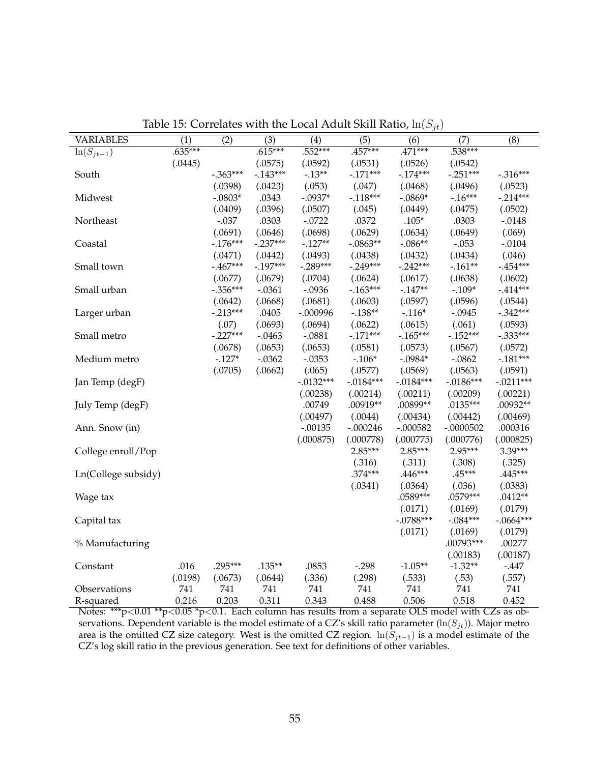| <b>VARIABLES</b>    | (1)       | (2)                   | (3)                  | (4)                   | (5)                   | (6)                   | (7)                 | (8)                   |
|---------------------|-----------|-----------------------|----------------------|-----------------------|-----------------------|-----------------------|---------------------|-----------------------|
| $\ln(S_{jt-1})$     | $.635***$ |                       | $.615***$            | $.552***$             | $.457***$             | $.471***$             | $.538***$           |                       |
|                     | (.0445)   |                       | (.0575)              | (.0592)               | (.0531)               | (.0526)               | (.0542)             |                       |
| South               |           | $-.363***$            | $-0.143***$          | $-.13**$              | $-171***$             | $-174***$             | $-.251***$          | $-.316***$            |
|                     |           | (.0398)               | (.0423)              | (.053)                | (.047)                | (.0468)               | (.0496)             | (.0523)               |
| Midwest             |           | $-.0803*$             | .0343                | $-.0937*$             | $-118***$             | $-.0869*$             | $-16***$            | $-.214***$            |
|                     |           | (.0409)               | (.0396)              | (.0507)               | (.045)                | (.0449)               | (.0475)             | (.0502)               |
| Northeast           |           | $-.037$               | .0303                | $-.0722$              | .0372                 | $.105*$               | .0303               | $-.0148$              |
|                     |           | (.0691)               | (.0646)              | (.0698)               | (.0629)               | (.0634)               | (.0649)             | (.069)                |
| Coastal             |           | $-176***$             | $-.237***$           | $-127**$              | $-.0863**$            | $-.086**$             | $-.053$             | $-.0104$              |
|                     |           |                       |                      |                       |                       |                       | (.0434)             |                       |
|                     |           | (.0471)<br>$-.467***$ | (.0442)<br>$-197***$ | (.0493)<br>$-.289***$ | (.0438)<br>$-.249***$ | (.0432)<br>$-.242***$ | $-.161**$           | (.046)<br>$-.454***$  |
| Small town          |           |                       |                      |                       |                       |                       |                     |                       |
|                     |           | (.0677)<br>$-.356***$ | (.0679)              | (.0704)<br>$-.0936$   | (.0624)<br>$-163***$  | (.0617)<br>$-0.147**$ | (.0638)<br>$-.109*$ | (.0602)<br>$-414***$  |
| Small urban         |           |                       | $-.0361$             |                       |                       |                       |                     |                       |
|                     |           | (.0642)<br>$-.213***$ | (.0668)              | (.0681)               | (.0603)               | (.0597)               | (.0596)<br>$-.0945$ | (.0544)<br>$-.342***$ |
| Larger urban        |           |                       | .0405                | $-.000996$            | $-.138**$             | $-.116*$              |                     |                       |
|                     |           | (.07)                 | (.0693)              | (.0694)               | (.0622)               | (.0615)               | (.061)              | (.0593)               |
| Small metro         |           | $-.227***$            | $-.0463$             | $-.0881$              | $-0.171***$           | $-165***$             | $-0.152***$         | $-.333***$            |
|                     |           | (.0678)               | (.0653)              | (.0653)               | (.0581)               | (.0573)               | (.0567)             | (.0572)               |
| Medium metro        |           | $-.127*$              | $-.0362$             | $-.0353$              | $-.106*$              | $-.0984*$             | $-.0862$            | $-.181***$            |
|                     |           | (.0705)               | (.0662)              | (.065)                | (.0577)               | (.0569)               | (.0563)             | (.0591)               |
| Jan Temp (degF)     |           |                       |                      | $-.0132***$           | $-.0184***$           | $-0.0184***$          | $-0.0186***$        | $-.0211***$           |
|                     |           |                       |                      | (.00238)              | (.00214)              | (.00211)              | (.00209)            | (.00221)              |
| July Temp (degF)    |           |                       |                      | .00749                | .00919**              | .00899**              | .0135***            | .00932**              |
|                     |           |                       |                      | (.00497)              | (.0044)               | (.00434)              | (.00442)            | (.00469)              |
| Ann. Snow (in)      |           |                       |                      | $-.00135$             | $-.000246$            | $-.000582$            | $-.0000502$         | .000316               |
|                     |           |                       |                      | (.000875)             | (.000778)             | (.000775)             | (.000776)           | (.000825)             |
| College enroll/Pop  |           |                       |                      |                       | $2.85***$             | $2.85***$             | 2.95***             | 3.39***               |
|                     |           |                       |                      |                       | (.316)                | (.311)                | (.308)              | (.325)                |
| Ln(College subsidy) |           |                       |                      |                       | $.374***$             | .446***               | $.45***$            | .445***               |
|                     |           |                       |                      |                       | (.0341)               | (.0364)               | (.036)              | (.0383)               |
| Wage tax            |           |                       |                      |                       |                       | .0589***              | .0579***            | $.0412**$             |
|                     |           |                       |                      |                       |                       | (.0171)               | (.0169)             | (.0179)               |
| Capital tax         |           |                       |                      |                       |                       | $-.0788***$           | $-.084***$          | $-.0664***$           |
|                     |           |                       |                      |                       |                       | (.0171)               | (.0169)             | (.0179)               |
| % Manufacturing     |           |                       |                      |                       |                       |                       | .00793***           | .00277                |
|                     |           |                       |                      |                       |                       |                       | (.00183)            | (.00187)              |
| Constant            | .016      | $.295***$             | $.135**$             | .0853                 | $-.298$               | $-1.05**$             | $-1.32**$           | $-447$                |
|                     | (.0198)   | (.0673)               | (.0644)              | (.336)                | (.298)                | (.533)                | (.53)               | (.557)                |
| Observations        | 741       | 741                   | 741                  | 741                   | 741                   | 741                   | 741                 | 741                   |
| R-squared           | 0.216     | 0.203                 | 0.311                | 0.343                 | 0.488                 | 0.506                 | 0.518               | 0.452                 |

Table 15: Correlates with the Local Adult Skill Ratio,  $ln(S_{jt})$ 

Notes: \*\*\*p<0.01 \*\*p<0.05 \*p<0.1. Each column has results from a separate OLS model with CZs as observations. Dependent variable is the model estimate of a CZ's skill ratio parameter ( $\ln(S_{jt})$ ). Major metro area is the omitted CZ size category. West is the omitted CZ region.  $ln(S_{jt-1})$  is a model estimate of the CZ's log skill ratio in the previous generation. See text for definitions of other variables.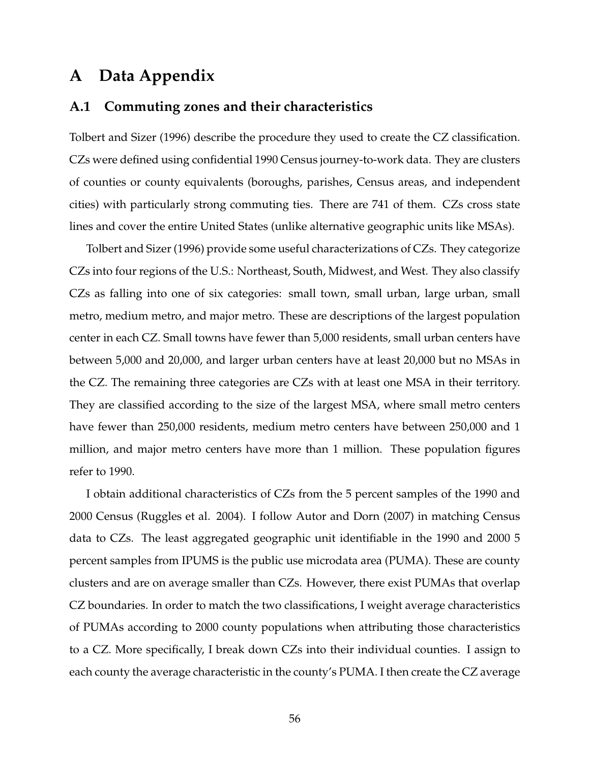## **A Data Appendix**

#### **A.1 Commuting zones and their characteristics**

Tolbert and Sizer (1996) describe the procedure they used to create the CZ classification. CZs were defined using confidential 1990 Census journey-to-work data. They are clusters of counties or county equivalents (boroughs, parishes, Census areas, and independent cities) with particularly strong commuting ties. There are 741 of them. CZs cross state lines and cover the entire United States (unlike alternative geographic units like MSAs).

Tolbert and Sizer (1996) provide some useful characterizations of CZs. They categorize CZs into four regions of the U.S.: Northeast, South, Midwest, and West. They also classify CZs as falling into one of six categories: small town, small urban, large urban, small metro, medium metro, and major metro. These are descriptions of the largest population center in each CZ. Small towns have fewer than 5,000 residents, small urban centers have between 5,000 and 20,000, and larger urban centers have at least 20,000 but no MSAs in the CZ. The remaining three categories are CZs with at least one MSA in their territory. They are classified according to the size of the largest MSA, where small metro centers have fewer than 250,000 residents, medium metro centers have between 250,000 and 1 million, and major metro centers have more than 1 million. These population figures refer to 1990.

I obtain additional characteristics of CZs from the 5 percent samples of the 1990 and 2000 Census (Ruggles et al. 2004). I follow Autor and Dorn (2007) in matching Census data to CZs. The least aggregated geographic unit identifiable in the 1990 and 2000 5 percent samples from IPUMS is the public use microdata area (PUMA). These are county clusters and are on average smaller than CZs. However, there exist PUMAs that overlap CZ boundaries. In order to match the two classifications, I weight average characteristics of PUMAs according to 2000 county populations when attributing those characteristics to a CZ. More specifically, I break down CZs into their individual counties. I assign to each county the average characteristic in the county's PUMA. I then create the CZ average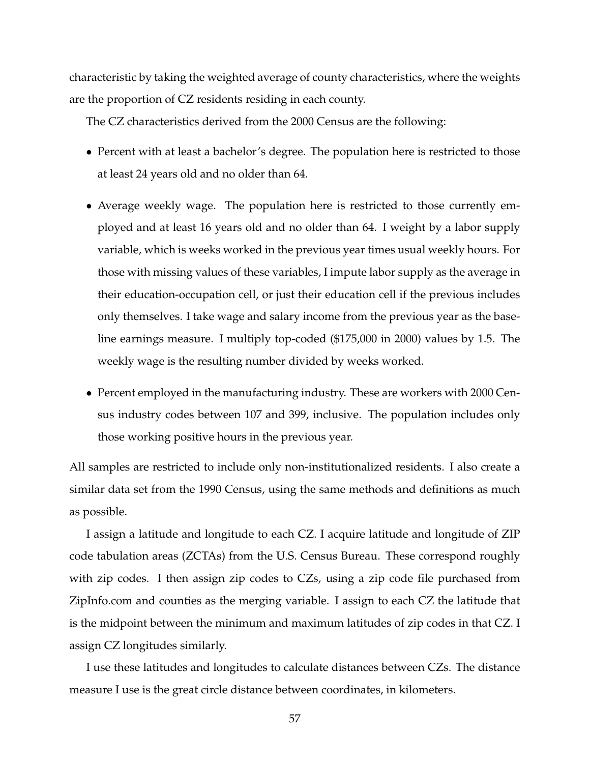characteristic by taking the weighted average of county characteristics, where the weights are the proportion of CZ residents residing in each county.

The CZ characteristics derived from the 2000 Census are the following:

- Percent with at least a bachelor's degree. The population here is restricted to those at least 24 years old and no older than 64.
- Average weekly wage. The population here is restricted to those currently employed and at least 16 years old and no older than 64. I weight by a labor supply variable, which is weeks worked in the previous year times usual weekly hours. For those with missing values of these variables, I impute labor supply as the average in their education-occupation cell, or just their education cell if the previous includes only themselves. I take wage and salary income from the previous year as the baseline earnings measure. I multiply top-coded (\$175,000 in 2000) values by 1.5. The weekly wage is the resulting number divided by weeks worked.
- Percent employed in the manufacturing industry. These are workers with 2000 Census industry codes between 107 and 399, inclusive. The population includes only those working positive hours in the previous year.

All samples are restricted to include only non-institutionalized residents. I also create a similar data set from the 1990 Census, using the same methods and definitions as much as possible.

I assign a latitude and longitude to each CZ. I acquire latitude and longitude of ZIP code tabulation areas (ZCTAs) from the U.S. Census Bureau. These correspond roughly with zip codes. I then assign zip codes to CZs, using a zip code file purchased from ZipInfo.com and counties as the merging variable. I assign to each CZ the latitude that is the midpoint between the minimum and maximum latitudes of zip codes in that CZ. I assign CZ longitudes similarly.

I use these latitudes and longitudes to calculate distances between CZs. The distance measure I use is the great circle distance between coordinates, in kilometers.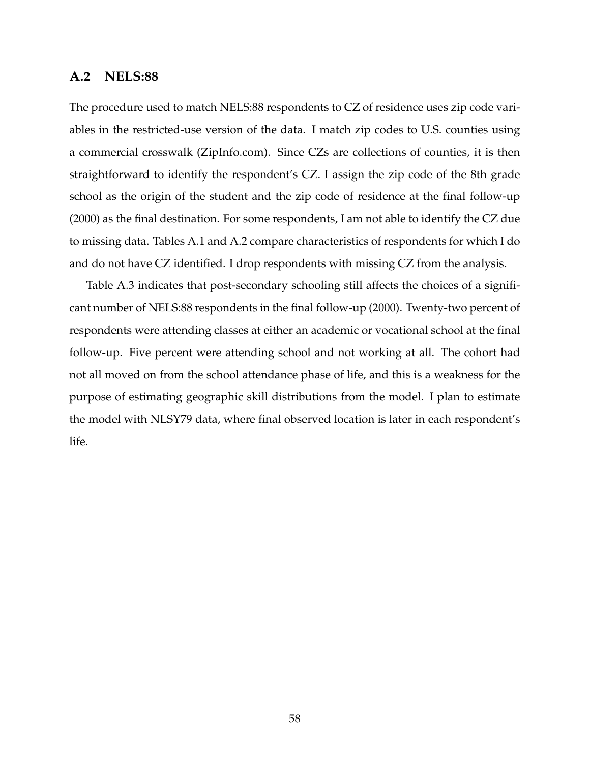#### **A.2 NELS:88**

The procedure used to match NELS:88 respondents to CZ of residence uses zip code variables in the restricted-use version of the data. I match zip codes to U.S. counties using a commercial crosswalk (ZipInfo.com). Since CZs are collections of counties, it is then straightforward to identify the respondent's CZ. I assign the zip code of the 8th grade school as the origin of the student and the zip code of residence at the final follow-up (2000) as the final destination. For some respondents, I am not able to identify the CZ due to missing data. Tables A.1 and A.2 compare characteristics of respondents for which I do and do not have CZ identified. I drop respondents with missing CZ from the analysis.

Table A.3 indicates that post-secondary schooling still affects the choices of a significant number of NELS:88 respondents in the final follow-up (2000). Twenty-two percent of respondents were attending classes at either an academic or vocational school at the final follow-up. Five percent were attending school and not working at all. The cohort had not all moved on from the school attendance phase of life, and this is a weakness for the purpose of estimating geographic skill distributions from the model. I plan to estimate the model with NLSY79 data, where final observed location is later in each respondent's life.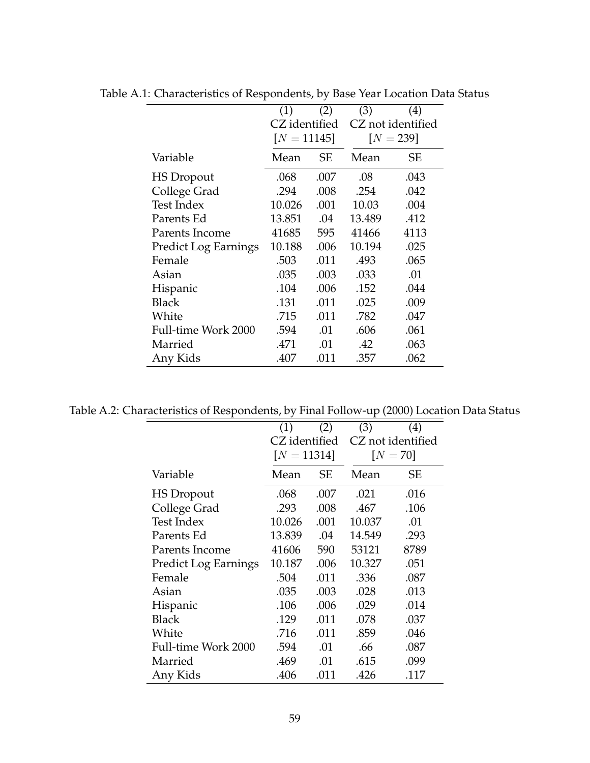|                             | (1)           | (2)       | (3)    | $\left( 4\right)$ |
|-----------------------------|---------------|-----------|--------|-------------------|
|                             | CZ identified |           |        | CZ not identified |
|                             | $[N = 11145]$ |           |        | $[N = 239]$       |
| Variable                    | Mean          | <b>SE</b> | Mean   | SЕ                |
| <b>HS</b> Dropout           | .068          | .007      | .08    | .043              |
| College Grad                | .294          | .008      | .254   | .042              |
| <b>Test Index</b>           | 10.026        | .001      | 10.03  | .004              |
| Parents Ed                  | 13.851        | .04       | 13.489 | .412              |
| Parents Income              | 41685         | 595       | 41466  | 4113              |
| <b>Predict Log Earnings</b> | 10.188        | .006      | 10.194 | .025              |
| Female                      | .503          | .011      | .493   | .065              |
| Asian                       | .035          | .003      | .033   | .01               |
| Hispanic                    | .104          | .006      | .152   | .044              |
| <b>Black</b>                | .131          | .011      | .025   | .009              |
| White                       | .715          | .011      | .782   | .047              |
| Full-time Work 2000         | .594          | .01       | .606   | .061              |
| Married                     | .471          | .01       | .42    | .063              |
| Any Kids                    | .407          | .011      | .357   | .062              |

Table A.1: Characteristics of Respondents, by Base Year Location Data Status

Table A.2: Characteristics of Respondents, by Final Follow-up (2000) Location Data Status

|                             | (1)           | (2)  | (3)    | $\left( 4\right)$ |
|-----------------------------|---------------|------|--------|-------------------|
|                             | CZ identified |      |        | CZ not identified |
|                             | $[N = 11314]$ |      |        | $[N=70]$          |
| Variable                    | Mean          | SЕ   | Mean   | SЕ                |
| <b>HS</b> Dropout           | .068          | .007 | .021   | .016              |
| College Grad                | .293          | .008 | .467   | .106              |
| <b>Test Index</b>           | 10.026        | .001 | 10.037 | .01               |
| Parents Ed                  | 13.839        | .04  | 14.549 | .293              |
| Parents Income              | 41606         | 590  | 53121  | 8789              |
| <b>Predict Log Earnings</b> | 10.187        | .006 | 10.327 | .051              |
| Female                      | .504          | .011 | .336   | .087              |
| Asian                       | .035          | .003 | .028   | .013              |
| Hispanic                    | .106          | .006 | .029   | .014              |
| Black                       | .129          | .011 | .078   | .037              |
| White                       | .716          | .011 | .859   | .046              |
| Full-time Work 2000         | .594          | .01  | .66    | .087              |
| Married                     | .469          | .01  | .615   | .099              |
| Any Kids                    | .406          | .011 | .426   | .117              |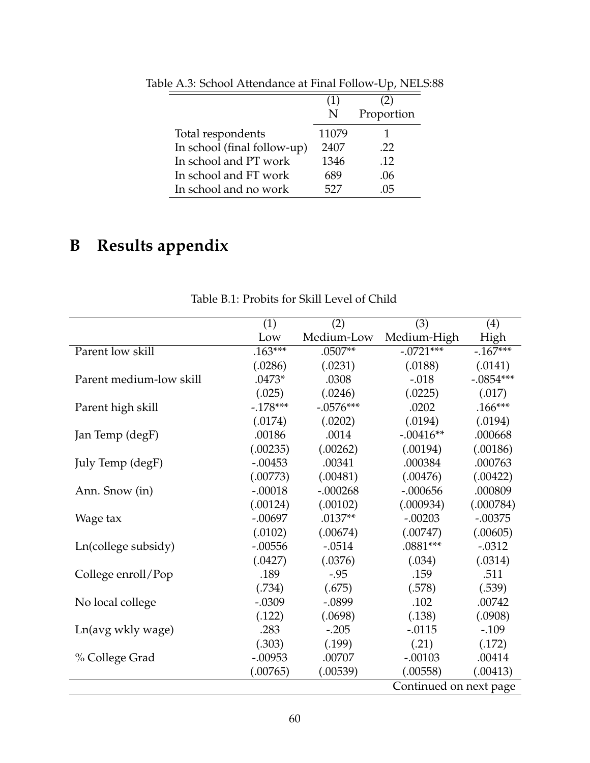|                             | (1)   | 2)         |
|-----------------------------|-------|------------|
|                             | N     | Proportion |
| Total respondents           | 11079 |            |
| In school (final follow-up) | 2407  | .22        |
| In school and PT work       | 1346  | .12        |
| In school and FT work       | 689   | .06        |
| In school and no work       | 527   | 115        |

Table A.3: School Attendance at Final Follow-Up, NELS:88

## **B Results appendix**

|                         | (1)       | (2)         | (3)                    | (4)         |
|-------------------------|-----------|-------------|------------------------|-------------|
|                         | Low       | Medium-Low  | Medium-High            | High        |
| Parent low skill        | $.163***$ | $.0507**$   | $-0721***$             | $-167***$   |
|                         | (.0286)   | (.0231)     | (.0188)                | (.0141)     |
| Parent medium-low skill | $.0473*$  | .0308       | $-.018$                | $-.0854***$ |
|                         | (.025)    | (.0246)     | (.0225)                | (.017)      |
| Parent high skill       | $-178***$ | $-.0576***$ | .0202                  | $.166***$   |
|                         | (.0174)   | (.0202)     | (.0194)                | (.0194)     |
| Jan Temp (degF)         | .00186    | .0014       | $-.00416**$            | .000668     |
|                         | (.00235)  | (.00262)    | (.00194)               | (.00186)    |
| July Temp (degF)        | $-.00453$ | .00341      | .000384                | .000763     |
|                         | (.00773)  | (.00481)    | (.00476)               | (.00422)    |
| Ann. Snow (in)          | $-.00018$ | $-.000268$  | $-.000656$             | .000809     |
|                         | (.00124)  | (.00102)    | (.000934)              | (.000784)   |
| Wage tax                | $-.00697$ | $.0137**$   | $-.00203$              | $-.00375$   |
|                         | (.0102)   | (.00674)    | (.00747)               | (.00605)    |
| Ln(college subsidy)     | $-.00556$ | $-.0514$    | $.0881***$             | $-.0312$    |
|                         | (.0427)   | (.0376)     | (.034)                 | (.0314)     |
| College enroll/Pop      | .189      | $-.95$      | .159                   | .511        |
|                         | (.734)    | (.675)      | (.578)                 | (.539)      |
| No local college        | $-.0309$  | $-.0899$    | .102                   | .00742      |
|                         | (.122)    | (.0698)     | (.138)                 | (.0908)     |
| Ln(avg wkly wage)       | .283      | $-.205$     | $-.0115$               | $-.109$     |
|                         | (.303)    | (.199)      | (.21)                  | (.172)      |
| % College Grad          | $-.00953$ | .00707      | $-.00103$              | .00414      |
|                         | (.00765)  | (.00539)    | (.00558)               | (.00413)    |
|                         |           |             | Continued on next page |             |

Table B.1: Probits for Skill Level of Child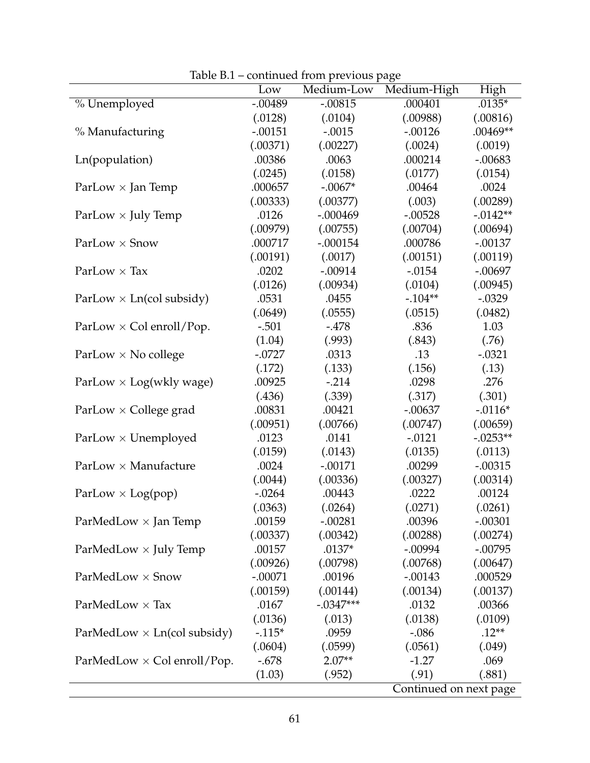|                                    |           | commica nom previous page |                        |             |
|------------------------------------|-----------|---------------------------|------------------------|-------------|
|                                    | Low       | Medium-Low                | Medium-High            | High        |
| % Unemployed                       | $-.00489$ | $-.00815$                 | .000401                | $.0135*$    |
|                                    | (.0128)   | (.0104)                   | (.00988)               | (.00816)    |
| % Manufacturing                    | $-.00151$ | $-.0015$                  | $-.00126$              | .00469**    |
|                                    | (.00371)  | (.00227)                  | (.0024)                | (.0019)     |
| Ln(population)                     | .00386    | .0063                     | .000214                | $-.00683$   |
|                                    | (.0245)   | (.0158)                   | (.0177)                | (.0154)     |
| ParLow $\times$ Jan Temp           | .000657   | $-.0067*$                 | .00464                 | .0024       |
|                                    | (.00333)  | (.00377)                  | (.003)                 | (.00289)    |
| ParLow $\times$ July Temp          | .0126     | $-.000469$                | $-.00528$              | $-0.0142**$ |
|                                    | (.00979)  | (.00755)                  | (.00704)               | (.00694)    |
| $ParLow \times Snow$               | .000717   | $-.000154$                | .000786                | $-.00137$   |
|                                    | (.00191)  | (.0017)                   | (.00151)               | (.00119)    |
| $ParLow \times Tax$                | .0202     | $-.00914$                 | $-.0154$               | $-.00697$   |
|                                    | (.0126)   | (.00934)                  | (.0104)                | (.00945)    |
| $ParLow \times Ln(col subsidy)$    | .0531     | .0455                     | $-.104**$              | $-.0329$    |
|                                    | (.0649)   | (.0555)                   | (.0515)                | (.0482)     |
| ParLow $\times$ Col enroll/Pop.    | $-.501$   | $-478$                    | .836                   | 1.03        |
|                                    | (1.04)    | (.993)                    | (.843)                 | (.76)       |
| ParLow $\times$ No college         | $-.0727$  | .0313                     | .13                    | $-.0321$    |
|                                    | (.172)    | (.133)                    | (.156)                 | (.13)       |
| ParLow $\times$ Log(wkly wage)     | .00925    | $-.214$                   | .0298                  | .276        |
|                                    | (.436)    | (.339)                    | (.317)                 | (.301)      |
| $ParLow \times College grad$       | .00831    | .00421                    | $-.00637$              | $-.0116*$   |
|                                    | (.00951)  | (.00766)                  | (.00747)               | (.00659)    |
| $ParLow \times Unemployed$         | .0123     | .0141                     | $-.0121$               | $-.0253**$  |
|                                    | (.0159)   | (.0143)                   | (.0135)                | (.0113)     |
| $ParLow \times Manuelacture$       | .0024     | $-.00171$                 | .00299                 | $-.00315$   |
|                                    | (.0044)   | (.00336)                  | (.00327)               | (.00314)    |
| ParLow $\times$ Log(pop)           | $-.0264$  | .00443                    | .0222                  | .00124      |
|                                    | (.0363)   | (.0264)                   | (.0271)                | (.0261)     |
| $ParMedLow \times Jan$ Temp        | .00159    | $-.00281$                 | .00396                 | $-.00301$   |
|                                    | (.00337)  | (.00342)                  | (.00288)               | (.00274)    |
| $ParMedLow \times July Temp$       | .00157    | $.0137*$                  | $-.00994$              | $-.00795$   |
|                                    | (.00926)  | (.00798)                  | (.00768)               | (.00647)    |
| $ParMedLow \times Snow$            | $-.00071$ | .00196                    | $-.00143$              | .000529     |
|                                    | (.00159)  | (.00144)                  | (.00134)               | (.00137)    |
| $ParMedLow \times Tax$             | .0167     | $-.0347***$               | .0132                  | .00366      |
|                                    | (.0136)   | (.013)                    | (.0138)                | (.0109)     |
| ParMedLow $\times$ Ln(col subsidy) | $-115*$   | .0959                     | $-.086$                | $.12**$     |
|                                    | (.0604)   | (.0599)                   | (.0561)                | (.049)      |
| $ParMedLow \times Col$ enroll/Pop. | $-.678$   | $2.07**$                  | $-1.27$                | .069        |
|                                    | (1.03)    | (.952)                    | (.91)                  | (.881)      |
|                                    |           |                           | Continued on next page |             |

Table B.1 – continued from previous page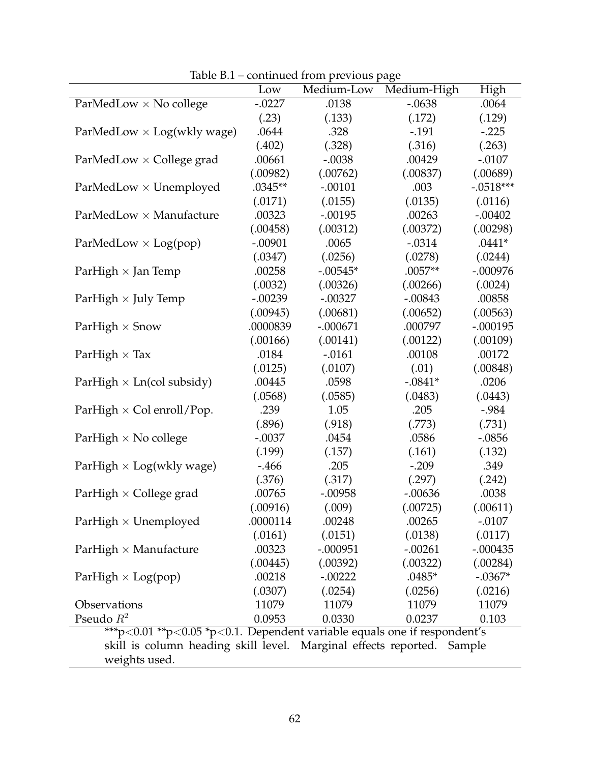|                                                                          | Low       | Medium-Low | Medium-High | High        |
|--------------------------------------------------------------------------|-----------|------------|-------------|-------------|
| ParMedLow $\times$ No college                                            | $-.0227$  | .0138      | $-.0638$    | .0064       |
|                                                                          | (.23)     | (.133)     | (.172)      | (.129)      |
| ParMedLow $\times$ Log(wkly wage)                                        | .0644     | .328       | $-.191$     | $-.225$     |
|                                                                          | (.402)    | (.328)     | (.316)      | (.263)      |
| ParMedLow × College grad                                                 | .00661    | $-.0038$   | .00429      | $-.0107$    |
|                                                                          | (.00982)  | (.00762)   | (.00837)    | (.00689)    |
| $ParMedLow \times Unemployed$                                            | .0345**   | $-.00101$  | .003        | $-.0518***$ |
|                                                                          | (.0171)   | (.0155)    | (.0135)     | (.0116)     |
| ParMedLow × Manufacture                                                  | .00323    | $-.00195$  | .00263      | $-.00402$   |
|                                                                          | (.00458)  | (.00312)   | (.00372)    | (.00298)    |
| ParMedLow $\times$ Log(pop)                                              | $-.00901$ | .0065      | $-.0314$    | $.0441*$    |
|                                                                          | (.0347)   | (.0256)    | (.0278)     | (.0244)     |
| Par $High \times Jan$ Temp                                               | .00258    | $-.00545*$ | $.0057**$   | $-.000976$  |
|                                                                          | (.0032)   | (.00326)   | (.00266)    | (.0024)     |
| Par $High \times July$ Temp                                              | $-.00239$ | $-.00327$  | $-.00843$   | .00858      |
|                                                                          | (.00945)  | (.00681)   | (.00652)    | (.00563)    |
| Par $High \times Snow$                                                   | .0000839  | $-.000671$ | .000797     | $-.000195$  |
|                                                                          | (.00166)  | (.00141)   | (.00122)    | (.00109)    |
| Par $High \times Tax$                                                    | .0184     | $-.0161$   | .00108      | .00172      |
|                                                                          | (.0125)   | (.0107)    | (.01)       | (.00848)    |
| ParHigh $\times$ Ln(col subsidy)                                         | .00445    | .0598      | $-.0841*$   | .0206       |
|                                                                          | (.0568)   | (.0585)    | (.0483)     | (.0443)     |
| ParHigh $\times$ Col enroll/Pop.                                         | .239      | 1.05       | .205        | $-.984$     |
|                                                                          | (.896)    | (.918)     | (.773)      | (.731)      |
| ParHigh $\times$ No college                                              | $-.0037$  | .0454      | .0586       | $-.0856$    |
|                                                                          | (.199)    | (.157)     | (.161)      | (.132)      |
| ParHigh $\times$ Log(wkly wage)                                          | $-466$    | .205       | $-.209$     | .349        |
|                                                                          | (.376)    | (.317)     | (.297)      | (.242)      |
| Par $High \times College$ grad                                           | .00765    | $-.00958$  | $-.00636$   | .0038       |
|                                                                          | (.00916)  | (.009)     | (.00725)    | (.00611)    |
| Par $High \times Unemployed$                                             | .0000114  | .00248     | .00265      | $-.0107$    |
|                                                                          | (.0161)   | (.0151)    | (.0138)     | (.0117)     |
| Par $High \times$ Manufacture                                            | .00323    | $-.000951$ | $-.00261$   | $-.000435$  |
|                                                                          | (.00445)  | (.00392)   | (.00322)    | (.00284)    |
| ParHigh $\times$ Log(pop)                                                | .00218    | $-.00222$  | $.0485*$    | $-.0367*$   |
|                                                                          | (.0307)   | (.0254)    | (.0256)     | (.0216)     |
| Observations                                                             | 11079     | 11079      | 11079       | 11079       |
| Pseudo $R^2$                                                             | 0.0953    | 0.0330     | 0.0237      | 0.103       |
| ***p<0.01 **p<0.05 *p<0.1. Dependent variable equals one if respondent's |           |            |             |             |
| skill is column heading skill level. Marginal effects reported. Sample   |           |            |             |             |
| weights used.                                                            |           |            |             |             |

Table B.1 – continued from previous page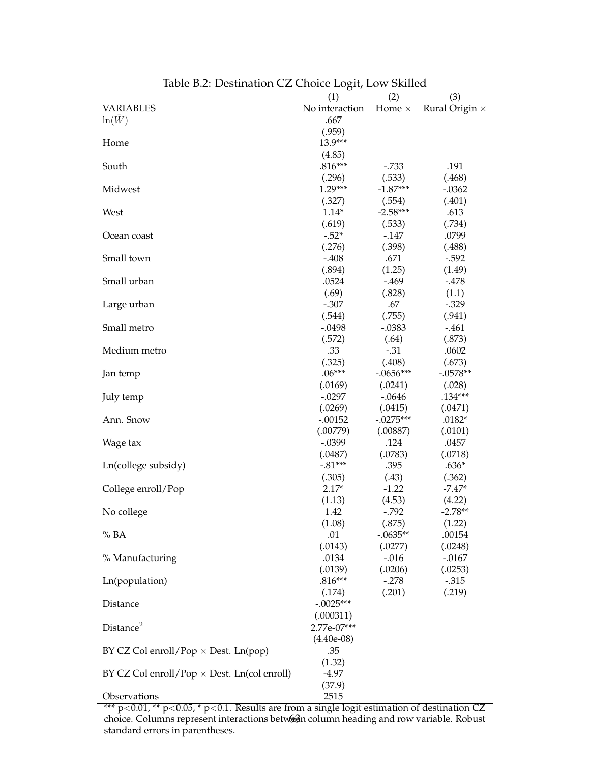|                                                    | (1)            | $\overline{(2)}$ | (3)                   |
|----------------------------------------------------|----------------|------------------|-----------------------|
| <b>VARIABLES</b>                                   | No interaction | Home $\times$    | Rural Origin $\times$ |
| $\ln(\overline{W})$                                | .667           |                  |                       |
|                                                    | (.959)         |                  |                       |
| Home                                               | 13.9***        |                  |                       |
|                                                    | (4.85)         |                  |                       |
| South                                              | $.816***$      | $-.733$          | .191                  |
|                                                    | (.296)         | (.533)           | (.468)                |
| Midwest                                            | $1.29***$      | $-1.87***$       | $-.0362$              |
|                                                    | (.327)         | (.554)           | (.401)                |
| West                                               | $1.14*$        | $-2.58***$       | .613                  |
|                                                    | (.619)         | (.533)           | (.734)                |
| Ocean coast                                        | $-.52*$        | $-147$           | .0799                 |
|                                                    | (.276)         | (.398)           | (.488)                |
| Small town                                         | $-.408$        | .671             | $-.592$               |
|                                                    | (.894)         | (1.25)           | (1.49)                |
| Small urban                                        | .0524          | $-469$           | $-478$                |
|                                                    | (.69)          | (.828)           | (1.1)                 |
| Large urban                                        | $-.307$        | .67              | $-.329$               |
|                                                    | (.544)         | (.755)           | (.941)                |
| Small metro                                        | $-.0498$       | $-.0383$         | $-461$                |
|                                                    | (.572)         | (.64)            | (.873)                |
| Medium metro                                       | .33            | $-.31$           | .0602                 |
|                                                    | (.325)         | (.408)           | (.673)                |
| Jan temp                                           | $.06***$       | $-.0656***$      | $-.0578**$            |
|                                                    | (.0169)        | (.0241)          | (.028)                |
| July temp                                          | $-.0297$       | $-.0646$         | $.134***$             |
|                                                    | (.0269)        | (.0415)          | (.0471)               |
| Ann. Snow                                          | $-.00152$      | $-.0275***$      | $.0182*$              |
|                                                    | (.00779)       | (.00887)         | (.0101)               |
| Wage tax                                           | $-.0399$       | .124             | .0457                 |
|                                                    | (.0487)        | (.0783)          | (.0718)               |
| Ln(college subsidy)                                | $-.81***$      | .395             | $.636*$               |
|                                                    | (.305)         | (.43)            | (.362)                |
| College enroll/Pop                                 | $2.17*$        | $-1.22$          | $-7.47*$              |
|                                                    | (1.13)         | (4.53)           | (4.22)                |
| No college                                         | 1.42           | $-.792$          | $-2.78**$             |
|                                                    | (1.08)         | (.875)           | (1.22)                |
| % BA                                               | .01            | $-.0635**$       | .00154                |
|                                                    | (.0143)        | (.0277)          | (.0248)               |
| % Manufacturing                                    | .0134          | $-0.016$         | $-.0167$              |
|                                                    | (.0139)        | (.0206)          | (.0253)               |
| Ln(population)                                     | $.816***$      | $-.278$          | $-.315$               |
|                                                    | (.174)         | (.201)           | (.219)                |
| Distance                                           | $-.0025***$    |                  |                       |
|                                                    | (.000311)      |                  |                       |
| Distance <sup>2</sup>                              | 2.77e-07***    |                  |                       |
|                                                    | $(4.40e-08)$   |                  |                       |
| BY CZ Col enroll/Pop $\times$ Dest. Ln(pop)        | .35            |                  |                       |
|                                                    | (1.32)         |                  |                       |
| BY CZ Col enroll/Pop $\times$ Dest. Ln(col enroll) | $-4.97$        |                  |                       |
|                                                    | (37.9)         |                  |                       |
| Observations                                       | 2515           |                  |                       |

Table B.2: Destination CZ Choice Logit, Low Skilled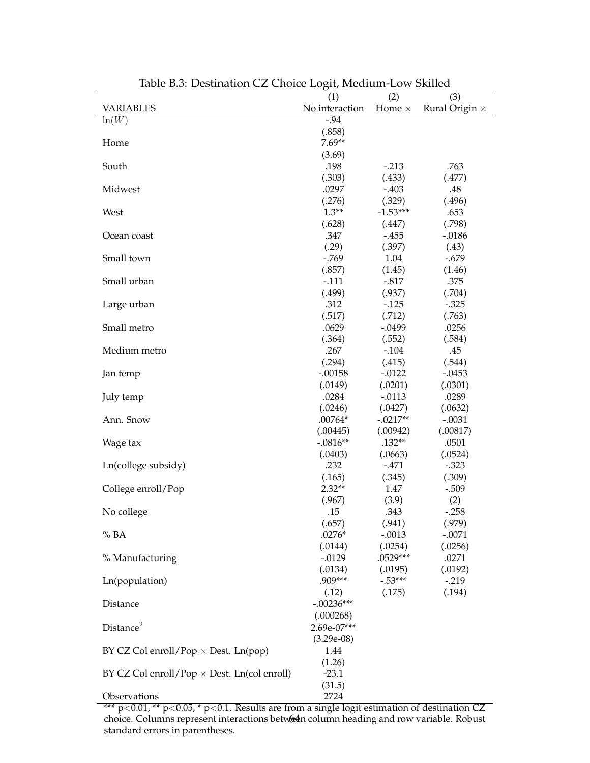|                                                    | $\bm{\mathsf{\circ}}$<br>(1) | $\overline{(2)}$ | (3)                   |
|----------------------------------------------------|------------------------------|------------------|-----------------------|
| <b>VARIABLES</b>                                   | No interaction               | Home $\times$    | Rural Origin $\times$ |
| $ln(\overline{W})$                                 | $-.94$                       |                  |                       |
|                                                    | (.858)                       |                  |                       |
| Home                                               | $7.69**$                     |                  |                       |
|                                                    | (3.69)                       |                  |                       |
| South                                              | .198                         | $-.213$          | .763                  |
|                                                    | (.303)                       | (.433)           | (.477)                |
| Midwest                                            | .0297                        | $-.403$          | .48                   |
|                                                    | (.276)                       | (.329)           | (.496)                |
| West                                               | $1.3**$                      | $-1.53***$       | .653                  |
|                                                    | (.628)                       | (.447)           | (.798)                |
| Ocean coast                                        | .347                         | $-455$           | $-.0186$              |
|                                                    | (.29)                        | (.397)           | (.43)                 |
| Small town                                         | $-769$                       | 1.04             | $-.679$               |
|                                                    | (.857)                       | (1.45)           | (1.46)                |
| Small urban                                        | $-.111$                      | $-.817$          | .375                  |
|                                                    | (.499)                       | (.937)           | (.704)                |
| Large urban                                        | .312                         | $-.125$          | $-.325$               |
|                                                    | (.517)                       | (.712)           | (.763)                |
| Small metro                                        | .0629                        | $-.0499$         | .0256                 |
|                                                    | (.364)                       | (.552)           | (.584)                |
| Medium metro                                       | .267                         | $-.104$          | .45                   |
|                                                    | (.294)                       | (.415)           | (.544)                |
| Jan temp                                           | $-.00158$                    | $-0.0122$        | $-.0453$              |
|                                                    | (.0149)                      | (.0201)          | (.0301)               |
| July temp                                          | .0284                        | $-.0113$         | .0289                 |
|                                                    | (.0246)                      | (.0427)          | (.0632)               |
| Ann. Snow                                          | $.00764*$                    | $-.0217**$       | $-.0031$              |
|                                                    | (.00445)                     | (.00942)         | (.00817)              |
| Wage tax                                           | $-.0816**$                   | $.132**$         | .0501                 |
|                                                    | (.0403)                      | (.0663)          | (.0524)               |
| Ln(college subsidy)                                | .232                         | $-.471$          | $-.323$               |
|                                                    | (.165)                       | (.345)           | (.309)                |
| College enroll/Pop                                 | $2.32**$                     | 1.47             | $-.509$               |
|                                                    | (.967)                       | (3.9)            | (2)                   |
| No college                                         | .15                          | .343             | $-.258$               |
|                                                    | (.657)                       | (.941)           | (.979)                |
| % BA                                               | $.0276*$                     | $-.0013$         | $-.0071$              |
|                                                    | (.0144)                      | (.0254)          | (.0256)               |
| % Manufacturing                                    | $-0.0129$                    | $.0529***$       | .0271                 |
|                                                    | (.0134)                      | (.0195)          | (.0192)               |
| Ln(population)                                     | .909***                      | $-.53***$        | $-.219$               |
|                                                    | (.12)                        | (.175)           | (.194)                |
| Distance                                           | $-.00236***$                 |                  |                       |
|                                                    | (.000268)                    |                  |                       |
| Distance <sup>2</sup>                              | 2.69e-07***                  |                  |                       |
|                                                    | $(3.29e-08)$                 |                  |                       |
| BY CZ Col enroll/Pop $\times$ Dest. Ln(pop)        | 1.44                         |                  |                       |
|                                                    | (1.26)                       |                  |                       |
| BY CZ Col enroll/Pop $\times$ Dest. Ln(col enroll) | $-23.1$                      |                  |                       |
|                                                    | (31.5)                       |                  |                       |
| Observations                                       | 2724                         |                  |                       |

Table B.3: Destination CZ Choice Logit, Medium-Low Skilled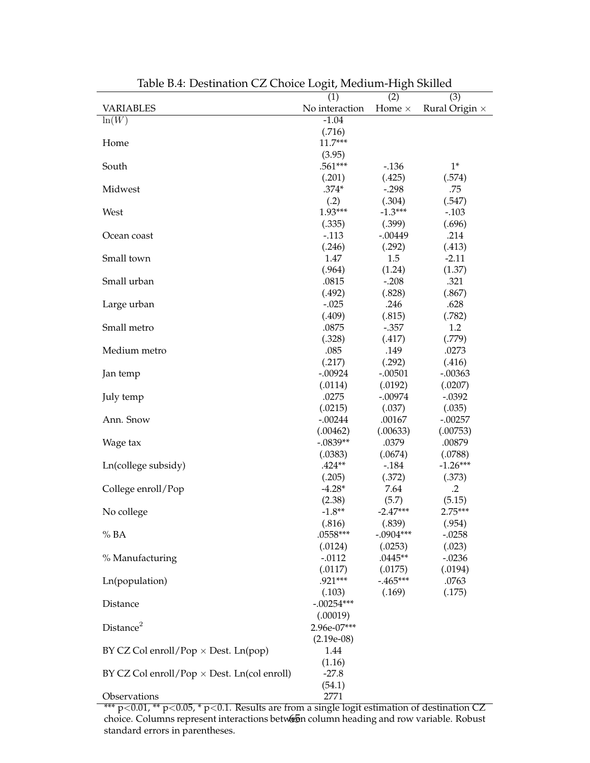|                                                    | $\bm{\mathsf{\circ}}$<br>(1) | $\circ$<br>(2)    | (3)                |
|----------------------------------------------------|------------------------------|-------------------|--------------------|
| <b>VARIABLES</b>                                   | No interaction               | Home $\times$     | Rural Origin ×     |
| $ln(\overline{W})$                                 | $-1.04$                      |                   |                    |
|                                                    | (.716)                       |                   |                    |
| Home                                               | $11.7***$                    |                   |                    |
|                                                    | (3.95)                       |                   |                    |
| South                                              | .561***                      | $-0.136$          | $1*$               |
|                                                    | (.201)                       | (.425)            | (.574)             |
| Midwest                                            | $.374*$                      | $-.298$           | .75                |
|                                                    | (.2)                         | (.304)            | (.547)             |
| West                                               | 1.93***                      | $-1.3***$         | $-.103$            |
|                                                    | (.335)                       | (.399)            | (.696)             |
| Ocean coast                                        | $-.113$                      | $-.00449$         | .214               |
|                                                    | (.246)                       | (.292)            | (.413)             |
| Small town                                         | 1.47                         | 1.5               | $-2.11$            |
|                                                    | (.964)                       | (1.24)            | (1.37)             |
| Small urban                                        | .0815                        | $-.208$           | .321               |
|                                                    | (.492)                       | (.828)            | (.867)             |
| Large urban                                        | $-.025$                      | .246              | .628               |
|                                                    | (.409)                       | (.815)            | (.782)             |
| Small metro                                        | .0875                        | $-.357$           | 1.2                |
|                                                    | (.328)                       | (.417)            | (.779)             |
| Medium metro                                       | .085                         | .149              | .0273              |
|                                                    | (.217)                       | (.292)            | (.416)             |
|                                                    | $-.00924$                    | $-.00501$         | $-.00363$          |
| Jan temp                                           | (.0114)                      | (.0192)           | (.0207)            |
|                                                    | .0275                        | $-.00974$         | $-.0392$           |
| July temp                                          | (.0215)                      |                   |                    |
|                                                    |                              | (.037)            | (.035)             |
| Ann. Snow                                          | $-.00244$                    | .00167            | $-.00257$          |
|                                                    | (.00462)<br>$-.0839**$       | (.00633)<br>.0379 | (.00753)<br>.00879 |
| Wage tax                                           |                              |                   |                    |
|                                                    | (.0383)<br>$.424**$          | (.0674)           | (.0788)            |
| Ln(college subsidy)                                |                              | $-.184$           | $-1.26***$         |
|                                                    | (.205)<br>$-4.28*$           | (.372)            | (.373)             |
| College enroll/Pop                                 |                              | 7.64              | $\cdot$ .2         |
|                                                    | (2.38)                       | (5.7)             | (5.15)             |
| No college                                         | $-1.8**$                     | $-2.47***$        | 2.75***            |
|                                                    | (.816)                       | (.839)            | (.954)             |
| % BA                                               | .0558***                     | $-.0904***$       | $-.0258$           |
|                                                    | (.0124)                      | (.0253)           | (.023)             |
| % Manufacturing                                    | $-.0112$                     | $.0445**$         | $-.0236$           |
|                                                    | (.0117)                      | (.0175)           | (.0194)            |
| Ln(population)                                     | .921***                      | $-.465***$        | .0763              |
|                                                    | (.103)                       | (.169)            | (.175)             |
| Distance                                           | $-.00254***$                 |                   |                    |
|                                                    | (.00019)                     |                   |                    |
| Distance <sup>2</sup>                              | 2.96e-07***                  |                   |                    |
|                                                    | $(2.19e-08)$                 |                   |                    |
| BY CZ Col enroll/Pop $\times$ Dest. Ln(pop)        | 1.44                         |                   |                    |
|                                                    | (1.16)                       |                   |                    |
| BY CZ Col enroll/Pop $\times$ Dest. Ln(col enroll) | $-27.8$                      |                   |                    |
|                                                    | (54.1)                       |                   |                    |
| Observations                                       | 2771                         |                   |                    |

Table B.4: Destination CZ Choice Logit, Medium-High Skilled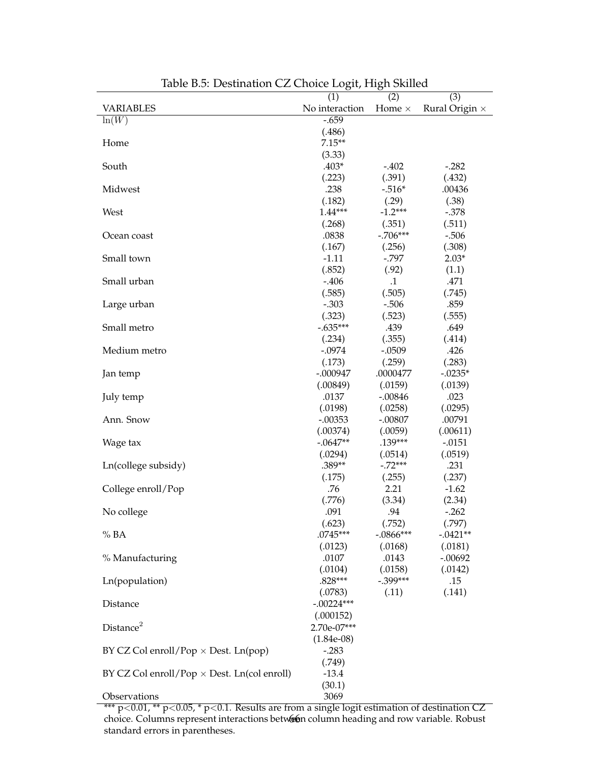|                                                    | $\circ$<br>(1)           | $\bm{\mathsf{\circ}}$<br>(2) | $\overline{(3)}$      |
|----------------------------------------------------|--------------------------|------------------------------|-----------------------|
| <b>VARIABLES</b>                                   | No interaction           | Home $\times$                | Rural Origin $\times$ |
| $ln(\overline{W})$                                 | $-0.659$                 |                              |                       |
|                                                    | (.486)                   |                              |                       |
| Home                                               | $7.15**$                 |                              |                       |
|                                                    | (3.33)                   |                              |                       |
| South                                              | $.403*$                  | $-.402$                      | $-.282$               |
|                                                    | (.223)                   | (.391)                       | (.432)                |
| Midwest                                            | .238                     | $-.516*$                     | .00436                |
|                                                    | (.182)                   | (.29)                        | (.38)                 |
| West                                               | $1.44***$                | $-1.2***$                    | $-.378$               |
|                                                    | (.268)                   | (.351)                       | (.511)                |
| Ocean coast                                        | .0838                    | $-.706***$                   | $-.506$               |
|                                                    | (.167)                   | (.256)                       | (.308)                |
| Small town                                         | $-1.11$                  | $-.797$                      | $2.03*$               |
|                                                    | (.852)                   | (.92)                        | (1.1)                 |
| Small urban                                        | $-406$                   | $\cdot$ 1                    | .471                  |
|                                                    | (.585)                   | (.505)                       | (.745)                |
| Large urban                                        | $-.303$                  | $-.506$                      | .859                  |
|                                                    | (.323)                   | (.523)                       | (.555)                |
| Small metro                                        | $-.635***$               | .439                         | .649                  |
|                                                    | (.234)                   | (.355)                       | (.414)                |
| Medium metro                                       | $-.0974$                 | $-.0509$                     | .426                  |
|                                                    | (.173)                   | (.259)                       | (.283)                |
| Jan temp                                           | $-.000947$               | .0000477                     | $-.0235*$             |
|                                                    | (.00849)                 | (.0159)                      | (.0139)               |
| July temp                                          | .0137                    | $-.00846$                    | .023                  |
|                                                    | (.0198)                  | (.0258)                      | (.0295)               |
| Ann. Snow                                          | $-.00353$                | $-.00807$                    | .00791                |
|                                                    | (.00374)                 | (.0059)                      | (.00611)              |
| Wage tax                                           | $-.0647**$               | .139***                      | $-.0151$              |
|                                                    | (.0294)                  | (.0514)                      | (.0519)               |
| Ln(college subsidy)                                | .389**                   | $-.72***$                    | .231                  |
|                                                    | (.175)                   | (.255)                       | (.237)                |
| College enroll/Pop                                 | .76                      | 2.21                         | $-1.62$               |
|                                                    | (.776)                   | (3.34)                       | (2.34)                |
| No college                                         | .091                     | .94                          | $-.262$               |
|                                                    | (.623)                   | (.752)                       | (.797)                |
| % BA                                               | $.0745***$               | $-.0866***$                  | $-.0421**$            |
|                                                    | (.0123)                  | (.0168)                      | (.0181)               |
| % Manufacturing                                    | .0107                    | .0143                        | $-.00692$             |
|                                                    | (.0104)                  | (.0158)                      | (.0142)               |
| Ln(population)                                     | $.828***$                | $-.399***$                   | .15                   |
|                                                    | (.0783)                  | (.11)                        | (.141)                |
| Distance                                           | $-.00224***$             |                              |                       |
|                                                    | (.000152)                |                              |                       |
| Distance <sup>2</sup>                              | 2.70e-07***              |                              |                       |
|                                                    |                          |                              |                       |
| BY CZ Col enroll/Pop $\times$ Dest. Ln(pop)        | $(1.84e-0.8)$<br>$-.283$ |                              |                       |
|                                                    | (.749)                   |                              |                       |
| BY CZ Col enroll/Pop $\times$ Dest. Ln(col enroll) | $-13.4$                  |                              |                       |
|                                                    | (30.1)                   |                              |                       |
| Observations                                       | 3069                     |                              |                       |
|                                                    |                          |                              |                       |

Table B.5: Destination CZ Choice Logit, High Skilled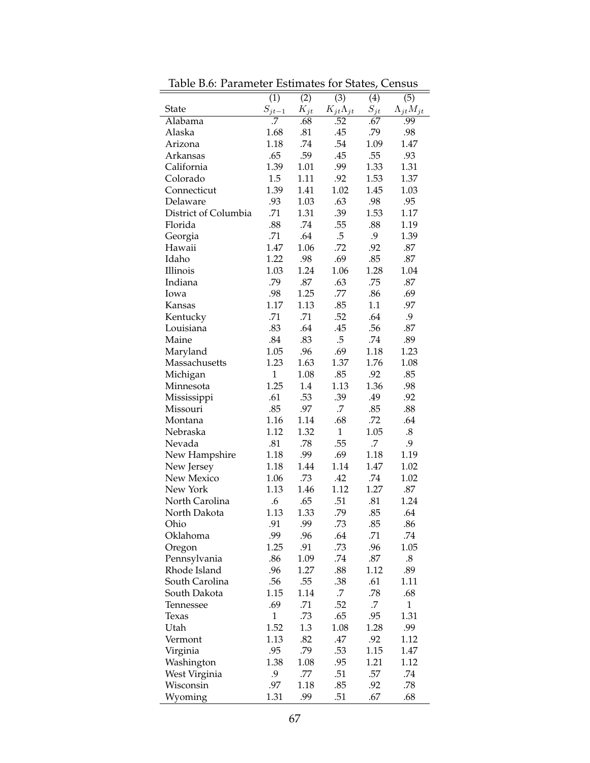| Table B.6: Parameter Estimates for States, Census |                          |          |                      |            |                      |  |  |  |
|---------------------------------------------------|--------------------------|----------|----------------------|------------|----------------------|--|--|--|
|                                                   | (1)<br>(2)<br>(3)<br>(4) |          |                      | (5)        |                      |  |  |  |
| <b>State</b>                                      | $S_{jt-1}$               | $K_{jt}$ | $K_{jt}\Lambda_{jt}$ | $S_{jt}$   | $\Lambda_{jt}M_{jt}$ |  |  |  |
| Alabama                                           | .7                       | .68      | .52                  | .67        | .99                  |  |  |  |
| Alaska                                            | 1.68                     | .81      | .45                  | .79        | .98                  |  |  |  |
| Arizona                                           | 1.18                     | .74      | .54                  | 1.09       | 1.47                 |  |  |  |
| Arkansas                                          | .65                      | .59      | .45                  | .55        | .93                  |  |  |  |
| California                                        | 1.39                     | 1.01     | .99                  | 1.33       | 1.31                 |  |  |  |
| Colorado                                          | 1.5                      | 1.11     | .92                  | 1.53       | 1.37                 |  |  |  |
| Connecticut                                       | 1.39                     | 1.41     | 1.02                 | 1.45       | 1.03                 |  |  |  |
| Delaware                                          | .93                      | 1.03     | .63                  | .98        | .95                  |  |  |  |
| District of Columbia                              | .71                      | 1.31     | .39                  | 1.53       | 1.17                 |  |  |  |
| Florida                                           | .88                      | .74      | .55                  | .88        | 1.19                 |  |  |  |
| Georgia                                           | .71                      | .64      | $.5\,$               | .9         | 1.39                 |  |  |  |
| Hawaii                                            | 1.47                     | 1.06     | .72                  | .92        | .87                  |  |  |  |
| Idaho                                             | 1.22                     | .98      | .69                  | .85        | .87                  |  |  |  |
| Illinois                                          | 1.03                     | 1.24     | 1.06                 | 1.28       | 1.04                 |  |  |  |
| Indiana                                           | .79                      | .87      | .63                  | .75        | .87                  |  |  |  |
| Iowa                                              | .98                      | 1.25     | .77                  | .86        | .69                  |  |  |  |
| Kansas                                            | 1.17                     | 1.13     | .85                  | 1.1        | .97                  |  |  |  |
| Kentucky                                          | .71                      | .71      | .52                  | .64        | 9.                   |  |  |  |
| Louisiana                                         | .83                      | .64      | .45                  | .56        | .87                  |  |  |  |
| Maine                                             | .84                      | .83      | $.5\,$               | .74        | .89                  |  |  |  |
| Maryland                                          | 1.05                     | .96      | .69                  | 1.18       | 1.23                 |  |  |  |
| Massachusetts                                     | 1.23                     | 1.63     | 1.37                 | 1.76       | 1.08                 |  |  |  |
| Michigan                                          | $\mathbf{1}$             | 1.08     | .85                  | .92        | .85                  |  |  |  |
| Minnesota                                         | 1.25                     | 1.4      | 1.13                 | 1.36       | .98                  |  |  |  |
| Mississippi                                       | .61                      | .53      | .39                  | .49        | .92                  |  |  |  |
| Missouri                                          | .85                      | .97      | .7                   | .85        | .88                  |  |  |  |
| Montana                                           | 1.16                     | 1.14     | .68                  | .72        | .64                  |  |  |  |
| Nebraska                                          | 1.12                     | 1.32     | $\mathbf{1}$         | 1.05       | $\boldsymbol{.8}$    |  |  |  |
| Nevada                                            | .81                      | .78      | .55                  | .7         | 9.                   |  |  |  |
| New Hampshire                                     | 1.18                     | .99      | .69                  | 1.18       | 1.19                 |  |  |  |
| New Jersey                                        | 1.18                     | 1.44     | 1.14                 | 1.47       | 1.02                 |  |  |  |
| New Mexico                                        | 1.06                     | .73      | .42                  | .74        | 1.02                 |  |  |  |
| New York                                          | 1.13                     | 1.46     | 1.12                 | 1.27       | $.87\,$              |  |  |  |
|                                                   |                          |          |                      |            | 1.24                 |  |  |  |
| North Carolina                                    | .6                       | .65      | .51<br>79            | .81<br>.85 |                      |  |  |  |
| North Dakota                                      | 1.13                     | 1.33     |                      |            | .64                  |  |  |  |
| Ohio                                              | .91                      | .99      | .73                  | .85        | .86                  |  |  |  |
| Oklahoma                                          | .99                      | .96      | .64                  | .71        | .74                  |  |  |  |
| Oregon                                            | 1.25                     | .91      | .73                  | .96        | 1.05                 |  |  |  |
| Pennsylvania                                      | .86                      | 1.09     | .74                  | $.87$      | $.8\,$               |  |  |  |
| Rhode Island                                      | .96                      | 1.27     | .88                  | 1.12       | .89                  |  |  |  |
| South Carolina                                    | .56                      | .55      | .38                  | .61        | 1.11                 |  |  |  |
| South Dakota                                      | 1.15                     | 1.14     | .7                   | .78        | .68                  |  |  |  |
| Tennessee                                         | .69                      | .71      | .52                  | .7         | 1                    |  |  |  |
| Texas                                             | $\mathbf{1}$             | .73      | .65                  | .95        | 1.31                 |  |  |  |
| Utah                                              | 1.52                     | 1.3      | 1.08                 | 1.28       | .99                  |  |  |  |
| Vermont                                           | 1.13                     | .82      | .47                  | .92        | 1.12                 |  |  |  |
| Virginia                                          | .95                      | .79      | .53                  | 1.15       | 1.47                 |  |  |  |
| Washington                                        | 1.38                     | 1.08     | .95                  | 1.21       | 1.12                 |  |  |  |
| West Virginia                                     | 9.                       | .77      | .51                  | .57        | .74                  |  |  |  |
| Wisconsin                                         | .97                      | 1.18     | .85                  | .92        | .78                  |  |  |  |
| Wyoming                                           | 1.31                     | .99      | .51                  | .67        | .68                  |  |  |  |

Table B.6: Parameter Estimates for States, Census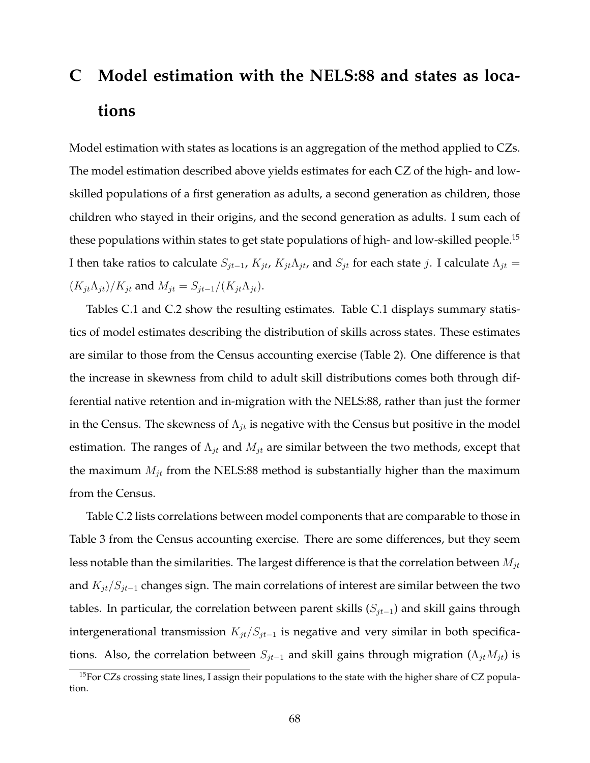# **C Model estimation with the NELS:88 and states as locations**

Model estimation with states as locations is an aggregation of the method applied to CZs. The model estimation described above yields estimates for each CZ of the high- and lowskilled populations of a first generation as adults, a second generation as children, those children who stayed in their origins, and the second generation as adults. I sum each of these populations within states to get state populations of high- and low-skilled people.<sup>15</sup> I then take ratios to calculate  $S_{jt-1}$ ,  $K_{jt}$ ,  $K_{jt}\Lambda_{jt}$ , and  $S_{jt}$  for each state j. I calculate  $\Lambda_{jt}$  =  $(K_{jt}\Lambda_{jt})/K_{jt}$  and  $M_{jt} = S_{jt-1}/(K_{jt}\Lambda_{jt})$ .

Tables C.1 and C.2 show the resulting estimates. Table C.1 displays summary statistics of model estimates describing the distribution of skills across states. These estimates are similar to those from the Census accounting exercise (Table 2). One difference is that the increase in skewness from child to adult skill distributions comes both through differential native retention and in-migration with the NELS:88, rather than just the former in the Census. The skewness of  $\Lambda_{jt}$  is negative with the Census but positive in the model estimation. The ranges of  $\Lambda_{jt}$  and  $M_{jt}$  are similar between the two methods, except that the maximum  $M_{jt}$  from the NELS:88 method is substantially higher than the maximum from the Census.

Table C.2 lists correlations between model components that are comparable to those in Table 3 from the Census accounting exercise. There are some differences, but they seem less notable than the similarities. The largest difference is that the correlation between  $M_{jt}$ and  $K_{jt}/S_{jt-1}$  changes sign. The main correlations of interest are similar between the two tables. In particular, the correlation between parent skills  $(S_{jt-1})$  and skill gains through intergenerational transmission  $K_{jt}/S_{jt-1}$  is negative and very similar in both specifications. Also, the correlation between  $S_{jt-1}$  and skill gains through migration ( $\Lambda_{jt}M_{jt}$ ) is

 $15$ For CZs crossing state lines, I assign their populations to the state with the higher share of CZ population.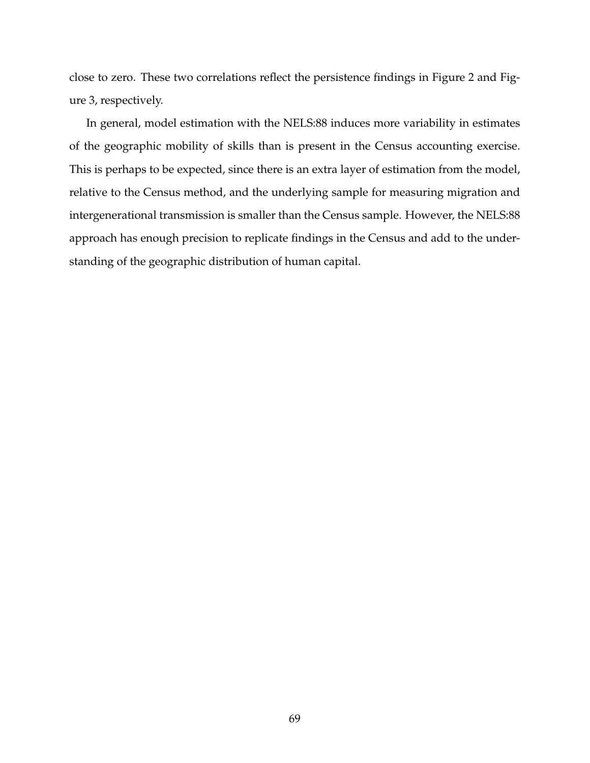close to zero. These two correlations reflect the persistence findings in Figure 2 and Figure 3, respectively.

In general, model estimation with the NELS:88 induces more variability in estimates of the geographic mobility of skills than is present in the Census accounting exercise. This is perhaps to be expected, since there is an extra layer of estimation from the model, relative to the Census method, and the underlying sample for measuring migration and intergenerational transmission is smaller than the Census sample. However, the NELS:88 approach has enough precision to replicate findings in the Census and add to the understanding of the geographic distribution of human capital.